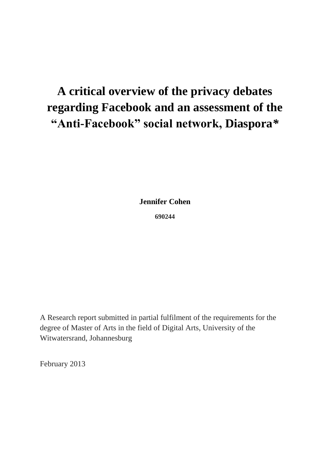# **A critical overview of the privacy debates regarding Facebook and an assessment of the "Anti-Facebook" social network, Diaspora***\**

**Jennifer Cohen**

**690244**

A Research report submitted in partial fulfilment of the requirements for the degree of Master of Arts in the field of Digital Arts, University of the Witwatersrand, Johannesburg

February 2013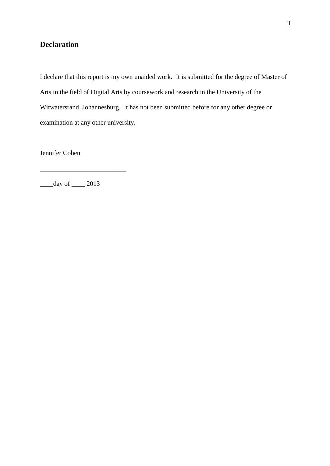# <span id="page-1-0"></span>**Declaration**

I declare that this report is my own unaided work. It is submitted for the degree of Master of Arts in the field of Digital Arts by coursework and research in the University of the Witwatersrand, Johannesburg. It has not been submitted before for any other degree or examination at any other university.

Jennifer Cohen

 $\frac{day \text{ of } 2013}{x}$ 

\_\_\_\_\_\_\_\_\_\_\_\_\_\_\_\_\_\_\_\_\_\_\_\_\_\_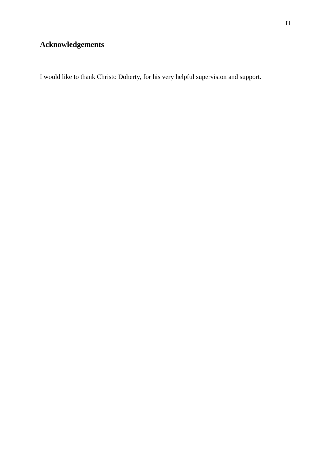# <span id="page-2-0"></span>**Acknowledgements**

I would like to thank Christo Doherty, for his very helpful supervision and support.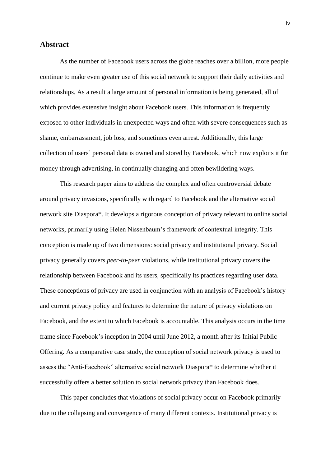# <span id="page-3-0"></span>**Abstract**

As the number of Facebook users across the globe reaches over a billion, more people continue to make even greater use of this social network to support their daily activities and relationships. As a result a large amount of personal information is being generated, all of which provides extensive insight about Facebook users. This information is frequently exposed to other individuals in unexpected ways and often with severe consequences such as shame, embarrassment, job loss, and sometimes even arrest. Additionally, this large collection of users' personal data is owned and stored by Facebook, which now exploits it for money through advertising, in continually changing and often bewildering ways.

This research paper aims to address the complex and often controversial debate around privacy invasions, specifically with regard to Facebook and the alternative social network site Diaspora\*. It develops a rigorous conception of privacy relevant to online social networks, primarily using Helen Nissenbaum's framework of contextual integrity. This conception is made up of two dimensions: social privacy and institutional privacy. Social privacy generally covers *peer-to-peer* violations, while institutional privacy covers the relationship between Facebook and its users, specifically its practices regarding user data. These conceptions of privacy are used in conjunction with an analysis of Facebook's history and current privacy policy and features to determine the nature of privacy violations on Facebook, and the extent to which Facebook is accountable. This analysis occurs in the time frame since Facebook's inception in 2004 until June 2012, a month after its Initial Public Offering. As a comparative case study, the conception of social network privacy is used to assess the "Anti-Facebook" alternative social network Diaspora\* to determine whether it successfully offers a better solution to social network privacy than Facebook does.

This paper concludes that violations of social privacy occur on Facebook primarily due to the collapsing and convergence of many different contexts. Institutional privacy is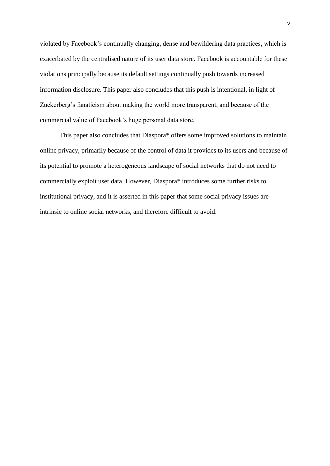violated by Facebook's continually changing, dense and bewildering data practices, which is exacerbated by the centralised nature of its user data store. Facebook is accountable for these violations principally because its default settings continually push towards increased information disclosure. This paper also concludes that this push is intentional, in light of Zuckerberg's fanaticism about making the world more transparent, and because of the commercial value of Facebook's huge personal data store.

This paper also concludes that Diaspora\* offers some improved solutions to maintain online privacy, primarily because of the control of data it provides to its users and because of its potential to promote a heterogeneous landscape of social networks that do not need to commercially exploit user data. However, Diaspora\* introduces some further risks to institutional privacy, and it is asserted in this paper that some social privacy issues are intrinsic to online social networks, and therefore difficult to avoid.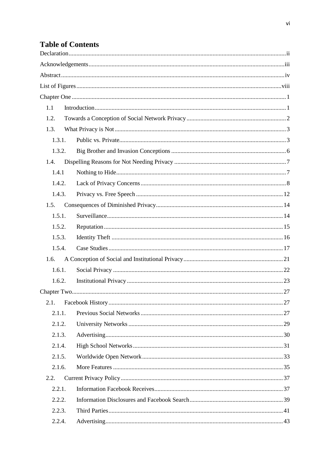# **Table of Contents**

| 1.1    |  |
|--------|--|
| 1.2.   |  |
| 1.3.   |  |
| 1.3.1. |  |
| 1.3.2. |  |
| 1.4.   |  |
| 1.4.1  |  |
| 1.4.2. |  |
| 1.4.3. |  |
| 1.5.   |  |
| 1.5.1. |  |
| 1.5.2. |  |
| 1.5.3. |  |
| 1.5.4. |  |
| 1.6.   |  |
| 1.6.1. |  |
| 1.6.2. |  |
|        |  |
| 2.1.   |  |
| 2.1.1. |  |
| 2.1.2. |  |
| 2.1.3. |  |
| 2.1.4. |  |
| 2.1.5. |  |
| 2.1.6. |  |
| 2.2.   |  |
| 2.2.1. |  |
| 2.2.2. |  |
| 2.2.3. |  |
| 2.2.4. |  |
|        |  |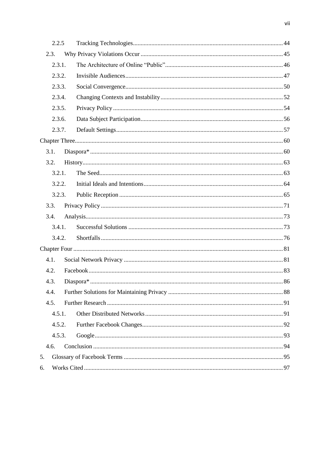| 2.2.5  |  |
|--------|--|
| 2.3.   |  |
| 2.3.1. |  |
| 2.3.2. |  |
| 2.3.3. |  |
| 2.3.4. |  |
| 2.3.5. |  |
| 2.3.6. |  |
| 2.3.7. |  |
|        |  |
| 3.1.   |  |
| 3.2.   |  |
| 3.2.1. |  |
| 3.2.2. |  |
| 3.2.3. |  |
| 3.3.   |  |
| 3.4.   |  |
| 3.4.1. |  |
| 3.4.2. |  |
|        |  |
| 4.1.   |  |
| 4.2.   |  |
| 4.3.   |  |
| 4.4.   |  |
| 4.5.   |  |
| 4.5.1. |  |
| 4.5.2. |  |
| 4.5.3. |  |
| 4.6.   |  |
| 5.     |  |
| 6.     |  |
|        |  |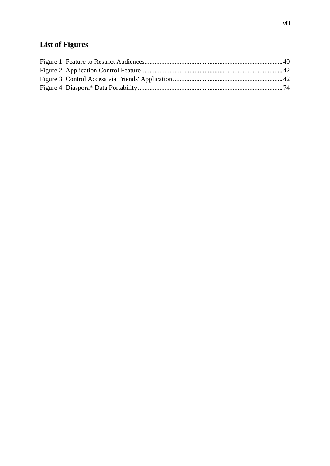# <span id="page-7-0"></span>**List of Figures**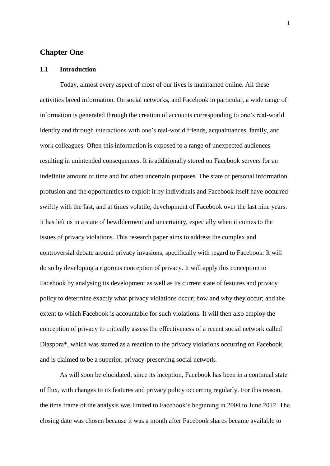# <span id="page-8-0"></span>**Chapter One**

#### <span id="page-8-1"></span>**1.1 Introduction**

Today, almost every aspect of most of our lives is maintained online. All these activities breed information. On social networks, and Facebook in particular, a wide range of information is generated through the creation of accounts corresponding to one's real-world identity and through interactions with one's real-world friends, acquaintances, family, and work colleagues. Often this information is exposed to a range of unexpected audiences resulting in unintended consequences. It is additionally stored on Facebook servers for an indefinite amount of time and for often uncertain purposes. The state of personal information profusion and the opportunities to exploit it by individuals and Facebook itself have occurred swiftly with the fast, and at times volatile, development of Facebook over the last nine years. It has left us in a state of bewilderment and uncertainty, especially when it comes to the issues of privacy violations. This research paper aims to address the complex and controversial debate around privacy invasions, specifically with regard to Facebook*.* It will do so by developing a rigorous conception of privacy. It will apply this conception to Facebook by analysing its development as well as its current state of features and privacy policy to determine exactly what privacy violations occur; how and why they occur; and the extent to which Facebook is accountable for such violations. It will then also employ the conception of privacy to critically assess the effectiveness of a recent social network called Diaspora\*, which was started as a reaction to the privacy violations occurring on Facebook, and is claimed to be a superior, privacy-preserving social network.

As will soon be elucidated, since its inception, Facebook has been in a continual state of flux, with changes to its features and privacy policy occurring regularly. For this reason, the time frame of the analysis was limited to Facebook's beginning in 2004 to June 2012. The closing date was chosen because it was a month after Facebook shares became available to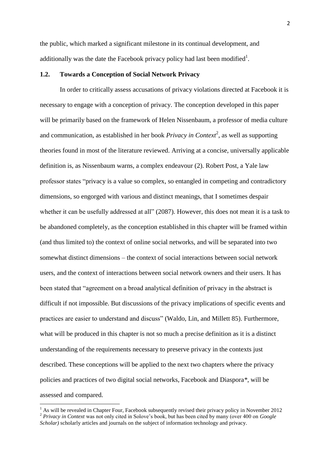the public, which marked a significant milestone in its continual development, and additionally was the date the Facebook privacy policy had last been modified<sup>1</sup>.

#### <span id="page-9-0"></span>**1.2. Towards a Conception of Social Network Privacy**

In order to critically assess accusations of privacy violations directed at Facebook it is necessary to engage with a conception of privacy. The conception developed in this paper will be primarily based on the framework of Helen Nissenbaum, a professor of media culture and communication, as established in her book *Privacy in Context*<sup>2</sup>, as well as supporting theories found in most of the literature reviewed. Arriving at a concise, universally applicable definition is, as Nissenbaum warns, a complex endeavour (2). Robert Post, a Yale law professor states "privacy is a value so complex, so entangled in competing and contradictory dimensions, so engorged with various and distinct meanings, that I sometimes despair whether it can be usefully addressed at all" (2087). However, this does not mean it is a task to be abandoned completely, as the conception established in this chapter will be framed within (and thus limited to) the context of online social networks, and will be separated into two somewhat distinct dimensions – the context of social interactions between social network users, and the context of interactions between social network owners and their users. It has been stated that "agreement on a broad analytical definition of privacy in the abstract is difficult if not impossible. But discussions of the privacy implications of specific events and practices are easier to understand and discuss" (Waldo, Lin, and Millett 85). Furthermore, what will be produced in this chapter is not so much a precise definition as it is a distinct understanding of the requirements necessary to preserve privacy in the contexts just described. These conceptions will be applied to the next two chapters where the privacy policies and practices of two digital social networks, Facebook and Diaspora*\**, will be assessed and compared.

1

 $<sup>1</sup>$  As will be revealed in Chapter Four, Facebook subsequently revised their privacy policy in November 2012</sup> <sup>2</sup> *Privacy in Context* was not only cited in Solove's book, but has been cited by many (over 400 on *Google Scholar)* scholarly articles and journals on the subject of information technology and privacy.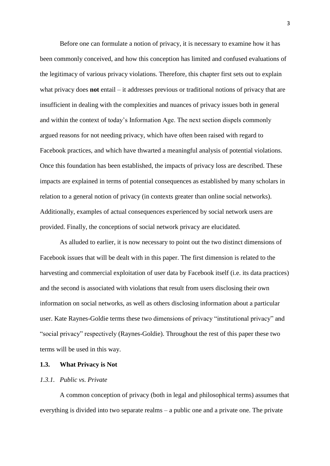Before one can formulate a notion of privacy, it is necessary to examine how it has been commonly conceived, and how this conception has limited and confused evaluations of the legitimacy of various privacy violations. Therefore, this chapter first sets out to explain what privacy does **not** entail – it addresses previous or traditional notions of privacy that are insufficient in dealing with the complexities and nuances of privacy issues both in general and within the context of today's Information Age. The next section dispels commonly argued reasons for not needing privacy, which have often been raised with regard to Facebook practices, and which have thwarted a meaningful analysis of potential violations. Once this foundation has been established, the impacts of privacy loss are described. These impacts are explained in terms of potential consequences as established by many scholars in relation to a general notion of privacy (in contexts greater than online social networks). Additionally, examples of actual consequences experienced by social network users are provided. Finally, the conceptions of social network privacy are elucidated.

As alluded to earlier, it is now necessary to point out the two distinct dimensions of Facebook issues that will be dealt with in this paper. The first dimension is related to the harvesting and commercial exploitation of user data by Facebook itself (i.e. its data practices) and the second is associated with violations that result from users disclosing their own information on social networks, as well as others disclosing information about a particular user. Kate Raynes-Goldie terms these two dimensions of privacy "institutional privacy" and "social privacy" respectively (Raynes-Goldie). Throughout the rest of this paper these two terms will be used in this way.

#### <span id="page-10-0"></span>**1.3. What Privacy is Not**

### <span id="page-10-1"></span>*1.3.1. Public vs. Private*

A common conception of privacy (both in legal and philosophical terms) assumes that everything is divided into two separate realms – a public one and a private one. The private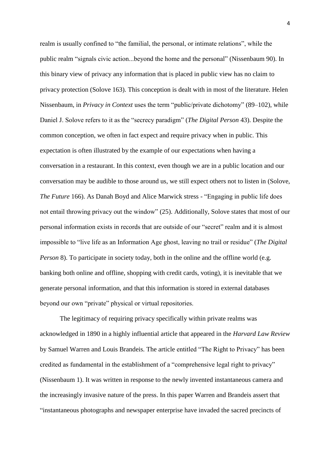realm is usually confined to "the familial, the personal, or intimate relations", while the public realm "signals civic action...beyond the home and the personal" (Nissenbaum 90). In this binary view of privacy any information that is placed in public view has no claim to privacy protection (Solove 163). This conception is dealt with in most of the literature. Helen Nissenbaum, in *Privacy in Context* uses the term "public/private dichotomy" (89–102), while Daniel J. Solove refers to it as the "secrecy paradigm" (*The Digital Person* 43). Despite the common conception, we often in fact expect and require privacy when in public. This expectation is often illustrated by the example of our expectations when having a conversation in a restaurant. In this context, even though we are in a public location and our conversation may be audible to those around us, we still expect others not to listen in (Solove, *The Future* 166). As Danah Boyd and Alice Marwick stress - "Engaging in public life does not entail throwing privacy out the window" (25). Additionally, Solove states that most of our personal information exists in records that are outside of our "secret" realm and it is almost impossible to "live life as an Information Age ghost, leaving no trail or residue" (*The Digital Person* 8). To participate in society today, both in the online and the offline world (e.g. banking both online and offline, shopping with credit cards, voting), it is inevitable that we generate personal information, and that this information is stored in external databases beyond our own "private" physical or virtual repositories.

The legitimacy of requiring privacy specifically within private realms was acknowledged in 1890 in a highly influential article that appeared in the *Harvard Law Review* by Samuel Warren and Louis Brandeis. The article entitled "The Right to Privacy" has been credited as fundamental in the establishment of a "comprehensive legal right to privacy" (Nissenbaum 1). It was written in response to the newly invented instantaneous camera and the increasingly invasive nature of the press. In this paper Warren and Brandeis assert that "instantaneous photographs and newspaper enterprise have invaded the sacred precincts of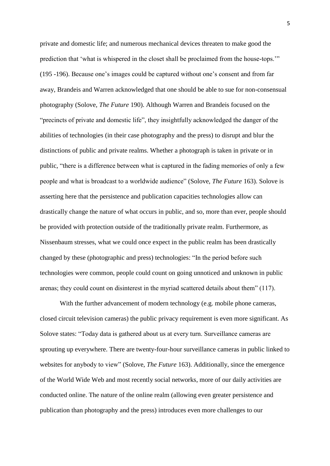private and domestic life; and numerous mechanical devices threaten to make good the prediction that 'what is whispered in the closet shall be proclaimed from the house-tops.'" (195 -196). Because one's images could be captured without one's consent and from far away, Brandeis and Warren acknowledged that one should be able to sue for non-consensual photography (Solove, *The Future* 190). Although Warren and Brandeis focused on the "precincts of private and domestic life", they insightfully acknowledged the danger of the abilities of technologies (in their case photography and the press) to disrupt and blur the distinctions of public and private realms. Whether a photograph is taken in private or in public, "there is a difference between what is captured in the fading memories of only a few people and what is broadcast to a worldwide audience" (Solove, *The Future* 163). Solove is asserting here that the persistence and publication capacities technologies allow can drastically change the nature of what occurs in public, and so, more than ever, people should be provided with protection outside of the traditionally private realm. Furthermore, as Nissenbaum stresses, what we could once expect in the public realm has been drastically changed by these (photographic and press) technologies: "In the period before such technologies were common, people could count on going unnoticed and unknown in public arenas; they could count on disinterest in the myriad scattered details about them" (117).

With the further advancement of modern technology (e.g. mobile phone cameras, closed circuit television cameras) the public privacy requirement is even more significant. As Solove states: "Today data is gathered about us at every turn. Surveillance cameras are sprouting up everywhere. There are twenty-four-hour surveillance cameras in public linked to websites for anybody to view" (Solove, *The Future* 163). Additionally, since the emergence of the World Wide Web and most recently social networks, more of our daily activities are conducted online. The nature of the online realm (allowing even greater persistence and publication than photography and the press) introduces even more challenges to our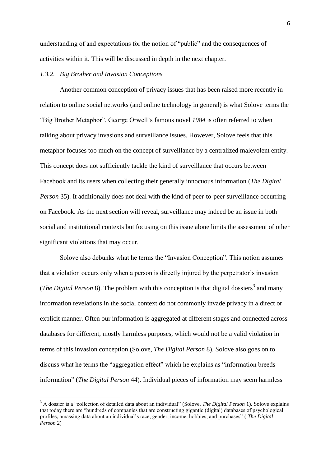understanding of and expectations for the notion of "public" and the consequences of activities within it. This will be discussed in depth in the next chapter.

#### <span id="page-13-0"></span>*1.3.2. Big Brother and Invasion Conceptions*

**.** 

Another common conception of privacy issues that has been raised more recently in relation to online social networks (and online technology in general) is what Solove terms the "Big Brother Metaphor". George Orwell's famous novel *1984* is often referred to when talking about privacy invasions and surveillance issues. However, Solove feels that this metaphor focuses too much on the concept of surveillance by a centralized malevolent entity. This concept does not sufficiently tackle the kind of surveillance that occurs between Facebook and its users when collecting their generally innocuous information (*The Digital Person* 35). It additionally does not deal with the kind of peer-to-peer surveillance occurring on Facebook. As the next section will reveal, surveillance may indeed be an issue in both social and institutional contexts but focusing on this issue alone limits the assessment of other significant violations that may occur.

Solove also debunks what he terms the "Invasion Conception". This notion assumes that a violation occurs only when a person is directly injured by the perpetrator's invasion (*The Digital Person* 8). The problem with this conception is that digital dossiers<sup>3</sup> and many information revelations in the social context do not commonly invade privacy in a direct or explicit manner. Often our information is aggregated at different stages and connected across databases for different, mostly harmless purposes, which would not be a valid violation in terms of this invasion conception (Solove, *The Digital Person* 8). Solove also goes on to discuss what he terms the "aggregation effect" which he explains as "information breeds information" (*The Digital Person* 44). Individual pieces of information may seem harmless

<sup>3</sup> A dossier is a "collection of detailed data about an individual" (Solove, *The Digital Person* 1). Solove explains that today there are "hundreds of companies that are constructing gigantic (digital) databases of psychological profiles, amassing data about an individual's race, gender, income, hobbies, and purchases" ( *The Digital Person* 2)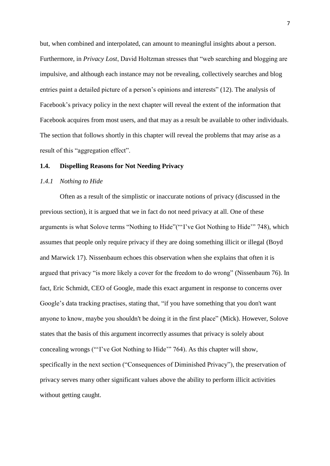but, when combined and interpolated, can amount to meaningful insights about a person. Furthermore, in *Privacy Lost*, David Holtzman stresses that "web searching and blogging are impulsive, and although each instance may not be revealing, collectively searches and blog entries paint a detailed picture of a person's opinions and interests" (12). The analysis of Facebook's privacy policy in the next chapter will reveal the extent of the information that Facebook acquires from most users, and that may as a result be available to other individuals. The section that follows shortly in this chapter will reveal the problems that may arise as a result of this "aggregation effect".

#### <span id="page-14-0"></span>**1.4. Dispelling Reasons for Not Needing Privacy**

# <span id="page-14-1"></span>*1.4.1 Nothing to Hide*

Often as a result of the simplistic or inaccurate notions of privacy (discussed in the previous section), it is argued that we in fact do not need privacy at all. One of these arguments is what Solove terms "Nothing to Hide"("'I've Got Nothing to Hide'" 748), which assumes that people only require privacy if they are doing something illicit or illegal (Boyd and Marwick 17). Nissenbaum echoes this observation when she explains that often it is argued that privacy "is more likely a cover for the freedom to do wrong" (Nissenbaum 76). In fact, Eric Schmidt, CEO of Google, made this exact argument in response to concerns over Google's data tracking practises, stating that, "if you have something that you don't want anyone to know, maybe you shouldn't be doing it in the first place" (Mick). However, Solove states that the basis of this argument incorrectly assumes that privacy is solely about concealing wrongs ("'I've Got Nothing to Hide'" 764). As this chapter will show, specifically in the next section ("Consequences of Diminished Privacy"), the preservation of privacy serves many other significant values above the ability to perform illicit activities without getting caught.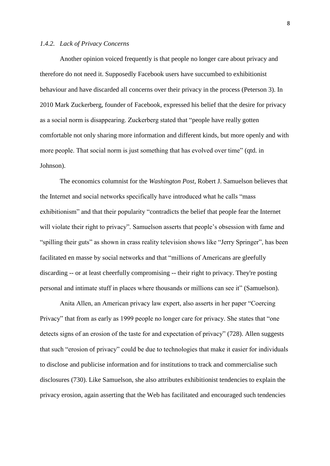# <span id="page-15-0"></span>*1.4.2. Lack of Privacy Concerns*

Another opinion voiced frequently is that people no longer care about privacy and therefore do not need it. Supposedly Facebook users have succumbed to exhibitionist behaviour and have discarded all concerns over their privacy in the process (Peterson 3). In 2010 Mark Zuckerberg, founder of Facebook, expressed his belief that the desire for privacy as a social norm is disappearing. Zuckerberg stated that "people have really gotten comfortable not only sharing more information and different kinds, but more openly and with more people. That social norm is just something that has evolved over time" (qtd. in Johnson).

The economics columnist for the *Washington Post*, Robert J. Samuelson believes that the Internet and social networks specifically have introduced what he calls "mass exhibitionism" and that their popularity "contradicts the belief that people fear the Internet will violate their right to privacy". Samuelson asserts that people's obsession with fame and "spilling their guts" as shown in crass reality television shows like "Jerry Springer", has been facilitated en masse by social networks and that "millions of Americans are gleefully discarding -- or at least cheerfully compromising -- their right to privacy. They're posting personal and intimate stuff in places where thousands or millions can see it" (Samuelson).

Anita Allen, an American privacy law expert, also asserts in her paper "Coercing Privacy" that from as early as 1999 people no longer care for privacy. She states that "one detects signs of an erosion of the taste for and expectation of privacy" (728). Allen suggests that such "erosion of privacy" could be due to technologies that make it easier for individuals to disclose and publicise information and for institutions to track and commercialise such disclosures (730). Like Samuelson, she also attributes exhibitionist tendencies to explain the privacy erosion, again asserting that the Web has facilitated and encouraged such tendencies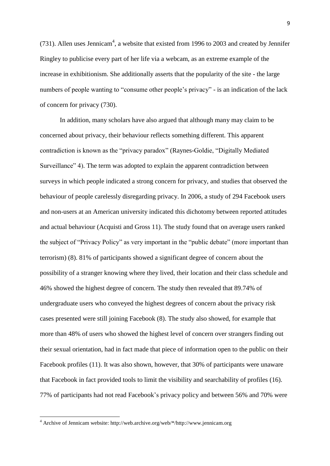(731). Allen uses Jennicam<sup>4</sup>, a website that existed from 1996 to 2003 and created by Jennifer Ringley to publicise every part of her life via a webcam, as an extreme example of the increase in exhibitionism. She additionally asserts that the popularity of the site - the large numbers of people wanting to "consume other people's privacy" - is an indication of the lack of concern for privacy (730).

In addition, many scholars have also argued that although many may claim to be concerned about privacy, their behaviour reflects something different. This apparent contradiction is known as the "privacy paradox" (Raynes-Goldie, "Digitally Mediated Surveillance" 4). The term was adopted to explain the apparent contradiction between surveys in which people indicated a strong concern for privacy, and studies that observed the behaviour of people carelessly disregarding privacy. In 2006, a study of 294 Facebook users and non-users at an American university indicated this dichotomy between reported attitudes and actual behaviour (Acquisti and Gross 11). The study found that on average users ranked the subject of "Privacy Policy" as very important in the "public debate" (more important than terrorism) (8). 81% of participants showed a significant degree of concern about the possibility of a stranger knowing where they lived, their location and their class schedule and 46% showed the highest degree of concern. The study then revealed that 89.74% of undergraduate users who conveyed the highest degrees of concern about the privacy risk cases presented were still joining Facebook (8). The study also showed, for example that more than 48% of users who showed the highest level of concern over strangers finding out their sexual orientation, had in fact made that piece of information open to the public on their Facebook profiles (11). It was also shown, however, that 30% of participants were unaware that Facebook in fact provided tools to limit the visibility and searchability of profiles (16). 77% of participants had not read Facebook's privacy policy and between 56% and 70% were

<sup>&</sup>lt;sup>4</sup> Archive of Jennicam website: http://web.archive.org/web/\*/http://www.jennicam.org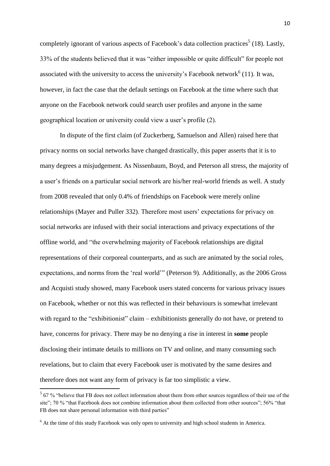completely ignorant of various aspects of Facebook's data collection practices<sup>5</sup> (18). Lastly, 33% of the students believed that it was "either impossible or quite difficult" for people not associated with the university to access the university's Facebook network<sup>6</sup> (11). It was, however, in fact the case that the default settings on Facebook at the time where such that anyone on the Facebook network could search user profiles and anyone in the same geographical location or university could view a user's profile (2).

In dispute of the first claim (of Zuckerberg, Samuelson and Allen) raised here that privacy norms on social networks have changed drastically, this paper asserts that it is to many degrees a misjudgement. As Nissenbaum, Boyd, and Peterson all stress, the majority of a user's friends on a particular social network are his/her real-world friends as well. A study from 2008 revealed that only 0.4% of friendships on Facebook were merely online relationships (Mayer and Puller 332). Therefore most users' expectations for privacy on social networks are infused with their social interactions and privacy expectations of the offline world, and "the overwhelming majority of Facebook relationships are digital representations of their corporeal counterparts, and as such are animated by the social roles, expectations, and norms from the 'real world'" (Peterson 9). Additionally, as the 2006 Gross and Acquisti study showed, many Facebook users stated concerns for various privacy issues on Facebook, whether or not this was reflected in their behaviours is somewhat irrelevant with regard to the "exhibitionist" claim – exhibitionists generally do not have, or pretend to have, concerns for privacy. There may be no denying a rise in interest in **some** people disclosing their intimate details to millions on TV and online, and many consuming such revelations, but to claim that every Facebook user is motivated by the same desires and therefore does not want any form of privacy is far too simplistic a view.

<sup>&</sup>lt;sup>5</sup> 67 % "believe that FB does not collect information about them from other sources regardless of their use of the site"; 70 % "that Facebook does not combine information about them collected from other sources"; 56% "that FB does not share personal information with third parties"

 $6$  At the time of this study Facebook was only open to university and high school students in America.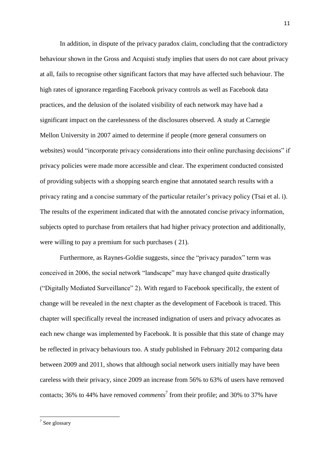In addition, in dispute of the privacy paradox claim, concluding that the contradictory behaviour shown in the Gross and Acquisti study implies that users do not care about privacy at all, fails to recognise other significant factors that may have affected such behaviour. The high rates of ignorance regarding Facebook privacy controls as well as Facebook data practices, and the delusion of the isolated visibility of each network may have had a significant impact on the carelessness of the disclosures observed. A study at Carnegie Mellon University in 2007 aimed to determine if people (more general consumers on websites) would "incorporate privacy considerations into their online purchasing decisions" if privacy policies were made more accessible and clear. The experiment conducted consisted of providing subjects with a shopping search engine that annotated search results with a privacy rating and a concise summary of the particular retailer's privacy policy (Tsai et al. i). The results of the experiment indicated that with the annotated concise privacy information, subjects opted to purchase from retailers that had higher privacy protection and additionally, were willing to pay a premium for such purchases ( 21).

Furthermore, as Raynes-Goldie suggests, since the "privacy paradox" term was conceived in 2006, the social network "landscape" may have changed quite drastically ("Digitally Mediated Surveillance" 2). With regard to Facebook specifically, the extent of change will be revealed in the next chapter as the development of Facebook is traced. This chapter will specifically reveal the increased indignation of users and privacy advocates as each new change was implemented by Facebook. It is possible that this state of change may be reflected in privacy behaviours too. A study published in February 2012 comparing data between 2009 and 2011, shows that although social network users initially may have been careless with their privacy, since 2009 an increase from 56% to 63% of users have removed contacts; 36% to 44% have removed *comments*<sup>7</sup> from their profile; and 30% to 37% have

 $\frac{1}{7}$  See glossary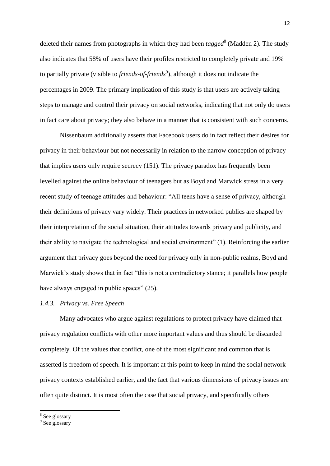deleted their names from photographs in which they had been *tagged*<sup>8</sup> (Madden 2). The study also indicates that 58% of users have their profiles restricted to completely private and 19% to partially private (visible to *friends-of-friends<sup>9</sup>*), although it does not indicate the percentages in 2009. The primary implication of this study is that users are actively taking steps to manage and control their privacy on social networks, indicating that not only do users in fact care about privacy; they also behave in a manner that is consistent with such concerns.

Nissenbaum additionally asserts that Facebook users do in fact reflect their desires for privacy in their behaviour but not necessarily in relation to the narrow conception of privacy that implies users only require secrecy (151). The privacy paradox has frequently been levelled against the online behaviour of teenagers but as Boyd and Marwick stress in a very recent study of teenage attitudes and behaviour: "All teens have a sense of privacy, although their definitions of privacy vary widely. Their practices in networked publics are shaped by their interpretation of the social situation, their attitudes towards privacy and publicity, and their ability to navigate the technological and social environment" (1). Reinforcing the earlier argument that privacy goes beyond the need for privacy only in non-public realms, Boyd and Marwick's study shows that in fact "this is not a contradictory stance; it parallels how people have always engaged in public spaces" (25).

# <span id="page-19-0"></span>*1.4.3. Privacy vs. Free Speech*

Many advocates who argue against regulations to protect privacy have claimed that privacy regulation conflicts with other more important values and thus should be discarded completely. Of the values that conflict, one of the most significant and common that is asserted is freedom of speech. It is important at this point to keep in mind the social network privacy contexts established earlier, and the fact that various dimensions of privacy issues are often quite distinct. It is most often the case that social privacy, and specifically others

<sup>&</sup>lt;sup>8</sup> See glossary

<sup>&</sup>lt;sup>9</sup> See glossary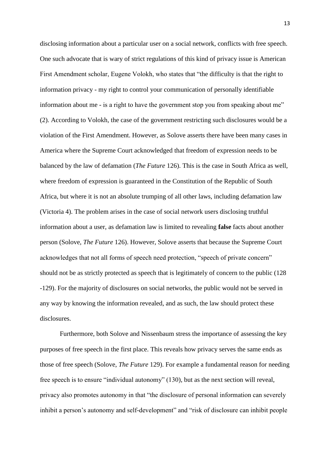disclosing information about a particular user on a social network, conflicts with free speech. One such advocate that is wary of strict regulations of this kind of privacy issue is American First Amendment scholar, Eugene Volokh, who states that "the difficulty is that the right to information privacy - my right to control your communication of personally identifiable information about me - is a right to have the government stop you from speaking about me" (2). According to Volokh, the case of the government restricting such disclosures would be a violation of the First Amendment. However, as Solove asserts there have been many cases in America where the Supreme Court acknowledged that freedom of expression needs to be balanced by the law of defamation (*The Future* 126). This is the case in South Africa as well, where freedom of expression is guaranteed in the Constitution of the Republic of South Africa, but where it is not an absolute trumping of all other laws, including defamation law (Victoria 4). The problem arises in the case of social network users disclosing truthful information about a user, as defamation law is limited to revealing **false** facts about another person (Solove, *The Future* 126). However, Solove asserts that because the Supreme Court acknowledges that not all forms of speech need protection, "speech of private concern" should not be as strictly protected as speech that is legitimately of concern to the public (128 -129). For the majority of disclosures on social networks, the public would not be served in any way by knowing the information revealed, and as such, the law should protect these disclosures.

Furthermore, both Solove and Nissenbaum stress the importance of assessing the key purposes of free speech in the first place. This reveals how privacy serves the same ends as those of free speech (Solove, *The Future* 129). For example a fundamental reason for needing free speech is to ensure "individual autonomy" (130), but as the next section will reveal, privacy also promotes autonomy in that "the disclosure of personal information can severely inhibit a person's autonomy and self-development" and "risk of disclosure can inhibit people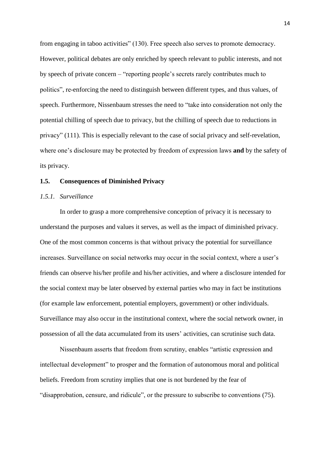from engaging in taboo activities" (130). Free speech also serves to promote democracy. However, political debates are only enriched by speech relevant to public interests, and not by speech of private concern – "reporting people's secrets rarely contributes much to politics", re-enforcing the need to distinguish between different types, and thus values, of speech. Furthermore, Nissenbaum stresses the need to "take into consideration not only the potential chilling of speech due to privacy, but the chilling of speech due to reductions in privacy" (111). This is especially relevant to the case of social privacy and self-revelation, where one's disclosure may be protected by freedom of expression laws **and** by the safety of its privacy.

#### <span id="page-21-0"></span>**1.5. Consequences of Diminished Privacy**

# <span id="page-21-1"></span>*1.5.1. Surveillance*

In order to grasp a more comprehensive conception of privacy it is necessary to understand the purposes and values it serves, as well as the impact of diminished privacy. One of the most common concerns is that without privacy the potential for surveillance increases. Surveillance on social networks may occur in the social context, where a user's friends can observe his/her profile and his/her activities, and where a disclosure intended for the social context may be later observed by external parties who may in fact be institutions (for example law enforcement, potential employers, government) or other individuals. Surveillance may also occur in the institutional context, where the social network owner, in possession of all the data accumulated from its users' activities, can scrutinise such data.

Nissenbaum asserts that freedom from scrutiny, enables "artistic expression and intellectual development" to prosper and the formation of autonomous moral and political beliefs. Freedom from scrutiny implies that one is not burdened by the fear of "disapprobation, censure, and ridicule", or the pressure to subscribe to conventions (75).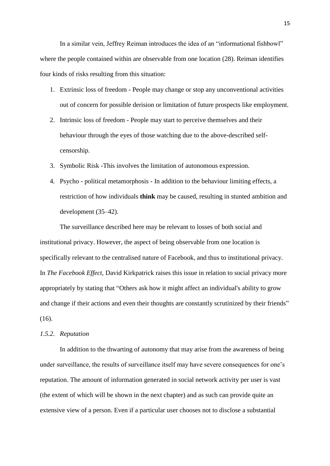In a similar vein, Jeffrey Reiman introduces the idea of an "informational fishbowl" where the people contained within are observable from one location (28). Reiman identifies four kinds of risks resulting from this situation:

- 1. Extrinsic loss of freedom People may change or stop any unconventional activities out of concern for possible derision or limitation of future prospects like employment.
- 2. Intrinsic loss of freedom People may start to perceive themselves and their behaviour through the eyes of those watching due to the above-described selfcensorship.
- 3. Symbolic Risk -This involves the limitation of autonomous expression.
- 4. Psycho political metamorphosis In addition to the behaviour limiting effects, a restriction of how individuals **think** may be caused, resulting in stunted ambition and development (35–42).

The surveillance described here may be relevant to losses of both social and institutional privacy. However, the aspect of being observable from one location is specifically relevant to the centralised nature of Facebook, and thus to institutional privacy. In *The Facebook Effect,* David Kirkpatrick raises this issue in relation to social privacy more appropriately by stating that "Others ask how it might affect an individual's ability to grow and change if their actions and even their thoughts are constantly scrutinized by their friends" (16).

#### <span id="page-22-0"></span>*1.5.2. Reputation*

In addition to the thwarting of autonomy that may arise from the awareness of being under surveillance, the results of surveillance itself may have severe consequences for one's reputation. The amount of information generated in social network activity per user is vast (the extent of which will be shown in the next chapter) and as such can provide quite an extensive view of a person. Even if a particular user chooses not to disclose a substantial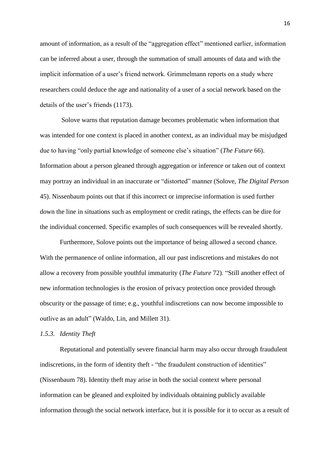amount of information, as a result of the "aggregation effect" mentioned earlier, information can be inferred about a user, through the summation of small amounts of data and with the implicit information of a user's friend network. Grimmelmann reports on a study where researchers could deduce the age and nationality of a user of a social network based on the details of the user's friends (1173).

Solove warns that reputation damage becomes problematic when information that was intended for one context is placed in another context, as an individual may be misjudged due to having "only partial knowledge of someone else's situation" (*The Future* 66). Information about a person gleaned through aggregation or inference or taken out of context may portray an individual in an inaccurate or "distorted" manner (Solove, *The Digital Person* 45). Nissenbaum points out that if this incorrect or imprecise information is used further down the line in situations such as employment or credit ratings, the effects can be dire for the individual concerned. Specific examples of such consequences will be revealed shortly.

Furthermore, Solove points out the importance of being allowed a second chance. With the permanence of online information, all our past indiscretions and mistakes do not allow a recovery from possible youthful immaturity (*The Future* 72). "Still another effect of new information technologies is the erosion of privacy protection once provided through obscurity or the passage of time; e.g., youthful indiscretions can now become impossible to outlive as an adult" (Waldo, Lin, and Millett 31).

#### <span id="page-23-0"></span>*1.5.3. Identity Theft*

Reputational and potentially severe financial harm may also occur through fraudulent indiscretions, in the form of identity theft - "the fraudulent construction of identities" (Nissenbaum 78). Identity theft may arise in both the social context where personal information can be gleaned and exploited by individuals obtaining publicly available information through the social network interface, but it is possible for it to occur as a result of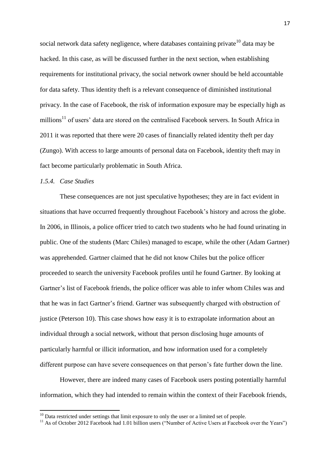social network data safety negligence, where databases containing private  $10$  data may be hacked. In this case, as will be discussed further in the next section, when establishing requirements for institutional privacy, the social network owner should be held accountable for data safety. Thus identity theft is a relevant consequence of diminished institutional privacy. In the case of Facebook, the risk of information exposure may be especially high as millions<sup>11</sup> of users' data are stored on the centralised Facebook servers. In South Africa in 2011 it was reported that there were 20 cases of financially related identity theft per day (Zungo). With access to large amounts of personal data on Facebook, identity theft may in fact become particularly problematic in South Africa.

# <span id="page-24-0"></span>*1.5.4. Case Studies*

**.** 

These consequences are not just speculative hypotheses; they are in fact evident in situations that have occurred frequently throughout Facebook's history and across the globe. In 2006, in Illinois, a police officer tried to catch two students who he had found urinating in public. One of the students (Marc Chiles) managed to escape, while the other (Adam Gartner) was apprehended. Gartner claimed that he did not know Chiles but the police officer proceeded to search the university Facebook profiles until he found Gartner. By looking at Gartner's list of Facebook friends, the police officer was able to infer whom Chiles was and that he was in fact Gartner's friend. Gartner was subsequently charged with obstruction of justice (Peterson 10). This case shows how easy it is to extrapolate information about an individual through a social network, without that person disclosing huge amounts of particularly harmful or illicit information, and how information used for a completely different purpose can have severe consequences on that person's fate further down the line.

However, there are indeed many cases of Facebook users posting potentially harmful information, which they had intended to remain within the context of their Facebook friends,

 $10$  Data restricted under settings that limit exposure to only the user or a limited set of people.

<sup>&</sup>lt;sup>11</sup> As of October 2012 Facebook had 1.01 billion users ("Number of Active Users at Facebook over the Years")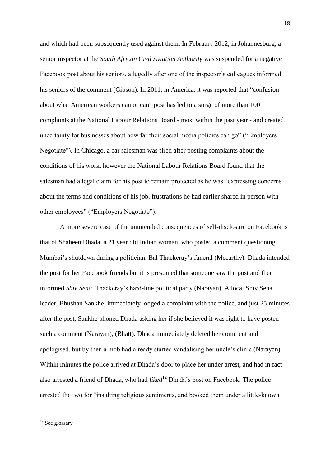and which had been subsequently used against them. In February 2012, in Johannesburg, a senior inspector at the *South African Civil Aviation Authority* was suspended for a negative Facebook post about his seniors, allegedly after one of the inspector's colleagues informed his seniors of the comment (Gibson). In 2011, in America, it was reported that "confusion about what American workers can or can't post has led to a surge of more than 100 complaints at the National Labour Relations Board - most within the past year - and created uncertainty for businesses about how far their social media policies can go" ("Employers Negotiate"). In Chicago, a car salesman was fired after posting complaints about the conditions of his work, however the National Labour Relations Board found that the salesman had a legal claim for his post to remain protected as he was "expressing concerns about the terms and conditions of his job, frustrations he had earlier shared in person with other employees" ("Employers Negotiate").

A more severe case of the unintended consequences of self-disclosure on Facebook is that of Shaheen Dhada, a 21 year old Indian woman, who posted a comment questioning Mumbai's shutdown during a politician, Bal Thackeray's funeral (Mccarthy). Dhada intended the post for her Facebook friends but it is presumed that someone saw the post and then informed *Shiv Sena*, Thackeray's hard-line political party (Narayan). A local Shiv Sena leader, Bhushan Sankhe, immediately lodged a complaint with the police, and just 25 minutes after the post, Sankhe phoned Dhada asking her if she believed it was right to have posted such a comment (Narayan), (Bhatt). Dhada immediately deleted her comment and apologised, but by then a mob had already started vandalising her uncle's clinic (Narayan). Within minutes the police arrived at Dhada's door to place her under arrest, and had in fact also arrested a friend of Dhada, who had *liked*<sup>12</sup> Dhada's post on Facebook. The police arrested the two for "insulting religious sentiments, and booked them under a little-known

 $12$  See glossary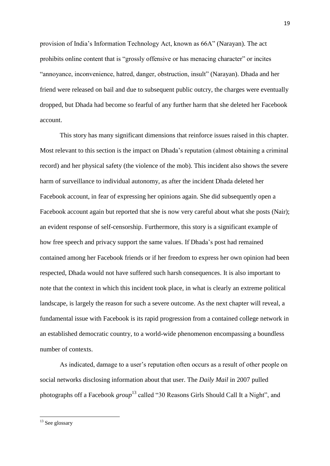provision of India's Information Technology Act, known as 66A" (Narayan). The act prohibits online content that is "grossly offensive or has menacing character" or incites "annoyance, inconvenience, hatred, danger, obstruction, insult" (Narayan). Dhada and her friend were released on bail and due to subsequent public outcry, the charges were eventually dropped, but Dhada had become so fearful of any further harm that she deleted her Facebook account.

This story has many significant dimensions that reinforce issues raised in this chapter. Most relevant to this section is the impact on Dhada's reputation (almost obtaining a criminal record) and her physical safety (the violence of the mob). This incident also shows the severe harm of surveillance to individual autonomy, as after the incident Dhada deleted her Facebook account, in fear of expressing her opinions again. She did subsequently open a Facebook account again but reported that she is now very careful about what she posts (Nair); an evident response of self-censorship. Furthermore, this story is a significant example of how free speech and privacy support the same values. If Dhada's post had remained contained among her Facebook friends or if her freedom to express her own opinion had been respected, Dhada would not have suffered such harsh consequences. It is also important to note that the context in which this incident took place, in what is clearly an extreme political landscape, is largely the reason for such a severe outcome. As the next chapter will reveal, a fundamental issue with Facebook is its rapid progression from a contained college network in an established democratic country, to a world-wide phenomenon encompassing a boundless number of contexts.

As indicated, damage to a user's reputation often occurs as a result of other people on social networks disclosing information about that user. The *Daily Mail* in 2007 pulled photographs off a Facebook *group* <sup>13</sup> called "30 Reasons Girls Should Call It a Night", and

 $13$  See glossary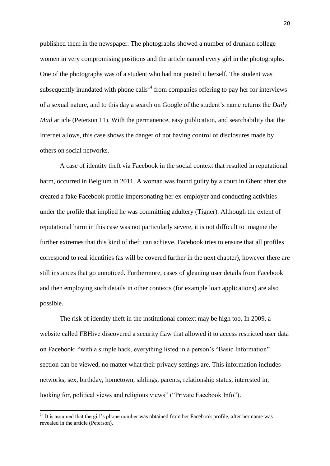published them in the newspaper. The photographs showed a number of drunken college women in very compromising positions and the article named every girl in the photographs. One of the photographs was of a student who had not posted it herself. The student was subsequently inundated with phone calls<sup>14</sup> from companies offering to pay her for interviews of a sexual nature, and to this day a search on Google of the student's name returns the *Daily Mail* article (Peterson 11). With the permanence, easy publication, and searchability that the Internet allows, this case shows the danger of not having control of disclosures made by others on social networks.

A case of identity theft via Facebook in the social context that resulted in reputational harm, occurred in Belgium in 2011. A woman was found guilty by a court in Ghent after she created a fake Facebook profile impersonating her ex-employer and conducting activities under the profile that implied he was committing adultery (Tigner). Although the extent of reputational harm in this case was not particularly severe, it is not difficult to imagine the further extremes that this kind of theft can achieve. Facebook tries to ensure that all profiles correspond to real identities (as will be covered further in the next chapter), however there are still instances that go unnoticed. Furthermore, cases of gleaning user details from Facebook and then employing such details in other contexts (for example loan applications) are also possible.

The risk of identity theft in the institutional context may be high too. In 2009, a website called FBHive discovered a security flaw that allowed it to access restricted user data on Facebook: "with a simple hack, everything listed in a person's "Basic Information" section can be viewed, no matter what their privacy settings are. This information includes networks, sex, birthday, hometown, siblings, parents, relationship status, interested in, looking for, political views and religious views" ("Private Facebook Info").

 $14$  It is assumed that the girl's phone number was obtained from her Facebook profile, after her name was revealed in the article (Peterson).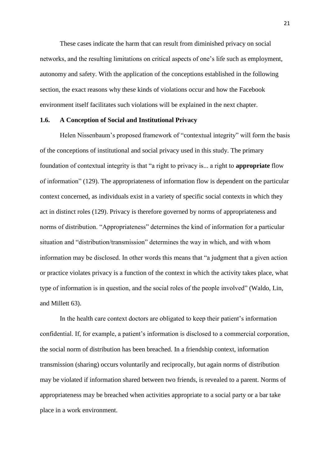These cases indicate the harm that can result from diminished privacy on social networks, and the resulting limitations on critical aspects of one's life such as employment, autonomy and safety. With the application of the conceptions established in the following section, the exact reasons why these kinds of violations occur and how the Facebook environment itself facilitates such violations will be explained in the next chapter.

# <span id="page-28-0"></span>**1.6. A Conception of Social and Institutional Privacy**

Helen Nissenbaum's proposed framework of "contextual integrity" will form the basis of the conceptions of institutional and social privacy used in this study. The primary foundation of contextual integrity is that "a right to privacy is... a right to **appropriate** flow of information" (129). The appropriateness of information flow is dependent on the particular context concerned, as individuals exist in a variety of specific social contexts in which they act in distinct roles (129). Privacy is therefore governed by norms of appropriateness and norms of distribution. "Appropriateness" determines the kind of information for a particular situation and "distribution/transmission" determines the way in which, and with whom information may be disclosed. In other words this means that "a judgment that a given action or practice violates privacy is a function of the context in which the activity takes place, what type of information is in question, and the social roles of the people involved" (Waldo, Lin, and Millett 63).

In the health care context doctors are obligated to keep their patient's information confidential. If, for example, a patient's information is disclosed to a commercial corporation, the social norm of distribution has been breached. In a friendship context, information transmission (sharing) occurs voluntarily and reciprocally, but again norms of distribution may be violated if information shared between two friends, is revealed to a parent. Norms of appropriateness may be breached when activities appropriate to a social party or a bar take place in a work environment.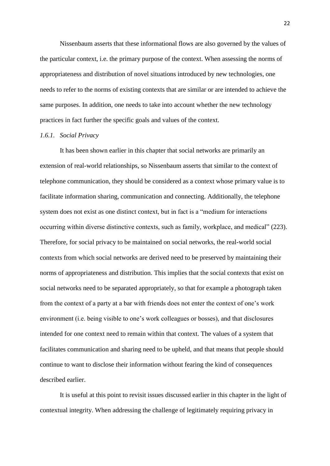Nissenbaum asserts that these informational flows are also governed by the values of the particular context, i.e. the primary purpose of the context. When assessing the norms of appropriateness and distribution of novel situations introduced by new technologies, one needs to refer to the norms of existing contexts that are similar or are intended to achieve the same purposes. In addition, one needs to take into account whether the new technology practices in fact further the specific goals and values of the context.

#### <span id="page-29-0"></span>*1.6.1. Social Privacy*

It has been shown earlier in this chapter that social networks are primarily an extension of real-world relationships, so Nissenbaum asserts that similar to the context of telephone communication, they should be considered as a context whose primary value is to facilitate information sharing, communication and connecting. Additionally, the telephone system does not exist as one distinct context, but in fact is a "medium for interactions occurring within diverse distinctive contexts, such as family, workplace, and medical" (223). Therefore, for social privacy to be maintained on social networks, the real-world social contexts from which social networks are derived need to be preserved by maintaining their norms of appropriateness and distribution. This implies that the social contexts that exist on social networks need to be separated appropriately, so that for example a photograph taken from the context of a party at a bar with friends does not enter the context of one's work environment (i.e. being visible to one's work colleagues or bosses), and that disclosures intended for one context need to remain within that context. The values of a system that facilitates communication and sharing need to be upheld, and that means that people should continue to want to disclose their information without fearing the kind of consequences described earlier.

It is useful at this point to revisit issues discussed earlier in this chapter in the light of contextual integrity. When addressing the challenge of legitimately requiring privacy in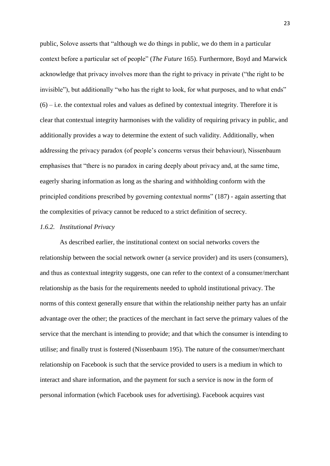public, Solove asserts that "although we do things in public, we do them in a particular context before a particular set of people" (*The Future* 165). Furthermore, Boyd and Marwick acknowledge that privacy involves more than the right to privacy in private ("the right to be invisible"), but additionally "who has the right to look, for what purposes, and to what ends"  $(6)$  – i.e. the contextual roles and values as defined by contextual integrity. Therefore it is clear that contextual integrity harmonises with the validity of requiring privacy in public, and additionally provides a way to determine the extent of such validity. Additionally, when addressing the privacy paradox (of people's concerns versus their behaviour), Nissenbaum emphasises that "there is no paradox in caring deeply about privacy and, at the same time, eagerly sharing information as long as the sharing and withholding conform with the principled conditions prescribed by governing contextual norms" (187) - again asserting that the complexities of privacy cannot be reduced to a strict definition of secrecy.

#### <span id="page-30-0"></span>*1.6.2. Institutional Privacy*

As described earlier, the institutional context on social networks covers the relationship between the social network owner (a service provider) and its users (consumers), and thus as contextual integrity suggests, one can refer to the context of a consumer/merchant relationship as the basis for the requirements needed to uphold institutional privacy. The norms of this context generally ensure that within the relationship neither party has an unfair advantage over the other; the practices of the merchant in fact serve the primary values of the service that the merchant is intending to provide; and that which the consumer is intending to utilise; and finally trust is fostered (Nissenbaum 195). The nature of the consumer/merchant relationship on Facebook is such that the service provided to users is a medium in which to interact and share information, and the payment for such a service is now in the form of personal information (which Facebook uses for advertising). Facebook acquires vast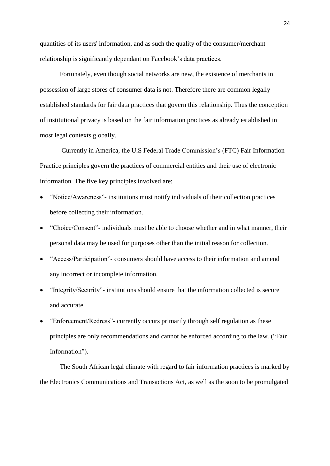quantities of its users' information, and as such the quality of the consumer/merchant relationship is significantly dependant on Facebook's data practices.

Fortunately, even though social networks are new, the existence of merchants in possession of large stores of consumer data is not. Therefore there are common legally established standards for fair data practices that govern this relationship. Thus the conception of institutional privacy is based on the fair information practices as already established in most legal contexts globally.

Currently in America, the U.S Federal Trade Commission's (FTC) Fair Information Practice principles govern the practices of commercial entities and their use of electronic information. The five key principles involved are:

- "Notice/Awareness"- institutions must notify individuals of their collection practices before collecting their information.
- "Choice/Consent"- individuals must be able to choose whether and in what manner, their personal data may be used for purposes other than the initial reason for collection.
- "Access/Participation"- consumers should have access to their information and amend any incorrect or incomplete information.
- "Integrity/Security"- institutions should ensure that the information collected is secure and accurate.
- "Enforcement/Redress"- currently occurs primarily through self regulation as these principles are only recommendations and cannot be enforced according to the law. ("Fair Information").

The South African legal climate with regard to fair information practices is marked by the Electronics Communications and Transactions Act, as well as the soon to be promulgated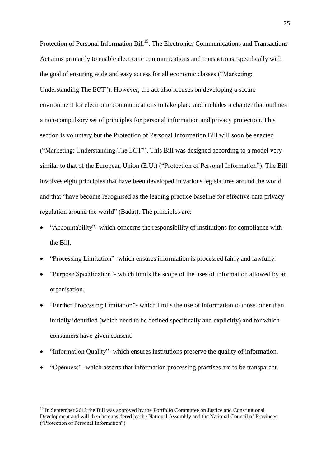Protection of Personal Information Bill<sup>15</sup>. The Electronics Communications and Transactions Act aims primarily to enable electronic communications and transactions, specifically with the goal of ensuring wide and easy access for all economic classes ("Marketing: Understanding The ECT"). However, the act also focuses on developing a secure environment for electronic communications to take place and includes a chapter that outlines a non-compulsory set of principles for personal information and privacy protection. This section is voluntary but the Protection of Personal Information Bill will soon be enacted ("Marketing: Understanding The ECT"). This Bill was designed according to a model very similar to that of the European Union (E.U.) ("Protection of Personal Information"). The Bill involves eight principles that have been developed in various legislatures around the world and that "have become recognised as the leading practice baseline for effective data privacy regulation around the world" (Badat). The principles are:

- "Accountability"- which concerns the responsibility of institutions for compliance with the Bill.
- "Processing Limitation"- which ensures information is processed fairly and lawfully.
- "Purpose Specification"- which limits the scope of the uses of information allowed by an organisation.
- "Further Processing Limitation"- which limits the use of information to those other than initially identified (which need to be defined specifically and explicitly) and for which consumers have given consent.
- "Information Quality"- which ensures institutions preserve the quality of information.
- "Openness"- which asserts that information processing practises are to be transparent.

1

<sup>&</sup>lt;sup>15</sup> In September 2012 the Bill was approved by the Portfolio Committee on Justice and Constitutional Development and will then be considered by the National Assembly and the National Council of Provinces ("Protection of Personal Information")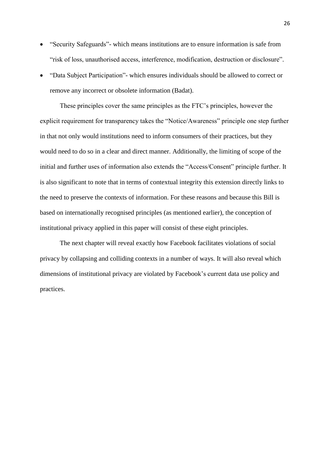- "Security Safeguards"- which means institutions are to ensure information is safe from "risk of loss, unauthorised access, interference, modification, destruction or disclosure".
- "Data Subject Participation"- which ensures individuals should be allowed to correct or remove any incorrect or obsolete information (Badat).

These principles cover the same principles as the FTC's principles, however the explicit requirement for transparency takes the "Notice/Awareness" principle one step further in that not only would institutions need to inform consumers of their practices, but they would need to do so in a clear and direct manner. Additionally, the limiting of scope of the initial and further uses of information also extends the "Access/Consent" principle further. It is also significant to note that in terms of contextual integrity this extension directly links to the need to preserve the contexts of information. For these reasons and because this Bill is based on internationally recognised principles (as mentioned earlier), the conception of institutional privacy applied in this paper will consist of these eight principles.

The next chapter will reveal exactly how Facebook facilitates violations of social privacy by collapsing and colliding contexts in a number of ways. It will also reveal which dimensions of institutional privacy are violated by Facebook's current data use policy and practices.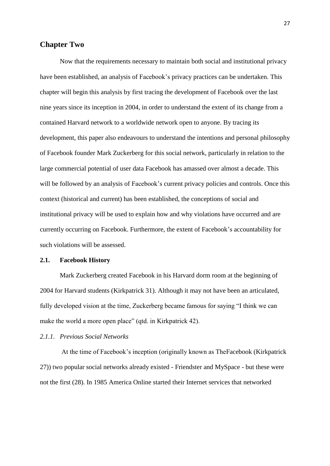# <span id="page-34-0"></span>**Chapter Two**

Now that the requirements necessary to maintain both social and institutional privacy have been established, an analysis of Facebook's privacy practices can be undertaken. This chapter will begin this analysis by first tracing the development of Facebook over the last nine years since its inception in 2004, in order to understand the extent of its change from a contained Harvard network to a worldwide network open to anyone. By tracing its development, this paper also endeavours to understand the intentions and personal philosophy of Facebook founder Mark Zuckerberg for this social network, particularly in relation to the large commercial potential of user data Facebook has amassed over almost a decade. This will be followed by an analysis of Facebook's current privacy policies and controls. Once this context (historical and current) has been established, the conceptions of social and institutional privacy will be used to explain how and why violations have occurred and are currently occurring on Facebook. Furthermore, the extent of Facebook's accountability for such violations will be assessed.

#### <span id="page-34-1"></span>**2.1. Facebook History**

Mark Zuckerberg created Facebook in his Harvard dorm room at the beginning of 2004 for Harvard students (Kirkpatrick 31). Although it may not have been an articulated, fully developed vision at the time, Zuckerberg became famous for saying "I think we can make the world a more open place" (qtd. in Kirkpatrick 42).

# <span id="page-34-2"></span>*2.1.1. Previous Social Networks*

At the time of Facebook's inception (originally known as TheFacebook (Kirkpatrick 27)) two popular social networks already existed - Friendster and MySpace - but these were not the first (28). In 1985 America Online started their Internet services that networked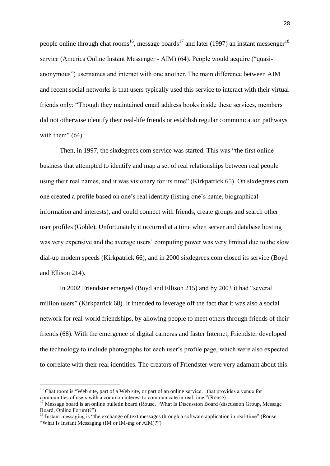people online through chat rooms<sup>16</sup>, message boards<sup>17</sup> and later (1997) an instant messenger<sup>18</sup> service (America Online Instant Messenger - AIM) (64). People would acquire ("quasianonymous") usernames and interact with one another. The main difference between AIM and recent social networks is that users typically used this service to interact with their virtual friends only: "Though they maintained email address books inside these services, members did not otherwise identify their real-life friends or establish regular communication pathways with them"  $(64)$ .

Then, in 1997, the sixdegrees.com service was started. This was "the first online business that attempted to identify and map a set of real relationships between real people using their real names, and it was visionary for its time" (Kirkpatrick 65). On sixdegrees.com one created a profile based on one's real identity (listing one's name, biographical information and interests), and could connect with friends, create groups and search other user profiles (Goble). Unfortunately it occurred at a time when server and database hosting was very expensive and the average users' computing power was very limited due to the slow dial-up modem speeds (Kirkpatrick 66), and in 2000 sixdegrees.com closed its service (Boyd and Ellison 214).

In 2002 Friendster emerged (Boyd and Ellison 215) and by 2003 it had "several million users" (Kirkpatrick 68). It intended to leverage off the fact that it was also a social network for real-world friendships, by allowing people to meet others through friends of their friends (68). With the emergence of digital cameras and faster Internet, Friendster developed the technology to include photographs for each user's profile page, which were also expected to correlate with their real identities. The creators of Friendster were very adamant about this

1

<sup>&</sup>lt;sup>16</sup> Chat room is "Web site, part of a Web site, or part of an online service...that provides a venue for communities of users with a common interest to communicate in real time."(Rouse)

<sup>&</sup>lt;sup>17</sup> Message board is an online bulletin board (Rouse, "What Is Discussion Board (discussion Group, Message) Board, Online Forum)?")

 $18$  Instant messaging is "the exchange of text messages through a software application in real-time" (Rouse, "What Is Instant Messaging (IM or IM-ing or AIM)?")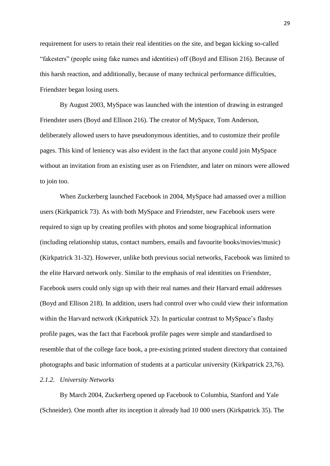requirement for users to retain their real identities on the site, and began kicking so-called "fakesters" (people using fake names and identities) off (Boyd and Ellison 216). Because of this harsh reaction, and additionally, because of many technical performance difficulties, Friendster began losing users.

By August 2003, MySpace was launched with the intention of drawing in estranged Friendster users (Boyd and Ellison 216). The creator of MySpace, Tom Anderson, deliberately allowed users to have pseudonymous identities, and to customize their profile pages. This kind of leniency was also evident in the fact that anyone could join MySpace without an invitation from an existing user as on Friendster, and later on minors were allowed to join too.

When Zuckerberg launched Facebook in 2004, MySpace had amassed over a million users (Kirkpatrick 73). As with both MySpace and Friendster, new Facebook users were required to sign up by creating profiles with photos and some biographical information (including relationship status, contact numbers, emails and favourite books/movies/music) (Kirkpatrick 31-32). However, unlike both previous social networks, Facebook was limited to the elite Harvard network only. Similar to the emphasis of real identities on Friendster, Facebook users could only sign up with their real names and their Harvard email addresses (Boyd and Ellison 218). In addition, users had control over who could view their information within the Harvard network (Kirkpatrick 32). In particular contrast to MySpace's flashy profile pages, was the fact that Facebook profile pages were simple and standardised to resemble that of the college face book, a pre-existing printed student directory that contained photographs and basic information of students at a particular university (Kirkpatrick 23,76).

# *2.1.2. University Networks*

By March 2004, Zuckerberg opened up Facebook to Columbia, Stanford and Yale (Schneider). One month after its inception it already had 10 000 users (Kirkpatrick 35). The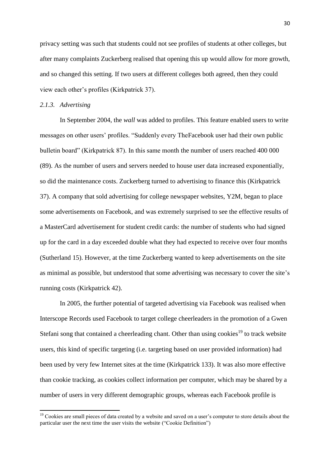privacy setting was such that students could not see profiles of students at other colleges, but after many complaints Zuckerberg realised that opening this up would allow for more growth, and so changed this setting. If two users at different colleges both agreed, then they could view each other's profiles (Kirkpatrick 37).

#### *2.1.3. Advertising*

**.** 

In September 2004, the *wall* was added to profiles. This feature enabled users to write messages on other users' profiles. "Suddenly every TheFacebook user had their own public bulletin board" (Kirkpatrick 87). In this same month the number of users reached 400 000 (89). As the number of users and servers needed to house user data increased exponentially, so did the maintenance costs. Zuckerberg turned to advertising to finance this (Kirkpatrick 37). A company that sold advertising for college newspaper websites, Y2M, began to place some advertisements on Facebook, and was extremely surprised to see the effective results of a MasterCard advertisement for student credit cards: the number of students who had signed up for the card in a day exceeded double what they had expected to receive over four months (Sutherland 15). However, at the time Zuckerberg wanted to keep advertisements on the site as minimal as possible, but understood that some advertising was necessary to cover the site's running costs (Kirkpatrick 42).

In 2005, the further potential of targeted advertising via Facebook was realised when Interscope Records used Facebook to target college cheerleaders in the promotion of a Gwen Stefani song that contained a cheerleading chant. Other than using cookies<sup>19</sup> to track website users, this kind of specific targeting (i.e. targeting based on user provided information) had been used by very few Internet sites at the time (Kirkpatrick 133). It was also more effective than cookie tracking, as cookies collect information per computer, which may be shared by a number of users in very different demographic groups, whereas each Facebook profile is

 $19$  Cookies are small pieces of data created by a website and saved on a user's computer to store details about the particular user the next time the user visits the website ("Cookie Definition")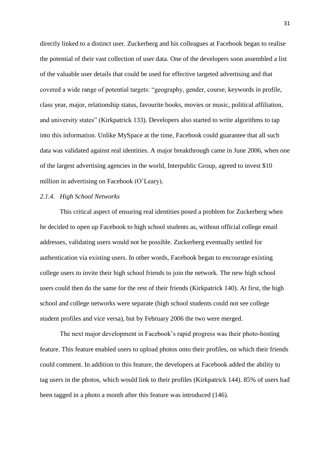directly linked to a distinct user. Zuckerberg and his colleagues at Facebook began to realise the potential of their vast collection of user data. One of the developers soon assembled a list of the valuable user details that could be used for effective targeted advertising and that covered a wide range of potential targets: "geography, gender, course, keywords in profile, class year, major, relationship status, favourite books, movies or music, political affiliation, and university states" (Kirkpatrick 133). Developers also started to write algorithms to tap into this information. Unlike MySpace at the time, Facebook could guarantee that all such data was validated against real identities. A major breakthrough came in June 2006, when one of the largest advertising agencies in the world, Interpublic Group, agreed to invest \$10 million in advertising on Facebook (O'Leary).

## *2.1.4. High School Networks*

This critical aspect of ensuring real identities posed a problem for Zuckerberg when he decided to open up Facebook to high school students as, without official college email addresses, validating users would not be possible. Zuckerberg eventually settled for authentication via existing users. In other words, Facebook began to encourage existing college users to invite their high school friends to join the network. The new high school users could then do the same for the rest of their friends (Kirkpatrick 140). At first, the high school and college networks were separate (high school students could not see college student profiles and vice versa), but by February 2006 the two were merged.

The next major development in Facebook's rapid progress was their photo-hosting feature. This feature enabled users to upload photos onto their profiles, on which their friends could comment. In addition to this feature, the developers at Facebook added the ability to tag users in the photos, which would link to their profiles (Kirkpatrick 144). 85% of users had been tagged in a photo a month after this feature was introduced (146).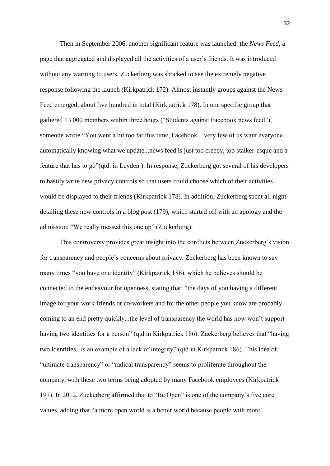Then in September 2006, another significant feature was launched: the *News Feed*, a page that aggregated and displayed all the activities of a user's friends. It was introduced without any warning to users. Zuckerberg was shocked to see the extremely negative response following the launch (Kirkpatrick 172). Almost instantly groups against the News Feed emerged, about five hundred in total (Kirkpatrick 178). In one specific group that gathered 13 000 members within three hours ("Students against Facebook news feed"), someone wrote "You went a bit too far this time, Facebook... very few of us want everyone automatically knowing what we update...news feed is just too creepy, too stalker-esque and a feature that has to go"(qtd. in Leyden ). In response, Zuckerberg got several of his developers to hastily write new privacy controls so that users could choose which of their activities would be displayed to their friends (Kirkpatrick 178). In addition, Zuckerberg spent all night detailing these new controls in a blog post (179), which started off with an apology and the admission: "We really messed this one up" (Zuckerberg).

This controversy provides great insight into the conflicts between Zuckerberg's vision for transparency and people's concerns about privacy. Zuckerberg has been known to say many times "you have one identity" (Kirkpatrick 186), which he believes should be connected to the endeavour for openness, stating that: "the days of you having a different image for your work friends or co-workers and for the other people you know are probably coming to an end pretty quickly...the level of transparency the world has now won't support having two identities for a person" (qtd in Kirkpatrick 186). Zuckerberg believes that "having two identities...is an example of a lack of integrity" (qtd in Kirkpatrick 186). This idea of "ultimate transparency" or "radical transparency" seems to proliferate throughout the company, with these two terms being adopted by many Facebook employees (Kirkpatrick 197). In 2012, Zuckerberg affirmed that to "Be Open" is one of the company's five core values, adding that "a more open world is a better world because people with more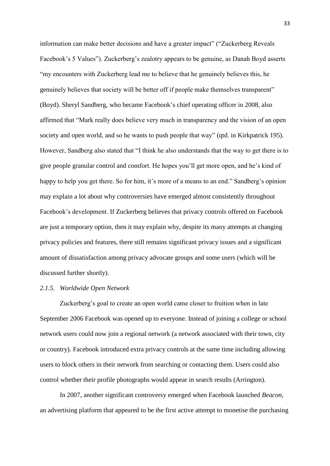information can make better decisions and have a greater impact" ("Zuckerberg Reveals Facebook's 5 Values"). Zuckerberg's zealotry appears to be genuine, as Danah Boyd asserts "my encounters with Zuckerberg lead me to believe that he genuinely believes this, he genuinely believes that society will be better off if people make themselves transparent" (Boyd). Sheryl Sandberg, who became Facebook's chief operating officer in 2008, also affirmed that "Mark really does believe very much in transparency and the vision of an open society and open world, and so he wants to push people that way" (qtd. in Kirkpatrick 195). However, Sandberg also stated that "I think he also understands that the way to get there is to give people granular control and comfort. He hopes you'll get more open, and he's kind of happy to help you get there. So for him, it's more of a means to an end." Sandberg's opinion may explain a lot about why controversies have emerged almost consistently throughout Facebook's development. If Zuckerberg believes that privacy controls offered on Facebook are just a temporary option, then it may explain why, despite its many attempts at changing privacy policies and features, there still remains significant privacy issues and a significant amount of dissatisfaction among privacy advocate groups and some users (which will be discussed further shortly).

# *2.1.5. Worldwide Open Network*

Zuckerberg's goal to create an open world came closer to fruition when in late September 2006 Facebook was opened up to everyone. Instead of joining a college or school network users could now join a regional network (a network associated with their town, city or country). Facebook introduced extra privacy controls at the same time including allowing users to block others in their network from searching or contacting them. Users could also control whether their profile photographs would appear in search results (Arrington).

In 2007, another significant controversy emerged when Facebook launched *Beacon*, an advertising platform that appeared to be the first active attempt to monetise the purchasing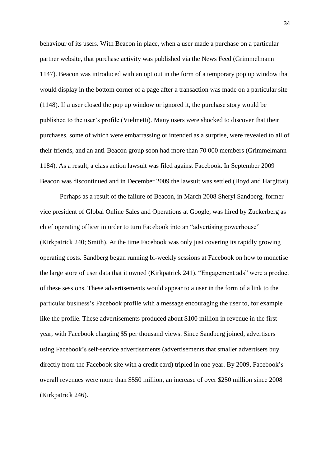behaviour of its users. With Beacon in place, when a user made a purchase on a particular partner website, that purchase activity was published via the News Feed (Grimmelmann 1147). Beacon was introduced with an opt out in the form of a temporary pop up window that would display in the bottom corner of a page after a transaction was made on a particular site (1148). If a user closed the pop up window or ignored it, the purchase story would be published to the user's profile (Vielmetti). Many users were shocked to discover that their purchases, some of which were embarrassing or intended as a surprise, were revealed to all of their friends, and an anti-Beacon group soon had more than 70 000 members (Grimmelmann 1184). As a result, a class action lawsuit was filed against Facebook. In September 2009 Beacon was discontinued and in December 2009 the lawsuit was settled (Boyd and Hargittai).

Perhaps as a result of the failure of Beacon, in March 2008 Sheryl Sandberg, former vice president of Global Online Sales and Operations at Google, was hired by Zuckerberg as chief operating officer in order to turn Facebook into an "advertising powerhouse" (Kirkpatrick 240; Smith). At the time Facebook was only just covering its rapidly growing operating costs. Sandberg began running bi-weekly sessions at Facebook on how to monetise the large store of user data that it owned (Kirkpatrick 241). "Engagement ads" were a product of these sessions. These advertisements would appear to a user in the form of a link to the particular business's Facebook profile with a message encouraging the user to, for example like the profile. These advertisements produced about \$100 million in revenue in the first year, with Facebook charging \$5 per thousand views. Since Sandberg joined, advertisers using Facebook's self-service advertisements (advertisements that smaller advertisers buy directly from the Facebook site with a credit card) tripled in one year. By 2009, Facebook's overall revenues were more than \$550 million, an increase of over \$250 million since 2008 (Kirkpatrick 246).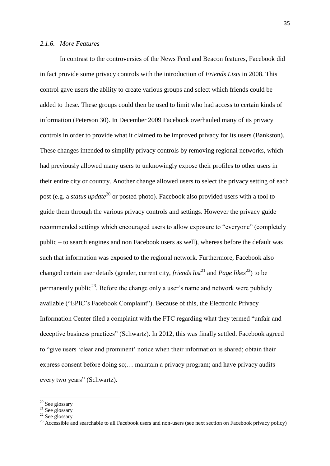#### *2.1.6. More Features*

In contrast to the controversies of the News Feed and Beacon features, Facebook did in fact provide some privacy controls with the introduction of *Friends Lists* in 2008. This control gave users the ability to create various groups and select which friends could be added to these. These groups could then be used to limit who had access to certain kinds of information (Peterson 30). In December 2009 Facebook overhauled many of its privacy controls in order to provide what it claimed to be improved privacy for its users (Bankston). These changes intended to simplify privacy controls by removing regional networks, which had previously allowed many users to unknowingly expose their profiles to other users in their entire city or country. Another change allowed users to select the privacy setting of each post (e.g. a *status update*<sup>20</sup> or posted photo). Facebook also provided users with a tool to guide them through the various privacy controls and settings. However the privacy guide recommended settings which encouraged users to allow exposure to "everyone" (completely public – to search engines and non Facebook users as well), whereas before the default was such that information was exposed to the regional network. Furthermore, Facebook also changed certain user details (gender, current city, *friends list*<sup>21</sup> and *Page likes*<sup>22</sup>) to be permanently public<sup>23</sup>. Before the change only a user's name and network were publicly available ("EPIC's Facebook Complaint"). Because of this, the Electronic Privacy Information Center filed a complaint with the FTC regarding what they termed "unfair and deceptive business practices" (Schwartz). In 2012, this was finally settled. Facebook agreed to "give users 'clear and prominent' notice when their information is shared; obtain their express consent before doing so;… maintain a privacy program; and have privacy audits every two years" (Schwartz).

**.** 

<sup>&</sup>lt;sup>20</sup> See glossary

 $21$  See glossary

 $22$  See glossary

<sup>&</sup>lt;sup>23</sup> Accessible and searchable to all Facebook users and non-users (see next section on Facebook privacy policy)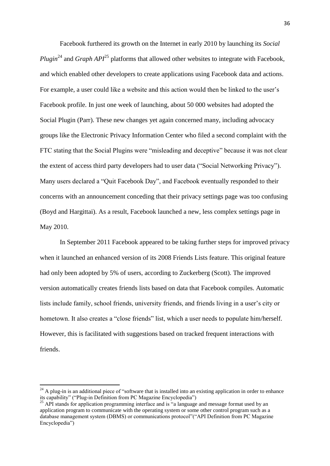Facebook furthered its growth on the Internet in early 2010 by launching its *Social Plugin*<sup>24</sup> and *Graph API*<sup>25</sup> platforms that allowed other websites to integrate with Facebook*,*  and which enabled other developers to create applications using Facebook data and actions. For example, a user could like a website and this action would then be linked to the user's Facebook profile. In just one week of launching, about 50 000 websites had adopted the Social Plugin (Parr). These new changes yet again concerned many, including advocacy groups like the Electronic Privacy Information Center who filed a second complaint with the FTC stating that the Social Plugins were "misleading and deceptive" because it was not clear the extent of access third party developers had to user data ("Social Networking Privacy"). Many users declared a "Quit Facebook Day", and Facebook eventually responded to their concerns with an announcement conceding that their privacy settings page was too confusing (Boyd and Hargittai). As a result, Facebook launched a new, less complex settings page in May 2010.

In September 2011 Facebook appeared to be taking further steps for improved privacy when it launched an enhanced version of its 2008 Friends Lists feature. This original feature had only been adopted by 5% of users, according to Zuckerberg (Scott). The improved version automatically creates friends lists based on data that Facebook compiles. Automatic lists include family, school friends, university friends, and friends living in a user's city or hometown. It also creates a "close friends" list, which a user needs to populate him/herself. However, this is facilitated with suggestions based on tracked frequent interactions with friends.

1

 $^{24}$  A plug-in is an additional piece of "software that is installed into an existing application in order to enhance its capability" ("Plug-in Definition from PC Magazine Encyclopedia")

 $^{25}$  API stands for application programming interface and is "a language and message format used by an application program to communicate with the operating system or some other control program such as a database management system (DBMS) or communications protocol"("API Definition from PC Magazine Encyclopedia")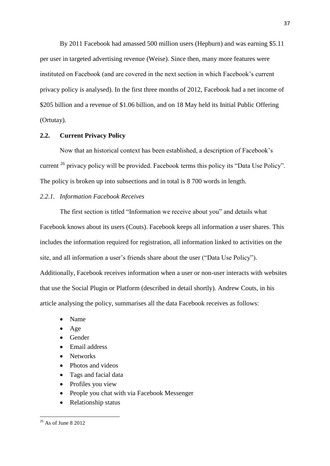By 2011 Facebook had amassed 500 million users (Hepburn) and was earning \$5.11 per user in targeted advertising revenue (Weise). Since then, many more features were instituted on Facebook (and are covered in the next section in which Facebook's current privacy policy is analysed). In the first three months of 2012, Facebook had a net income of \$205 billion and a revenue of \$1.06 billion, and on 18 May held its Initial Public Offering (Ortutay).

### **2.2. Current Privacy Policy**

Now that an historical context has been established, a description of Facebook's current <sup>26</sup> privacy policy will be provided. Facebook terms this policy its "Data Use Policy". The policy is broken up into subsections and in total is 8 700 words in length.

# *2.2.1. Information Facebook Receives*

The first section is titled "Information we receive about you" and details what Facebook knows about its users (Couts). Facebook keeps all information a user shares. This includes the information required for registration, all information linked to activities on the site, and all information a user's friends share about the user ("Data Use Policy"). Additionally, Facebook receives information when a user or non-user interacts with websites that use the Social Plugin or Platform (described in detail shortly). Andrew Couts, in his article analysing the policy, summarises all the data Facebook receives as follows:

- Name
- $\bullet$  Age
- Gender
- Email address
- Networks
- Photos and videos
- Tags and facial data
- Profiles you view
- People you chat with via Facebook Messenger
- Relationship status

**.** 

 $26$  As of June 8 2012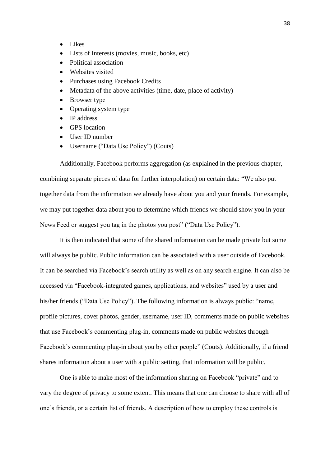- Likes
- Lists of Interests (movies, music, books, etc)
- Political association
- Websites visited
- Purchases using Facebook Credits
- Metadata of the above activities (time, date, place of activity)
- Browser type
- Operating system type
- IP address
- GPS location
- User ID number
- Username ("Data Use Policy") (Couts)

Additionally, Facebook performs aggregation (as explained in the previous chapter, combining separate pieces of data for further interpolation) on certain data: "We also put together data from the information we already have about you and your friends. For example, we may put together data about you to determine which friends we should show you in your News Feed or suggest you tag in the photos you post" ("Data Use Policy").

It is then indicated that some of the shared information can be made private but some will always be public. Public information can be associated with a user outside of Facebook. It can be searched via Facebook's search utility as well as on any search engine. It can also be accessed via "Facebook-integrated games, applications, and websites" used by a user and his/her friends ("Data Use Policy"). The following information is always public: "name, profile pictures, cover photos, gender, username, user ID, comments made on public websites that use Facebook's commenting plug-in, comments made on public websites through Facebook's commenting plug-in about you by other people" (Couts). Additionally, if a friend shares information about a user with a public setting, that information will be public.

One is able to make most of the information sharing on Facebook "private" and to vary the degree of privacy to some extent. This means that one can choose to share with all of one's friends, or a certain list of friends. A description of how to employ these controls is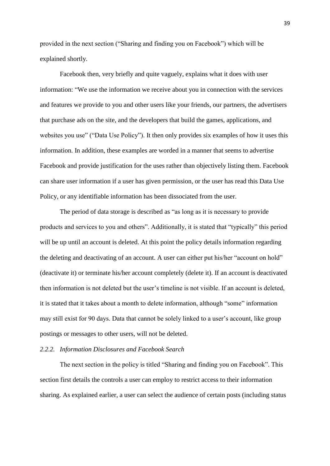provided in the next section ("Sharing and finding you on Facebook") which will be explained shortly.

Facebook then, very briefly and quite vaguely, explains what it does with user information: "We use the information we receive about you in connection with the services and features we provide to you and other users like your friends, our partners, the advertisers that purchase ads on the site, and the developers that build the games, applications, and websites you use" ("Data Use Policy"). It then only provides six examples of how it uses this information. In addition, these examples are worded in a manner that seems to advertise Facebook and provide justification for the uses rather than objectively listing them. Facebook can share user information if a user has given permission, or the user has read this Data Use Policy, or any identifiable information has been dissociated from the user.

The period of data storage is described as "as long as it is necessary to provide products and services to you and others". Additionally, it is stated that "typically" this period will be up until an account is deleted. At this point the policy details information regarding the deleting and deactivating of an account. A user can either put his/her "account on hold" (deactivate it) or terminate his/her account completely (delete it). If an account is deactivated then information is not deleted but the user's timeline is not visible. If an account is deleted, it is stated that it takes about a month to delete information, although "some" information may still exist for 90 days. Data that cannot be solely linked to a user's account, like group postings or messages to other users, will not be deleted.

#### *2.2.2. Information Disclosures and Facebook Search*

The next section in the policy is titled "Sharing and finding you on Facebook". This section first details the controls a user can employ to restrict access to their information sharing. As explained earlier, a user can select the audience of certain posts (including status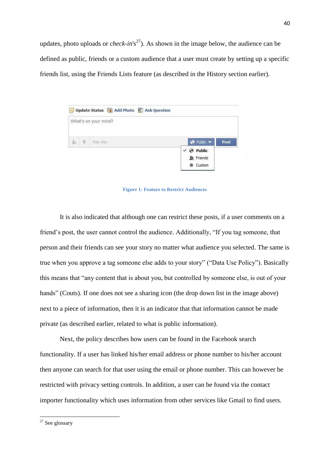updates, photo uploads or *check-in*'s<sup>27</sup>). As shown in the image below, the audience can be defined as public, friends or a custom audience that a user must create by setting up a specific friends list, using the Friends Lists feature (as described in the History section earlier).

|                        |              | What's on your mind? |                                                                 |      |
|------------------------|--------------|----------------------|-----------------------------------------------------------------|------|
| $\underline{\theta}_P$ | $\mathcal Q$ | Palo Alto            | $\Theta$ Public $\blacktriangledown$                            | Post |
|                        |              |                      | $\vee$ ( $\triangle$ Public<br><b>&amp;</b> Friends<br>※ Custom |      |

**Figure 1: Feature to Restrict Audiences**

It is also indicated that although one can restrict these posts, if a user comments on a friend's post, the user cannot control the audience. Additionally, "If you tag someone, that person and their friends can see your story no matter what audience you selected. The same is true when you approve a tag someone else adds to your story" ("Data Use Policy"). Basically this means that "any content that is about you, but controlled by someone else, is out of your hands" (Couts). If one does not see a sharing icon (the drop down list in the image above) next to a piece of information, then it is an indicator that that information cannot be made private (as described earlier, related to what is public information).

Next, the policy describes how users can be found in the Facebook search functionality. If a user has linked his/her email address or phone number to his/her account then anyone can search for that user using the email or phone number. This can however be restricted with privacy setting controls. In addition, a user can be found via the contact importer functionality which uses information from other services like Gmail to find users.

**.** 

 $27$  See glossary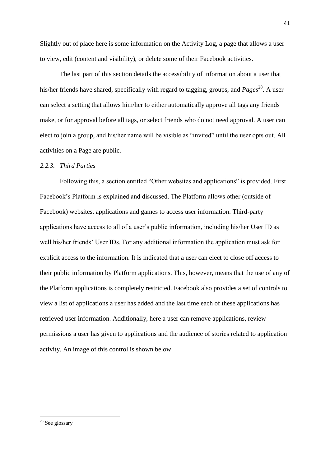Slightly out of place here is some information on the Activity Log, a page that allows a user to view, edit (content and visibility), or delete some of their Facebook activities.

The last part of this section details the accessibility of information about a user that his/her friends have shared, specifically with regard to tagging, groups, and *Pages* <sup>28</sup>. A user can select a setting that allows him/her to either automatically approve all tags any friends make, or for approval before all tags, or select friends who do not need approval. A user can elect to join a group, and his/her name will be visible as "invited" until the user opts out. All activities on a Page are public.

### *2.2.3. Third Parties*

Following this, a section entitled "Other websites and applications" is provided. First Facebook's Platform is explained and discussed. The Platform allows other (outside of Facebook) websites, applications and games to access user information. Third-party applications have access to all of a user's public information, including his/her User ID as well his/her friends' User IDs. For any additional information the application must ask for explicit access to the information. It is indicated that a user can elect to close off access to their public information by Platform applications. This, however, means that the use of any of the Platform applications is completely restricted. Facebook also provides a set of controls to view a list of applications a user has added and the last time each of these applications has retrieved user information. Additionally, here a user can remove applications, review permissions a user has given to applications and the audience of stories related to application activity. An image of this control is shown below.

**.** 

<sup>&</sup>lt;sup>28</sup> See glossary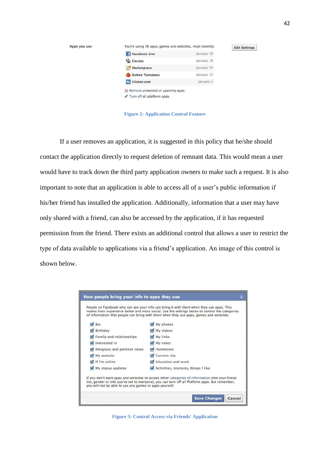| Apps you use | You're using 36 apps, games and websites, most recently: | <b>Edit Settings</b> |  |
|--------------|----------------------------------------------------------|----------------------|--|
|              | Facebook Live                                            | January 19           |  |
|              | Causes                                                   | January 19           |  |
|              | Marketplace                                              | January 14           |  |
|              | <b>Rotten Tomatoes</b>                                   | January 12           |  |
|              | <b>Cicker.com</b>                                        | January 1            |  |
|              | 3% Remove unwanted or spammy apps.                       |                      |  |
|              | Turn off all platform apps.                              |                      |  |

**Figure 2: Application Control Feature**

If a user removes an application, it is suggested in this policy that he/she should contact the application directly to request deletion of remnant data. This would mean a user would have to track down the third party application owners to make such a request. It is also important to note that an application is able to access all of a user's public information if his/her friend has installed the application. Additionally, information that a user may have only shared with a friend, can also be accessed by the application, if it has requested permission from the friend. There exists an additional control that allows a user to restrict the type of data available to applications via a friend's application. An image of this control is shown below.



**Figure 3: Control Access via Friends' Application**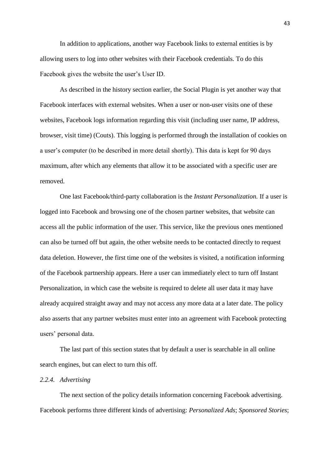In addition to applications, another way Facebook links to external entities is by allowing users to log into other websites with their Facebook credentials. To do this Facebook gives the website the user's User ID.

As described in the history section earlier, the Social Plugin is yet another way that Facebook interfaces with external websites. When a user or non-user visits one of these websites, Facebook logs information regarding this visit (including user name, IP address, browser, visit time) (Couts). This logging is performed through the installation of cookies on a user's computer (to be described in more detail shortly). This data is kept for 90 days maximum, after which any elements that allow it to be associated with a specific user are removed.

One last Facebook/third-party collaboration is the *Instant Personalization.* If a user is logged into Facebook and browsing one of the chosen partner websites, that website can access all the public information of the user. This service, like the previous ones mentioned can also be turned off but again, the other website needs to be contacted directly to request data deletion. However, the first time one of the websites is visited, a notification informing of the Facebook partnership appears. Here a user can immediately elect to turn off Instant Personalization, in which case the website is required to delete all user data it may have already acquired straight away and may not access any more data at a later date. The policy also asserts that any partner websites must enter into an agreement with Facebook protecting users' personal data.

The last part of this section states that by default a user is searchable in all online search engines, but can elect to turn this off.

# *2.2.4. Advertising*

The next section of the policy details information concerning Facebook advertising. Facebook performs three different kinds of advertising: *Personalized Ads*; *Sponsored Stories*;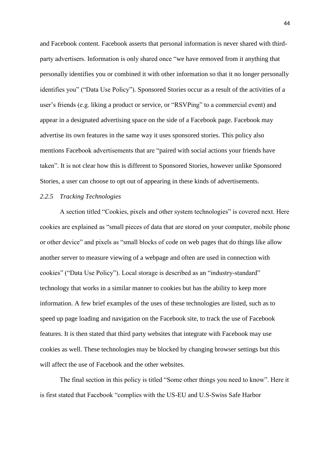and Facebook content. Facebook asserts that personal information is never shared with thirdparty advertisers. Information is only shared once "we have removed from it anything that personally identifies you or combined it with other information so that it no longer personally identifies you" ("Data Use Policy"). Sponsored Stories occur as a result of the activities of a user's friends (e.g. liking a product or service, or "RSVPing" to a commercial event) and appear in a designated advertising space on the side of a Facebook page. Facebook may advertise its own features in the same way it uses sponsored stories. This policy also mentions Facebook advertisements that are "paired with social actions your friends have taken". It is not clear how this is different to Sponsored Stories, however unlike Sponsored Stories, a user can choose to opt out of appearing in these kinds of advertisements.

# *2.2.5 Tracking Technologies*

A section titled "Cookies, pixels and other system technologies" is covered next. Here cookies are explained as "small pieces of data that are stored on your computer, mobile phone or other device" and pixels as "small blocks of code on web pages that do things like allow another server to measure viewing of a webpage and often are used in connection with cookies" ("Data Use Policy"). Local storage is described as an "industry-standard" technology that works in a similar manner to cookies but has the ability to keep more information. A few brief examples of the uses of these technologies are listed, such as to speed up page loading and navigation on the Facebook site, to track the use of Facebook features. It is then stated that third party websites that integrate with Facebook may use cookies as well. These technologies may be blocked by changing browser settings but this will affect the use of Facebook and the other websites.

The final section in this policy is titled "Some other things you need to know". Here it is first stated that Facebook "complies with the US-EU and U.S-Swiss Safe Harbor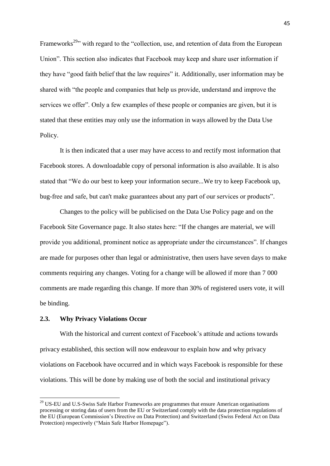Frameworks<sup>29</sup>" with regard to the "collection, use, and retention of data from the European Union". This section also indicates that Facebook may keep and share user information if they have "good faith belief that the law requires" it. Additionally, user information may be shared with "the people and companies that help us provide, understand and improve the services we offer". Only a few examples of these people or companies are given, but it is stated that these entities may only use the information in ways allowed by the Data Use Policy.

It is then indicated that a user may have access to and rectify most information that Facebook stores. A downloadable copy of personal information is also available. It is also stated that "We do our best to keep your information secure...We try to keep Facebook up, bug-free and safe, but can't make guarantees about any part of our services or products".

Changes to the policy will be publicised on the Data Use Policy page and on the Facebook Site Governance page. It also states here: "If the changes are material, we will provide you additional, prominent notice as appropriate under the circumstances". If changes are made for purposes other than legal or administrative, then users have seven days to make comments requiring any changes. Voting for a change will be allowed if more than 7 000 comments are made regarding this change. If more than 30% of registered users vote, it will be binding.

### **2.3. Why Privacy Violations Occur**

**.** 

With the historical and current context of Facebook's attitude and actions towards privacy established, this section will now endeavour to explain how and why privacy violations on Facebook have occurred and in which ways Facebook is responsible for these violations. This will be done by making use of both the social and institutional privacy

 $29$  US-EU and U.S-Swiss Safe Harbor Frameworks are programmes that ensure American organisations processing or storing data of users from the EU or Switzerland comply with the data protection regulations of the EU (European Commission's Directive on Data Protection) and Switzerland (Swiss Federal Act on Data Protection) respectively ("Main Safe Harbor Homepage").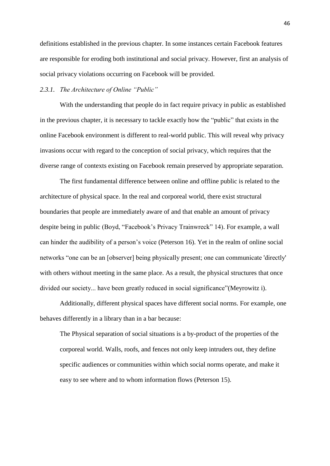definitions established in the previous chapter. In some instances certain Facebook features are responsible for eroding both institutional and social privacy. However, first an analysis of social privacy violations occurring on Facebook will be provided.

## *2.3.1. The Architecture of Online "Public"*

With the understanding that people do in fact require privacy in public as established in the previous chapter, it is necessary to tackle exactly how the "public" that exists in the online Facebook environment is different to real-world public. This will reveal why privacy invasions occur with regard to the conception of social privacy, which requires that the diverse range of contexts existing on Facebook remain preserved by appropriate separation.

The first fundamental difference between online and offline public is related to the architecture of physical space. In the real and corporeal world, there exist structural boundaries that people are immediately aware of and that enable an amount of privacy despite being in public (Boyd, "Facebook's Privacy Trainwreck" 14). For example, a wall can hinder the audibility of a person's voice (Peterson 16). Yet in the realm of online social networks "one can be an [observer] being physically present; one can communicate 'directly' with others without meeting in the same place. As a result, the physical structures that once divided our society... have been greatly reduced in social significance"(Meyrowitz i).

Additionally, different physical spaces have different social norms. For example, one behaves differently in a library than in a bar because:

The Physical separation of social situations is a by-product of the properties of the corporeal world. Walls, roofs, and fences not only keep intruders out, they define specific audiences or communities within which social norms operate, and make it easy to see where and to whom information flows (Peterson 15).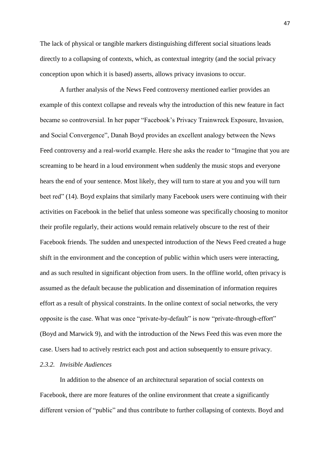The lack of physical or tangible markers distinguishing different social situations leads directly to a collapsing of contexts, which, as contextual integrity (and the social privacy conception upon which it is based) asserts, allows privacy invasions to occur.

A further analysis of the News Feed controversy mentioned earlier provides an example of this context collapse and reveals why the introduction of this new feature in fact became so controversial. In her paper "Facebook's Privacy Trainwreck Exposure, Invasion, and Social Convergence", Danah Boyd provides an excellent analogy between the News Feed controversy and a real-world example. Here she asks the reader to "Imagine that you are screaming to be heard in a loud environment when suddenly the music stops and everyone hears the end of your sentence. Most likely, they will turn to stare at you and you will turn beet red" (14). Boyd explains that similarly many Facebook users were continuing with their activities on Facebook in the belief that unless someone was specifically choosing to monitor their profile regularly, their actions would remain relatively obscure to the rest of their Facebook friends. The sudden and unexpected introduction of the News Feed created a huge shift in the environment and the conception of public within which users were interacting, and as such resulted in significant objection from users. In the offline world, often privacy is assumed as the default because the publication and dissemination of information requires effort as a result of physical constraints. In the online context of social networks, the very opposite is the case. What was once "private-by-default" is now "private-through-effort" (Boyd and Marwick 9), and with the introduction of the News Feed this was even more the case. Users had to actively restrict each post and action subsequently to ensure privacy.

### *2.3.2. Invisible Audiences*

In addition to the absence of an architectural separation of social contexts on Facebook, there are more features of the online environment that create a significantly different version of "public" and thus contribute to further collapsing of contexts. Boyd and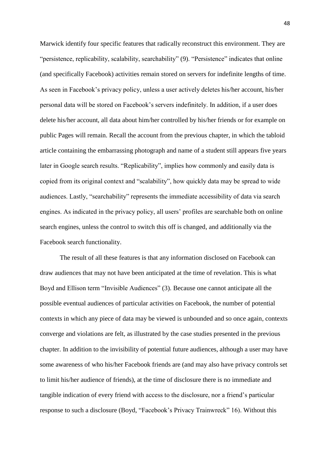Marwick identify four specific features that radically reconstruct this environment. They are "persistence, replicability, scalability, searchability" (9). "Persistence" indicates that online (and specifically Facebook) activities remain stored on servers for indefinite lengths of time. As seen in Facebook's privacy policy, unless a user actively deletes his/her account, his/her personal data will be stored on Facebook's servers indefinitely. In addition, if a user does delete his/her account, all data about him/her controlled by his/her friends or for example on public Pages will remain. Recall the account from the previous chapter, in which the tabloid article containing the embarrassing photograph and name of a student still appears five years later in Google search results. "Replicability", implies how commonly and easily data is copied from its original context and "scalability", how quickly data may be spread to wide audiences. Lastly, "searchability" represents the immediate accessibility of data via search engines. As indicated in the privacy policy, all users' profiles are searchable both on online search engines, unless the control to switch this off is changed, and additionally via the Facebook search functionality.

The result of all these features is that any information disclosed on Facebook can draw audiences that may not have been anticipated at the time of revelation. This is what Boyd and Ellison term "Invisible Audiences" (3). Because one cannot anticipate all the possible eventual audiences of particular activities on Facebook, the number of potential contexts in which any piece of data may be viewed is unbounded and so once again, contexts converge and violations are felt, as illustrated by the case studies presented in the previous chapter. In addition to the invisibility of potential future audiences, although a user may have some awareness of who his/her Facebook friends are (and may also have privacy controls set to limit his/her audience of friends), at the time of disclosure there is no immediate and tangible indication of every friend with access to the disclosure, nor a friend's particular response to such a disclosure (Boyd, "Facebook's Privacy Trainwreck" 16). Without this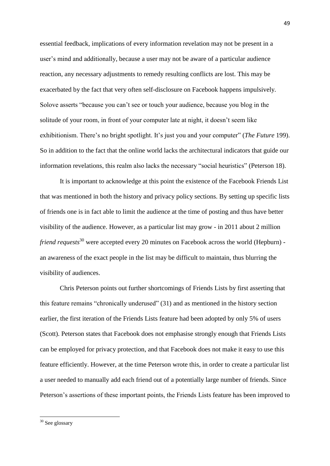essential feedback, implications of every information revelation may not be present in a user's mind and additionally, because a user may not be aware of a particular audience reaction, any necessary adjustments to remedy resulting conflicts are lost. This may be exacerbated by the fact that very often self-disclosure on Facebook happens impulsively. Solove asserts "because you can't see or touch your audience, because you blog in the solitude of your room, in front of your computer late at night, it doesn't seem like exhibitionism. There's no bright spotlight. It's just you and your computer" (*The Future* 199). So in addition to the fact that the online world lacks the architectural indicators that guide our information revelations, this realm also lacks the necessary "social heuristics" (Peterson 18).

It is important to acknowledge at this point the existence of the Facebook Friends List that was mentioned in both the history and privacy policy sections. By setting up specific lists of friends one is in fact able to limit the audience at the time of posting and thus have better visibility of the audience. However, as a particular list may grow - in 2011 about 2 million *friend requests*<sup>30</sup> were accepted every 20 minutes on Facebook across the world (Hepburn) an awareness of the exact people in the list may be difficult to maintain, thus blurring the visibility of audiences.

Chris Peterson points out further shortcomings of Friends Lists by first asserting that this feature remains "chronically underused" (31) and as mentioned in the history section earlier, the first iteration of the Friends Lists feature had been adopted by only 5% of users (Scott). Peterson states that Facebook does not emphasise strongly enough that Friends Lists can be employed for privacy protection, and that Facebook does not make it easy to use this feature efficiently. However, at the time Peterson wrote this, in order to create a particular list a user needed to manually add each friend out of a potentially large number of friends. Since Peterson's assertions of these important points, the Friends Lists feature has been improved to

**.** 

 $30$  See glossary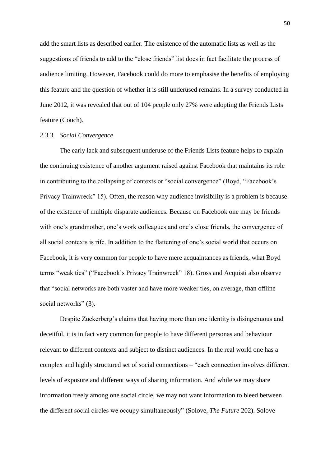add the smart lists as described earlier. The existence of the automatic lists as well as the suggestions of friends to add to the "close friends" list does in fact facilitate the process of audience limiting. However, Facebook could do more to emphasise the benefits of employing this feature and the question of whether it is still underused remains. In a survey conducted in June 2012, it was revealed that out of 104 people only 27% were adopting the Friends Lists feature (Couch).

#### *2.3.3. Social Convergence*

The early lack and subsequent underuse of the Friends Lists feature helps to explain the continuing existence of another argument raised against Facebook that maintains its role in contributing to the collapsing of contexts or "social convergence" (Boyd, "Facebook's Privacy Trainwreck" 15). Often, the reason why audience invisibility is a problem is because of the existence of multiple disparate audiences. Because on Facebook one may be friends with one's grandmother, one's work colleagues and one's close friends, the convergence of all social contexts is rife. In addition to the flattening of one's social world that occurs on Facebook, it is very common for people to have mere acquaintances as friends, what Boyd terms "weak ties" ("Facebook's Privacy Trainwreck" 18). Gross and Acquisti also observe that "social networks are both vaster and have more weaker ties, on average, than offline social networks" (3).

Despite Zuckerberg's claims that having more than one identity is disingenuous and deceitful, it is in fact very common for people to have different personas and behaviour relevant to different contexts and subject to distinct audiences. In the real world one has a complex and highly structured set of social connections – "each connection involves different levels of exposure and different ways of sharing information. And while we may share information freely among one social circle, we may not want information to bleed between the different social circles we occupy simultaneously" (Solove, *The Future* 202). Solove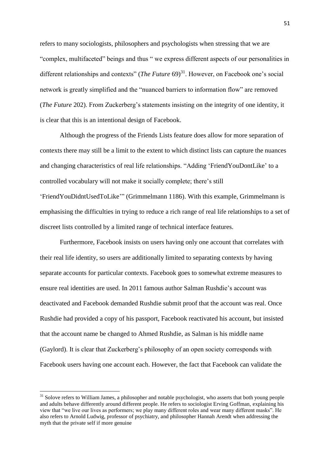refers to many sociologists, philosophers and psychologists when stressing that we are "complex, multifaceted" beings and thus " we express different aspects of our personalities in different relationships and contexts" (*The Future* 69)<sup>31</sup>. However, on Facebook one's social network is greatly simplified and the "nuanced barriers to information flow" are removed (*The Future* 202). From Zuckerberg's statements insisting on the integrity of one identity, it is clear that this is an intentional design of Facebook.

Although the progress of the Friends Lists feature does allow for more separation of contexts there may still be a limit to the extent to which distinct lists can capture the nuances and changing characteristics of real life relationships. "Adding 'FriendYouDontLike' to a controlled vocabulary will not make it socially complete; there's still 'FriendYouDidntUsedToLike'" (Grimmelmann 1186). With this example, Grimmelmann is emphasising the difficulties in trying to reduce a rich range of real life relationships to a set of discreet lists controlled by a limited range of technical interface features.

Furthermore, Facebook insists on users having only one account that correlates with their real life identity, so users are additionally limited to separating contexts by having separate accounts for particular contexts. Facebook goes to somewhat extreme measures to ensure real identities are used. In 2011 famous author Salman Rushdie's account was deactivated and Facebook demanded Rushdie submit proof that the account was real. Once Rushdie had provided a copy of his passport, Facebook reactivated his account, but insisted that the account name be changed to Ahmed Rushdie, as Salman is his middle name (Gaylord). It is clear that Zuckerberg's philosophy of an open society corresponds with Facebook users having one account each. However, the fact that Facebook can validate the

**.** 

<sup>&</sup>lt;sup>31</sup> Solove refers to William James, a philosopher and notable psychologist, who asserts that both young people and adults behave differently around different people. He refers to sociologist Erving Goffman, explaining his view that "we live our lives as performers; we play many different roles and wear many different masks". He also refers to Arnold Ludwig, professor of psychiatry, and philosopher Hannah Arendt when addressing the myth that the private self if more genuine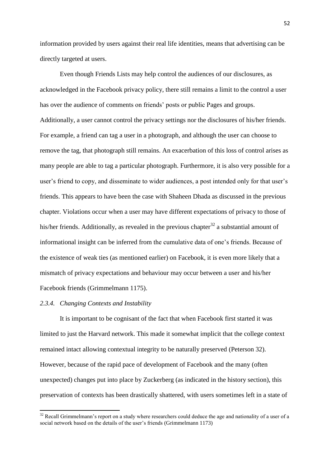information provided by users against their real life identities, means that advertising can be directly targeted at users.

Even though Friends Lists may help control the audiences of our disclosures, as acknowledged in the Facebook privacy policy, there still remains a limit to the control a user has over the audience of comments on friends' posts or public Pages and groups. Additionally, a user cannot control the privacy settings nor the disclosures of his/her friends. For example, a friend can tag a user in a photograph, and although the user can choose to remove the tag, that photograph still remains. An exacerbation of this loss of control arises as many people are able to tag a particular photograph. Furthermore, it is also very possible for a user's friend to copy, and disseminate to wider audiences, a post intended only for that user's friends. This appears to have been the case with Shaheen Dhada as discussed in the previous chapter. Violations occur when a user may have different expectations of privacy to those of his/her friends. Additionally, as revealed in the previous chapter<sup>32</sup> a substantial amount of informational insight can be inferred from the cumulative data of one's friends. Because of the existence of weak ties (as mentioned earlier) on Facebook, it is even more likely that a mismatch of privacy expectations and behaviour may occur between a user and his/her Facebook friends (Grimmelmann 1175).

#### *2.3.4. Changing Contexts and Instability*

**.** 

It is important to be cognisant of the fact that when Facebook first started it was limited to just the Harvard network. This made it somewhat implicit that the college context remained intact allowing contextual integrity to be naturally preserved (Peterson 32). However, because of the rapid pace of development of Facebook and the many (often unexpected) changes put into place by Zuckerberg (as indicated in the history section), this preservation of contexts has been drastically shattered, with users sometimes left in a state of

 $32$  Recall Grimmelmann's report on a study where researchers could deduce the age and nationality of a user of a social network based on the details of the user's friends (Grimmelmann 1173)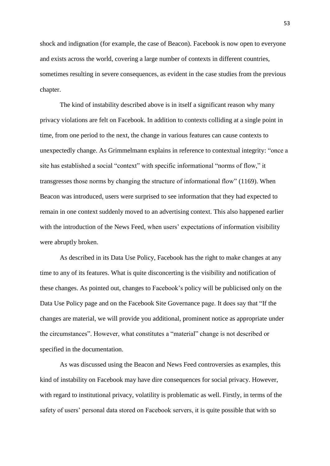shock and indignation (for example, the case of Beacon). Facebook is now open to everyone and exists across the world, covering a large number of contexts in different countries, sometimes resulting in severe consequences, as evident in the case studies from the previous chapter.

The kind of instability described above is in itself a significant reason why many privacy violations are felt on Facebook. In addition to contexts colliding at a single point in time, from one period to the next, the change in various features can cause contexts to unexpectedly change. As Grimmelmann explains in reference to contextual integrity: "once a site has established a social "context" with specific informational "norms of flow," it transgresses those norms by changing the structure of informational flow" (1169). When Beacon was introduced, users were surprised to see information that they had expected to remain in one context suddenly moved to an advertising context. This also happened earlier with the introduction of the News Feed, when users' expectations of information visibility were abruptly broken.

As described in its Data Use Policy, Facebook has the right to make changes at any time to any of its features. What is quite disconcerting is the visibility and notification of these changes. As pointed out, changes to Facebook's policy will be publicised only on the Data Use Policy page and on the Facebook Site Governance page. It does say that "If the changes are material, we will provide you additional, prominent notice as appropriate under the circumstances". However, what constitutes a "material" change is not described or specified in the documentation.

As was discussed using the Beacon and News Feed controversies as examples, this kind of instability on Facebook may have dire consequences for social privacy. However, with regard to institutional privacy, volatility is problematic as well. Firstly, in terms of the safety of users' personal data stored on Facebook servers, it is quite possible that with so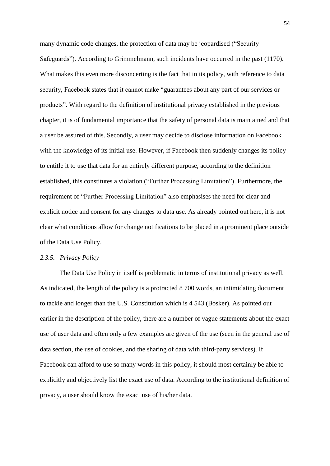many dynamic code changes, the protection of data may be jeopardised ("Security Safeguards"). According to Grimmelmann, such incidents have occurred in the past (1170). What makes this even more disconcerting is the fact that in its policy, with reference to data security, Facebook states that it cannot make "guarantees about any part of our services or products". With regard to the definition of institutional privacy established in the previous chapter, it is of fundamental importance that the safety of personal data is maintained and that a user be assured of this. Secondly, a user may decide to disclose information on Facebook with the knowledge of its initial use. However, if Facebook then suddenly changes its policy to entitle it to use that data for an entirely different purpose, according to the definition established, this constitutes a violation ("Further Processing Limitation"). Furthermore, the requirement of "Further Processing Limitation" also emphasises the need for clear and explicit notice and consent for any changes to data use. As already pointed out here, it is not clear what conditions allow for change notifications to be placed in a prominent place outside of the Data Use Policy.

### *2.3.5. Privacy Policy*

The Data Use Policy in itself is problematic in terms of institutional privacy as well. As indicated, the length of the policy is a protracted 8 700 words, an intimidating document to tackle and longer than the U.S. Constitution which is 4 543 (Bosker). As pointed out earlier in the description of the policy, there are a number of vague statements about the exact use of user data and often only a few examples are given of the use (seen in the general use of data section, the use of cookies, and the sharing of data with third-party services). If Facebook can afford to use so many words in this policy, it should most certainly be able to explicitly and objectively list the exact use of data. According to the institutional definition of privacy, a user should know the exact use of his/her data.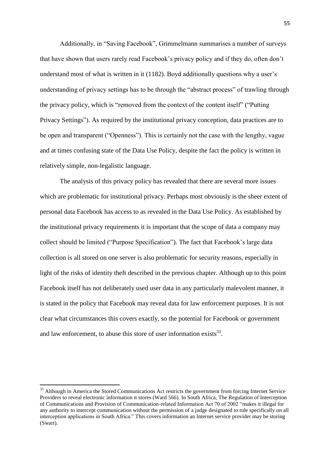Additionally, in "Saving Facebook", Grimmelmann summarises a number of surveys that have shown that users rarely read Facebook's privacy policy and if they do, often don't understand most of what is written in it (1182). Boyd additionally questions why a user's understanding of privacy settings has to be through the "abstract process" of trawling through the privacy policy, which is "removed from the context of the content itself" ("Putting Privacy Settings"). As required by the institutional privacy conception, data practices are to be open and transparent ("Openness"). This is certainly not the case with the lengthy, vague and at times confusing state of the Data Use Policy, despite the fact the policy is written in relatively simple, non-legalistic language.

The analysis of this privacy policy has revealed that there are several more issues which are problematic for institutional privacy. Perhaps most obviously is the sheer extent of personal data Facebook has access to as revealed in the Data Use Policy. As established by the institutional privacy requirements it is important that the scope of data a company may collect should be limited ("Purpose Specification"). The fact that Facebook's large data collection is all stored on one server is also problematic for security reasons, especially in light of the risks of identity theft described in the previous chapter. Although up to this point Facebook itself has not deliberately used user data in any particularly malevolent manner, it is stated in the policy that Facebook may reveal data for law enforcement purposes. It is not clear what circumstances this covers exactly, so the potential for Facebook or government and law enforcement, to abuse this store of user information exists $^{33}$ .

1

<sup>&</sup>lt;sup>33</sup> Although in America the Stored Communications Act restricts the government from forcing Internet Service Providers to reveal electronic information it stores (Ward 566). In South Africa, The Regulation of Interception of Communications and Provision of Communication-related Information Act 70 of 2002 "makes it illegal for any authority to intercept communication without the permission of a judge designated to rule specifically on all interception applications in South Africa." This covers information an Internet service provider may be storing (Swart).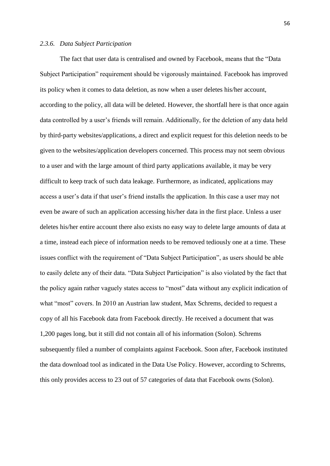# *2.3.6. Data Subject Participation*

The fact that user data is centralised and owned by Facebook, means that the "Data Subject Participation" requirement should be vigorously maintained. Facebook has improved its policy when it comes to data deletion, as now when a user deletes his/her account, according to the policy, all data will be deleted. However, the shortfall here is that once again data controlled by a user's friends will remain. Additionally, for the deletion of any data held by third-party websites/applications, a direct and explicit request for this deletion needs to be given to the websites/application developers concerned. This process may not seem obvious to a user and with the large amount of third party applications available, it may be very difficult to keep track of such data leakage. Furthermore, as indicated, applications may access a user's data if that user's friend installs the application. In this case a user may not even be aware of such an application accessing his/her data in the first place. Unless a user deletes his/her entire account there also exists no easy way to delete large amounts of data at a time, instead each piece of information needs to be removed tediously one at a time. These issues conflict with the requirement of "Data Subject Participation", as users should be able to easily delete any of their data. "Data Subject Participation" is also violated by the fact that the policy again rather vaguely states access to "most" data without any explicit indication of what "most" covers. In 2010 an Austrian law student, Max Schrems, decided to request a copy of all his Facebook data from Facebook directly. He received a document that was 1,200 pages long, but it still did not contain all of his information (Solon). Schrems subsequently filed a number of complaints against Facebook. Soon after, Facebook instituted the data download tool as indicated in the Data Use Policy. However, according to Schrems, this only provides access to 23 out of 57 categories of data that Facebook owns (Solon).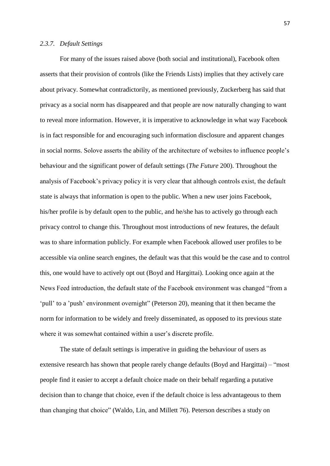#### *2.3.7. Default Settings*

For many of the issues raised above (both social and institutional), Facebook often asserts that their provision of controls (like the Friends Lists) implies that they actively care about privacy. Somewhat contradictorily, as mentioned previously, Zuckerberg has said that privacy as a social norm has disappeared and that people are now naturally changing to want to reveal more information. However, it is imperative to acknowledge in what way Facebook is in fact responsible for and encouraging such information disclosure and apparent changes in social norms. Solove asserts the ability of the architecture of websites to influence people's behaviour and the significant power of default settings (*The Future* 200). Throughout the analysis of Facebook's privacy policy it is very clear that although controls exist, the default state is always that information is open to the public. When a new user joins Facebook, his/her profile is by default open to the public, and he/she has to actively go through each privacy control to change this. Throughout most introductions of new features, the default was to share information publicly. For example when Facebook allowed user profiles to be accessible via online search engines, the default was that this would be the case and to control this, one would have to actively opt out (Boyd and Hargittai). Looking once again at the News Feed introduction, the default state of the Facebook environment was changed "from a 'pull' to a 'push' environment overnight" (Peterson 20), meaning that it then became the norm for information to be widely and freely disseminated, as opposed to its previous state where it was somewhat contained within a user's discrete profile.

The state of default settings is imperative in guiding the behaviour of users as extensive research has shown that people rarely change defaults (Boyd and Hargittai) – "most people find it easier to accept a default choice made on their behalf regarding a putative decision than to change that choice, even if the default choice is less advantageous to them than changing that choice" (Waldo, Lin, and Millett 76). Peterson describes a study on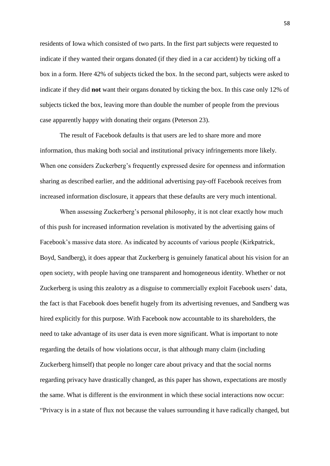residents of Iowa which consisted of two parts. In the first part subjects were requested to indicate if they wanted their organs donated (if they died in a car accident) by ticking off a box in a form. Here 42% of subjects ticked the box. In the second part, subjects were asked to indicate if they did **not** want their organs donated by ticking the box. In this case only 12% of subjects ticked the box, leaving more than double the number of people from the previous case apparently happy with donating their organs (Peterson 23).

The result of Facebook defaults is that users are led to share more and more information, thus making both social and institutional privacy infringements more likely. When one considers Zuckerberg's frequently expressed desire for openness and information sharing as described earlier, and the additional advertising pay-off Facebook receives from increased information disclosure, it appears that these defaults are very much intentional.

When assessing Zuckerberg's personal philosophy, it is not clear exactly how much of this push for increased information revelation is motivated by the advertising gains of Facebook's massive data store. As indicated by accounts of various people (Kirkpatrick, Boyd, Sandberg), it does appear that Zuckerberg is genuinely fanatical about his vision for an open society, with people having one transparent and homogeneous identity. Whether or not Zuckerberg is using this zealotry as a disguise to commercially exploit Facebook users' data, the fact is that Facebook does benefit hugely from its advertising revenues, and Sandberg was hired explicitly for this purpose. With Facebook now accountable to its shareholders, the need to take advantage of its user data is even more significant. What is important to note regarding the details of how violations occur, is that although many claim (including Zuckerberg himself) that people no longer care about privacy and that the social norms regarding privacy have drastically changed, as this paper has shown, expectations are mostly the same. What is different is the environment in which these social interactions now occur: "Privacy is in a state of flux not because the values surrounding it have radically changed, but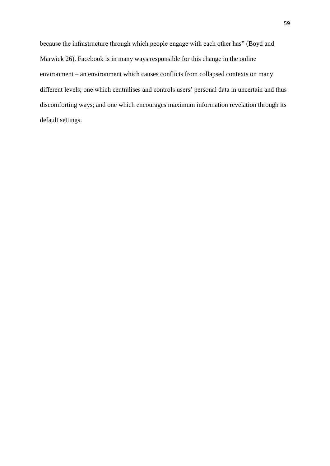because the infrastructure through which people engage with each other has" (Boyd and Marwick 26). Facebook is in many ways responsible for this change in the online environment – an environment which causes conflicts from collapsed contexts on many different levels; one which centralises and controls users' personal data in uncertain and thus discomforting ways; and one which encourages maximum information revelation through its default settings.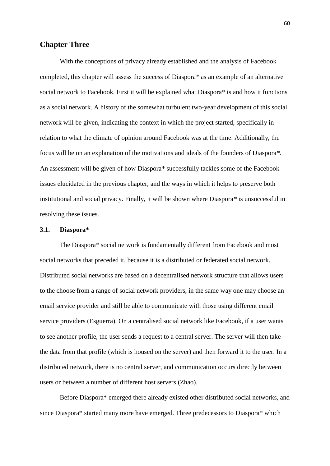# **Chapter Three**

With the conceptions of privacy already established and the analysis of Facebook completed, this chapter will assess the success of Diaspora*\** as an example of an alternative social network to Facebook*.* First it will be explained what Diaspora*\** is and how it functions as a social network. A history of the somewhat turbulent two-year development of this social network will be given, indicating the context in which the project started, specifically in relation to what the climate of opinion around Facebook was at the time. Additionally, the focus will be on an explanation of the motivations and ideals of the founders of Diaspora*\**. An assessment will be given of how Diaspora*\** successfully tackles some of the Facebook issues elucidated in the previous chapter, and the ways in which it helps to preserve both institutional and social privacy. Finally, it will be shown where Diaspora*\** is unsuccessful in resolving these issues.

#### **3.1. Diaspora\***

The Diaspora*\** social network is fundamentally different from Facebook and most social networks that preceded it, because it is a distributed or federated social network. Distributed social networks are based on a decentralised network structure that allows users to the choose from a range of social network providers, in the same way one may choose an email service provider and still be able to communicate with those using different email service providers (Esguerra). On a centralised social network like Facebook, if a user wants to see another profile, the user sends a request to a central server. The server will then take the data from that profile (which is housed on the server) and then forward it to the user. In a distributed network, there is no central server, and communication occurs directly between users or between a number of different host servers (Zhao).

Before Diaspora\* emerged there already existed other distributed social networks, and since Diaspora\* started many more have emerged. Three predecessors to Diaspora\* which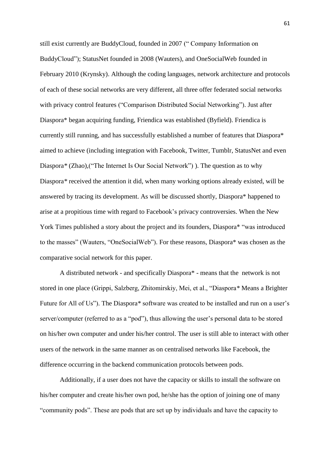still exist currently are BuddyCloud, founded in 2007 (" Company Information on BuddyCloud"); StatusNet founded in 2008 (Wauters), and OneSocialWeb founded in February 2010 (Krynsky). Although the coding languages, network architecture and protocols of each of these social networks are very different, all three offer federated social networks with privacy control features ("Comparison Distributed Social Networking"). Just after Diaspora\* began acquiring funding, Friendica was established (Byfield). Friendica is currently still running, and has successfully established a number of features that Diaspora\* aimed to achieve (including integration with Facebook, Twitter, Tumblr, StatusNet and even Diaspora*\** (Zhao),("The Internet Is Our Social Network") ). The question as to why Diaspora*\** received the attention it did, when many working options already existed, will be answered by tracing its development. As will be discussed shortly, Diaspora\* happened to arise at a propitious time with regard to Facebook's privacy controversies. When the New York Times published a story about the project and its founders, Diaspora\* "was introduced to the masses" (Wauters, "OneSocialWeb"). For these reasons, Diaspora\* was chosen as the comparative social network for this paper.

A distributed network - and specifically Diaspora\* - means that the network is not stored in one place (Grippi, Salzberg, Zhitomirskiy, Mei, et al., "Diaspora*\** Means a Brighter Future for All of Us"). The Diaspora*\** software was created to be installed and run on a user's server/computer (referred to as a "pod"), thus allowing the user's personal data to be stored on his/her own computer and under his/her control. The user is still able to interact with other users of the network in the same manner as on centralised networks like Facebook, the difference occurring in the backend communication protocols between pods.

Additionally, if a user does not have the capacity or skills to install the software on his/her computer and create his/her own pod, he/she has the option of joining one of many "community pods". These are pods that are set up by individuals and have the capacity to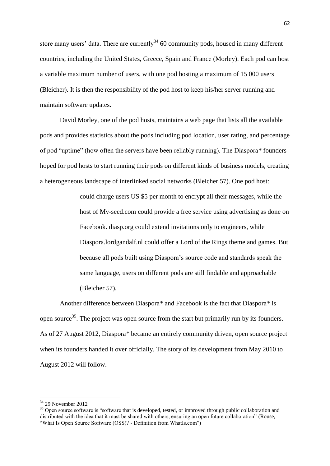store many users' data. There are currently $34$  60 community pods, housed in many different countries, including the United States, Greece, Spain and France (Morley). Each pod can host a variable maximum number of users, with one pod hosting a maximum of 15 000 users (Bleicher). It is then the responsibility of the pod host to keep his/her server running and maintain software updates.

David Morley, one of the pod hosts, maintains a web page that lists all the available pods and provides statistics about the pods including pod location, user rating, and percentage of pod "uptime" (how often the servers have been reliably running). The Diaspora*\** founders hoped for pod hosts to start running their pods on different kinds of business models, creating a heterogeneous landscape of interlinked social networks (Bleicher 57). One pod host:

> could charge users US \$5 per month to encrypt all their messages, while the host of My-seed.com could provide a free service using advertising as done on Facebook. diasp.org could extend invitations only to engineers, while Diaspora.lordgandalf.nl could offer a Lord of the Rings theme and games. But because all pods built using Diaspora's source code and standards speak the same language, users on different pods are still findable and approachable (Bleicher 57).

Another difference between Diaspora*\** and Facebook is the fact that Diaspora*\** is open source<sup>35</sup>. The project was open source from the start but primarily run by its founders. As of 27 August 2012, Diaspora*\** became an entirely community driven, open source project when its founders handed it over officially. The story of its development from May 2010 to August 2012 will follow.

**.** 

 $34$  29 November 2012

<sup>&</sup>lt;sup>35</sup> Open source software is "software that is developed, tested, or improved through public collaboration and distributed with the idea that it must be shared with others, ensuring an open future collaboration" (Rouse, "What Is Open Source Software (OSS)? - Definition from WhatIs.com")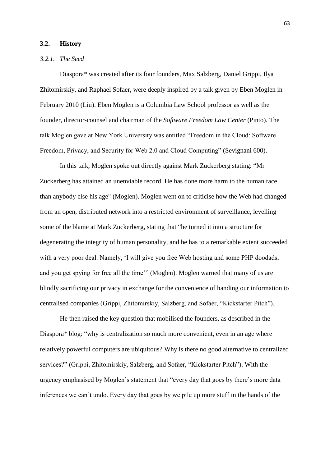#### **3.2. History**

### *3.2.1. The Seed*

Diaspora*\** was created after its four founders, Max Salzberg, Daniel Grippi, Ilya Zhitomirskiy, and Raphael Sofaer, were deeply inspired by a talk given by Eben Moglen in February 2010 (Liu). Eben Moglen is a Columbia Law School professor as well as the founder, director-counsel and chairman of the *Software Freedom Law Center* (Pinto). The talk Moglen gave at New York University was entitled "Freedom in the Cloud: Software Freedom, Privacy, and Security for Web 2.0 and Cloud Computing" (Sevignani 600).

In this talk, Moglen spoke out directly against Mark Zuckerberg stating: "Mr Zuckerberg has attained an unenviable record. He has done more harm to the human race than anybody else his age" (Moglen). Moglen went on to criticise how the Web had changed from an open, distributed network into a restricted environment of surveillance, levelling some of the blame at Mark Zuckerberg, stating that "he turned it into a structure for degenerating the integrity of human personality, and he has to a remarkable extent succeeded with a very poor deal. Namely, 'I will give you free Web hosting and some PHP doodads, and you get spying for free all the time'" (Moglen). Moglen warned that many of us are blindly sacrificing our privacy in exchange for the convenience of handing our information to centralised companies (Grippi, Zhitomirskiy, Salzberg, and Sofaer, "Kickstarter Pitch").

He then raised the key question that mobilised the founders, as described in the Diaspora*\** blog: "why is centralization so much more convenient, even in an age where relatively powerful computers are ubiquitous? Why is there no good alternative to centralized services?" (Grippi, Zhitomirskiy, Salzberg, and Sofaer, "Kickstarter Pitch"). With the urgency emphasised by Moglen's statement that "every day that goes by there's more data inferences we can't undo. Every day that goes by we pile up more stuff in the hands of the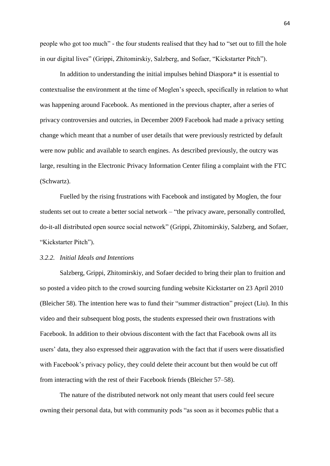people who got too much" - the four students realised that they had to "set out to fill the hole in our digital lives" (Grippi, Zhitomirskiy, Salzberg, and Sofaer, "Kickstarter Pitch").

In addition to understanding the initial impulses behind Diaspora*\** it is essential to contextualise the environment at the time of Moglen's speech, specifically in relation to what was happening around Facebook. As mentioned in the previous chapter, after a series of privacy controversies and outcries, in December 2009 Facebook had made a privacy setting change which meant that a number of user details that were previously restricted by default were now public and available to search engines. As described previously, the outcry was large, resulting in the Electronic Privacy Information Center filing a complaint with the FTC (Schwartz).

Fuelled by the rising frustrations with Facebook and instigated by Moglen, the four students set out to create a better social network – "the privacy aware, personally controlled, do-it-all distributed open source social network" (Grippi, Zhitomirskiy, Salzberg, and Sofaer, "Kickstarter Pitch").

### *3.2.2. Initial Ideals and Intentions*

Salzberg, Grippi, Zhitomirskiy, and Sofaer decided to bring their plan to fruition and so posted a video pitch to the crowd sourcing funding website Kickstarter on 23 April 2010 (Bleicher 58). The intention here was to fund their "summer distraction" project (Liu). In this video and their subsequent blog posts, the students expressed their own frustrations with Facebook. In addition to their obvious discontent with the fact that Facebook owns all its users' data, they also expressed their aggravation with the fact that if users were dissatisfied with Facebook's privacy policy, they could delete their account but then would be cut off from interacting with the rest of their Facebook friends (Bleicher 57–58).

The nature of the distributed network not only meant that users could feel secure owning their personal data, but with community pods "as soon as it becomes public that a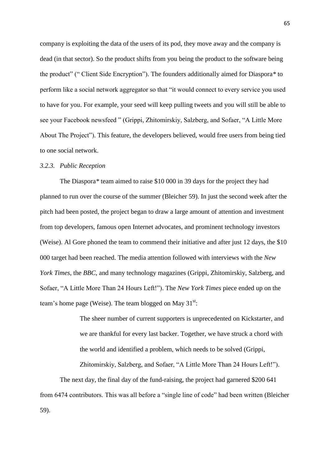company is exploiting the data of the users of its pod, they move away and the company is dead (in that sector). So the product shifts from you being the product to the software being the product" (" Client Side Encryption"). The founders additionally aimed for Diaspora*\** to perform like a social network aggregator so that "it would connect to every service you used to have for you. For example, your seed will keep pulling tweets and you will still be able to see your Facebook newsfeed " (Grippi, Zhitomirskiy, Salzberg, and Sofaer, "A Little More About The Project"). This feature, the developers believed, would free users from being tied to one social network.

#### *3.2.3. Public Reception*

The Diaspora*\** team aimed to raise \$10 000 in 39 days for the project they had planned to run over the course of the summer (Bleicher 59). In just the second week after the pitch had been posted, the project began to draw a large amount of attention and investment from top developers, famous open Internet advocates, and prominent technology investors (Weise). Al Gore phoned the team to commend their initiative and after just 12 days, the \$10 000 target had been reached. The media attention followed with interviews with the *New York Times*, the *BBC*, and many technology magazines (Grippi, Zhitomirskiy, Salzberg, and Sofaer, "A Little More Than 24 Hours Left!"). The *New York Times* piece ended up on the team's home page (Weise). The team blogged on May  $31^{st}$ :

> The sheer number of current supporters is unprecedented on Kickstarter, and we are thankful for every last backer. Together, we have struck a chord with the world and identified a problem, which needs to be solved (Grippi,

Zhitomirskiy, Salzberg, and Sofaer, "A Little More Than 24 Hours Left!").

The next day, the final day of the fund-raising, the project had garnered \$200 641 from 6474 contributors. This was all before a "single line of code" had been written (Bleicher 59).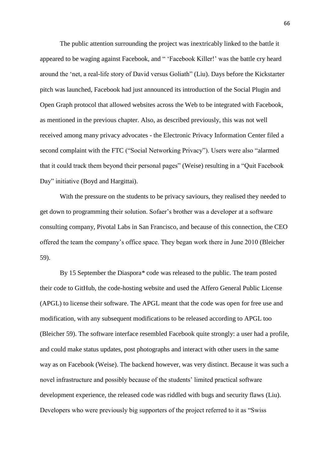The public attention surrounding the project was inextricably linked to the battle it appeared to be waging against Facebook, and " 'Facebook Killer!' was the battle cry heard around the 'net, a real-life story of David versus Goliath" (Liu). Days before the Kickstarter pitch was launched, Facebook had just announced its introduction of the Social Plugin and Open Graph protocol that allowed websites across the Web to be integrated with Facebook, as mentioned in the previous chapter. Also, as described previously, this was not well received among many privacy advocates - the Electronic Privacy Information Center filed a second complaint with the FTC ("Social Networking Privacy"). Users were also "alarmed that it could track them beyond their personal pages" (Weise) resulting in a "Quit Facebook Day" initiative (Boyd and Hargittai).

With the pressure on the students to be privacy saviours, they realised they needed to get down to programming their solution. Sofaer's brother was a developer at a software consulting company, Pivotal Labs in San Francisco, and because of this connection, the CEO offered the team the company's office space. They began work there in June 2010 (Bleicher 59).

By 15 September the Diaspora*\** code was released to the public. The team posted their code to GitHub, the code-hosting website and used the Affero General Public License (APGL) to license their software. The APGL meant that the code was open for free use and modification, with any subsequent modifications to be released according to APGL too (Bleicher 59). The software interface resembled Facebook quite strongly: a user had a profile, and could make status updates, post photographs and interact with other users in the same way as on Facebook (Weise). The backend however, was very distinct. Because it was such a novel infrastructure and possibly because of the students' limited practical software development experience, the released code was riddled with bugs and security flaws (Liu). Developers who were previously big supporters of the project referred to it as "Swiss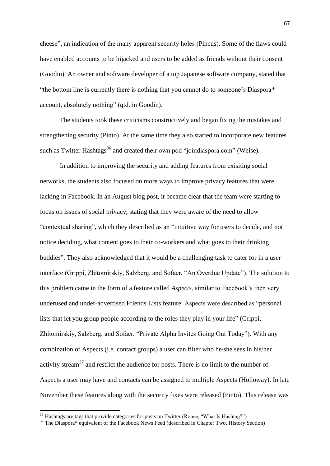cheese", an indication of the many apparent security holes (Pincus). Some of the flaws could have enabled accounts to be hijacked and users to be added as friends without their consent (Goodin). An owner and software developer of a top Japanese software company, stated that "the bottom line is currently there is nothing that you cannot do to someone's Diaspora*\** account, absolutely nothing" (qtd. in Goodin).

The students took these criticisms constructively and began fixing the mistakes and strengthening security (Pinto). At the same time they also started to incorporate new features such as Twitter Hashtags<sup>36</sup> and created their own pod "joindiaspora.com" (Weise).

In addition to improving the security and adding features from exisiting social networks, the students also focused on more ways to improve privacy features that were lacking in Facebook. In an August blog post, it became clear that the team were starting to focus on issues of social privacy, stating that they were aware of the need to allow "contextual sharing", which they described as an "intuitive way for users to decide, and not notice deciding, what content goes to their co-workers and what goes to their drinking buddies". They also acknowledged that it would be a challenging task to cater for in a user interface (Grippi, Zhitomirskiy, Salzberg, and Sofaer, "An Overdue Update"). The solution to this problem came in the form of a feature called *Aspects*, similar to Facebook's then very underused and under-advertised Friends Lists feature. Aspects were described as "personal lists that let you group people according to the roles they play in your life" (Grippi, Zhitomirskiy, Salzberg, and Sofaer, "Private Alpha Invites Going Out Today"). With any combination of Aspects (i.e. contact groups) a user can filter who he/she sees in his/her activity stream<sup>37</sup> and restrict the audience for posts. There is no limit to the number of Aspects a user may have and contacts can be assigned to multiple Aspects (Holloway). In late November these features along with the security fixes were released (Pinto). This release was

**.** 

 $36$  Hashtags are tags that provide categories for posts on Twitter (Rouse, "What Is Hashtag?")

<sup>&</sup>lt;sup>37</sup> The Diaspora\* equivalent of the Facebook News Feed (described in Chapter Two, History Section)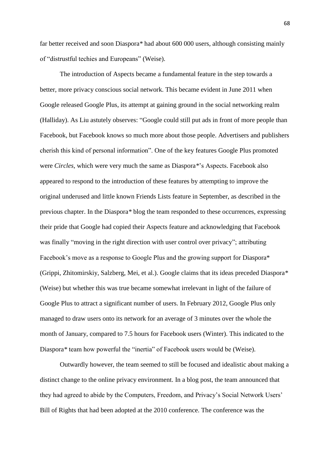far better received and soon Diaspora*\** had about 600 000 users, although consisting mainly of "distrustful techies and Europeans" (Weise).

The introduction of Aspects became a fundamental feature in the step towards a better, more privacy conscious social network. This became evident in June 2011 when Google released Google Plus, its attempt at gaining ground in the social networking realm (Halliday). As Liu astutely observes: "Google could still put ads in front of more people than Facebook, but Facebook knows so much more about those people. Advertisers and publishers cherish this kind of personal information". One of the key features Google Plus promoted were *Circles*, which were very much the same as Diaspora*\**'s Aspects. Facebook also appeared to respond to the introduction of these features by attempting to improve the original underused and little known Friends Lists feature in September, as described in the previous chapter. In the Diaspora*\** blog the team responded to these occurrences, expressing their pride that Google had copied their Aspects feature and acknowledging that Facebook was finally "moving in the right direction with user control over privacy"; attributing Facebook's move as a response to Google Plus and the growing support for Diaspora\* (Grippi, Zhitomirskiy, Salzberg, Mei, et al.). Google claims that its ideas preceded Diaspora*\** (Weise) but whether this was true became somewhat irrelevant in light of the failure of Google Plus to attract a significant number of users. In February 2012, Google Plus only managed to draw users onto its network for an average of 3 minutes over the whole the month of January, compared to 7.5 hours for Facebook users (Winter). This indicated to the Diaspora*\** team how powerful the "inertia" of Facebook users would be (Weise).

Outwardly however, the team seemed to still be focused and idealistic about making a distinct change to the online privacy environment. In a blog post, the team announced that they had agreed to abide by the Computers, Freedom, and Privacy's Social Network Users' Bill of Rights that had been adopted at the 2010 conference. The conference was the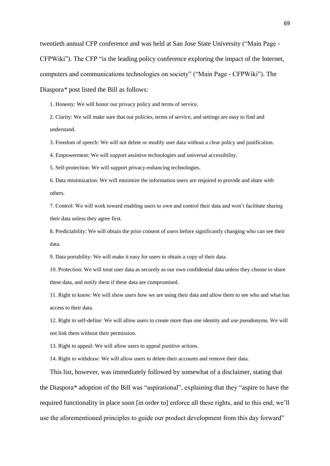twentieth annual CFP conference and was held at San Jose State University ("Main Page - CFPWiki"). The CFP "is the leading policy conference exploring the impact of the Internet, computers and communications technologies on society" ("Main Page - CFPWiki"). The Diaspora*\** post listed the Bill as follows:

1. Honesty: We will honor our privacy policy and terms of service.

2. Clarity: We will make sure that our policies, terms of service, and settings are easy to find and understand.

3. Freedom of speech: We will not delete or modify user data without a clear policy and justification.

4. Empowerment: We will support assistive technologies and universal accessibility.

5. Self-protection: We will support privacy-enhancing technologies.

6. Data minimization: We will minimize the information users are required to provide and share with others.

7. Control: We will work toward enabling users to own and control their data and won't facilitate sharing their data unless they agree first.

8. Predictability: We will obtain the prior consent of users before significantly changing who can see their data.

9. Data portability: We will make it easy for users to obtain a copy of their data.

10. Protection: We will treat user data as securely as our own confidential data unless they choose to share these data, and notify them if these data are compromised.

11. Right to know: We will show users how we are using their data and allow them to see who and what has access to their data.

12. Right to self-define: We will allow users to create more than one identity and use pseudonyms. We will not link them without their permission.

13. Right to appeal: We will allow users to appeal punitive actions.

14. Right to withdraw: We will allow users to delete their accounts and remove their data.

This list, however, was immediately followed by somewhat of a disclaimer, stating that the Diaspora*\** adoption of the Bill was "aspirational", explaining that they "aspire to have the required functionality in place soon [in order to] enforce all these rights, and to this end, we'll use the aforementioned principles to guide our product development from this day forward"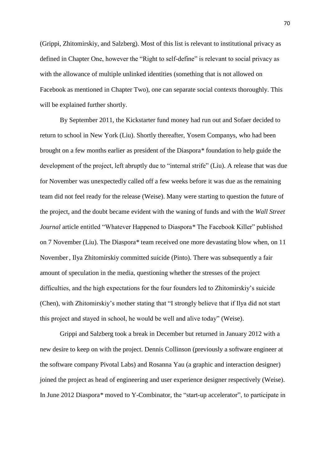(Grippi, Zhitomirskiy, and Salzberg). Most of this list is relevant to institutional privacy as defined in Chapter One, however the "Right to self-define" is relevant to social privacy as with the allowance of multiple unlinked identities (something that is not allowed on Facebook as mentioned in Chapter Two), one can separate social contexts thoroughly. This will be explained further shortly.

By September 2011, the Kickstarter fund money had run out and Sofaer decided to return to school in New York (Liu). Shortly thereafter, Yosem Companys, who had been brought on a few months earlier as president of the Diaspora*\** foundation to help guide the development of the project, left abruptly due to "internal strife" (Liu). A release that was due for November was unexpectedly called off a few weeks before it was due as the remaining team did not feel ready for the release (Weise). Many were starting to question the future of the project, and the doubt became evident with the waning of funds and with the *Wall Street Journal* article entitled "Whatever Happened to Diaspora*\** The Facebook Killer" published on 7 November (Liu). The Diaspora*\** team received one more devastating blow when, on 11 November, Ilya Zhitomirskiy committed suicide (Pinto). There was subsequently a fair amount of speculation in the media, questioning whether the stresses of the project difficulties, and the high expectations for the four founders led to Zhitomirskiy's suicide (Chen), with Zhitomirskiy's mother stating that "I strongly believe that if Ilya did not start this project and stayed in school, he would be well and alive today" (Weise).

Grippi and Salzberg took a break in December but returned in January 2012 with a new desire to keep on with the project. Dennis Collinson (previously a software engineer at the software company Pivotal Labs) and Rosanna Yau (a graphic and interaction designer) joined the project as head of engineering and user experience designer respectively (Weise). In June 2012 Diaspora*\** moved to Y-Combinator, the "start-up accelerator", to participate in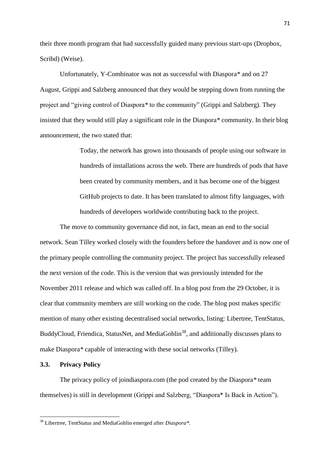their three month program that had successfully guided many previous start-ups (Dropbox, Scribd) (Weise).

Unfortunately, Y-Combinator was not as successful with Diaspora*\** and on 27 August, Grippi and Salzberg announced that they would be stepping down from running the project and "giving control of Diaspora*\** to the community" (Grippi and Salzberg). They insisted that they would still play a significant role in the Diaspora*\** community. In their blog announcement, the two stated that:

> Today, the network has grown into thousands of people using our software in hundreds of installations across the web. There are hundreds of pods that have been created by community members, and it has become one of the biggest GitHub projects to date. It has been translated to almost fifty languages, with hundreds of developers worldwide contributing back to the project.

The move to community governance did not, in fact, mean an end to the social network. Sean Tilley worked closely with the founders before the handover and is now one of the primary people controlling the community project. The project has successfully released the next version of the code. This is the version that was previously intended for the November 2011 release and which was called off. In a blog post from the 29 October, it is clear that community members are still working on the code. The blog post makes specific mention of many other existing decentralised social networks, listing: Libertree*,* TentStatus*,*  BuddyCloud, Friendica, StatusNet, and MediaGoblin<sup>38</sup>, and additionally discusses plans to make Diaspora*\** capable of interacting with these social networks (Tilley)*.* 

## **3.3. Privacy Policy**

**.** 

The privacy policy of joindiaspora.com (the pod created by the Diaspora*\** team themselves) is still in development (Grippi and Salzberg, "Diaspora\* Is Back in Action").

<sup>38</sup> Libertree, TentStatus and MediaGoblin emerged after *Diaspora\*.*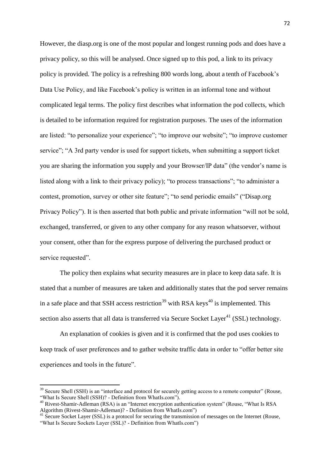However, the diasp.org is one of the most popular and longest running pods and does have a privacy policy, so this will be analysed. Once signed up to this pod, a link to its privacy policy is provided. The policy is a refreshing 800 words long, about a tenth of Facebook's Data Use Policy, and like Facebook's policy is written in an informal tone and without complicated legal terms. The policy first describes what information the pod collects, which is detailed to be information required for registration purposes. The uses of the information are listed: "to personalize your experience"; "to improve our website"; "to improve customer service"; "A 3rd party vendor is used for support tickets, when submitting a support ticket you are sharing the information you supply and your Browser/IP data" (the vendor's name is listed along with a link to their privacy policy); "to process transactions"; "to administer a contest, promotion, survey or other site feature"; "to send periodic emails" ("Disap.org Privacy Policy"). It is then asserted that both public and private information "will not be sold, exchanged, transferred, or given to any other company for any reason whatsoever, without your consent, other than for the express purpose of delivering the purchased product or service requested".

The policy then explains what security measures are in place to keep data safe. It is stated that a number of measures are taken and additionally states that the pod server remains in a safe place and that SSH access restriction<sup>39</sup> with RSA keys<sup>40</sup> is implemented. This section also asserts that all data is transferred via Secure Socket Layer<sup>41</sup> (SSL) technology.

An explanation of cookies is given and it is confirmed that the pod uses cookies to keep track of user preferences and to gather website traffic data in order to "offer better site experiences and tools in the future".

1

<sup>&</sup>lt;sup>39</sup> Secure Shell (SSH) is an "interface and protocol for securely getting access to a remote computer" (Rouse, "What Is Secure Shell (SSH)? - Definition from WhatIs.com").

<sup>&</sup>lt;sup>40</sup> Rivest-Shamir-Adleman (RSA) is an "Internet encryption authentication system" (Rouse, "What Is RSA Algorithm (Rivest-Shamir-Adleman)? - Definition from WhatIs.com")

<sup>41</sup> Secure Socket Layer (SSL) is a protocol for securing the transmission of messages on the Internet (Rouse, "What Is Secure Sockets Layer (SSL)? - Definition from WhatIs.com")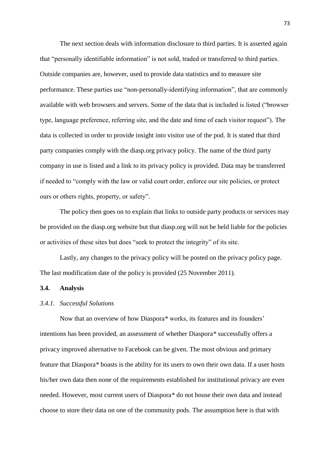The next section deals with information disclosure to third parties. It is asserted again that "personally identifiable information" is not sold, traded or transferred to third parties. Outside companies are, however, used to provide data statistics and to measure site performance. These parties use "non-personally-identifying information", that are commonly available with web browsers and servers. Some of the data that is included is listed ("browser type, language preference, referring site, and the date and time of each visitor request"). The data is collected in order to provide insight into visitor use of the pod. It is stated that third party companies comply with the diasp.org privacy policy. The name of the third party company in use is listed and a link to its privacy policy is provided. Data may be transferred if needed to "comply with the law or valid court order, enforce our site policies, or protect ours or others rights, property, or safety".

The policy then goes on to explain that links to outside party products or services may be provided on the diasp.org website but that diasp.org will not be held liable for the policies or activities of these sites but does "seek to protect the integrity" of its site.

Lastly, any changes to the privacy policy will be posted on the privacy policy page. The last modification date of the policy is provided (25 November 2011).

### **3.4. Analysis**

#### *3.4.1. Successful Solutions*

Now that an overview of how Diaspora*\** works, its features and its founders' intentions has been provided, an assessment of whether Diaspora*\** successfully offers a privacy improved alternative to Facebook can be given. The most obvious and primary feature that Diaspora*\** boasts is the ability for its users to own their own data. If a user hosts his/her own data then none of the requirements established for institutional privacy are even needed. However, most current users of Diaspora*\** do not house their own data and instead choose to store their data on one of the community pods. The assumption here is that with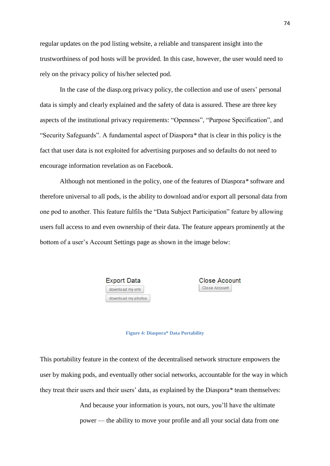regular updates on the pod listing website, a reliable and transparent insight into the trustworthiness of pod hosts will be provided. In this case, however, the user would need to rely on the privacy policy of his/her selected pod.

In the case of the diasp.org privacy policy, the collection and use of users' personal data is simply and clearly explained and the safety of data is assured. These are three key aspects of the institutional privacy requirements: "Openness", "Purpose Specification", and "Security Safeguards". A fundamental aspect of Diaspora*\** that is clear in this policy is the fact that user data is not exploited for advertising purposes and so defaults do not need to encourage information revelation as on Facebook.

Although not mentioned in the policy, one of the features of Diaspora*\** software and therefore universal to all pods, is the ability to download and/or export all personal data from one pod to another. This feature fulfils the "Data Subject Participation" feature by allowing users full access to and even ownership of their data. The feature appears prominently at the bottom of a user's Account Settings page as shown in the image below:



**Close Account** Close Account

#### **Figure 4: Diaspora\* Data Portability**

This portability feature in the context of the decentralised network structure empowers the user by making pods, and eventually other social networks, accountable for the way in which they treat their users and their users' data, as explained by the Diaspora*\** team themselves:

> And because your information is yours, not ours, you'll have the ultimate power — the ability to move your profile and all your social data from one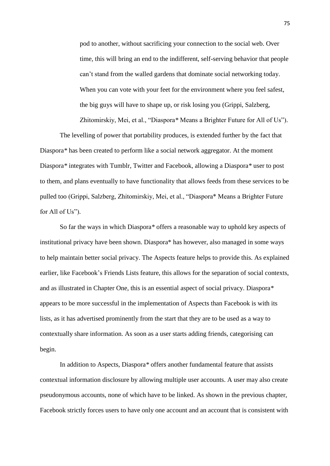pod to another, without sacrificing your connection to the social web. Over time, this will bring an end to the indifferent, self-serving behavior that people can't stand from the walled gardens that dominate social networking today. When you can vote with your feet for the environment where you feel safest, the big guys will have to shape up, or risk losing you (Grippi, Salzberg,

Zhitomirskiy, Mei, et al., "Diaspora*\** Means a Brighter Future for All of Us").

The levelling of power that portability produces, is extended further by the fact that Diaspora*\** has been created to perform like a social network aggregator. At the moment Diaspora*\** integrates with Tumblr, Twitter and Facebook, allowing a Diaspora*\** user to post to them, and plans eventually to have functionality that allows feeds from these services to be pulled too (Grippi, Salzberg, Zhitomirskiy, Mei, et al., "Diaspora\* Means a Brighter Future for All of Us").

So far the ways in which Diaspora*\** offers a reasonable way to uphold key aspects of institutional privacy have been shown. Diaspora\* has however, also managed in some ways to help maintain better social privacy. The Aspects feature helps to provide this. As explained earlier, like Facebook's Friends Lists feature, this allows for the separation of social contexts, and as illustrated in Chapter One, this is an essential aspect of social privacy. Diaspora*\** appears to be more successful in the implementation of Aspects than Facebook is with its lists*,* as it has advertised prominently from the start that they are to be used as a way to contextually share information. As soon as a user starts adding friends, categorising can begin.

In addition to Aspects, Diaspora*\** offers another fundamental feature that assists contextual information disclosure by allowing multiple user accounts. A user may also create pseudonymous accounts, none of which have to be linked. As shown in the previous chapter, Facebook strictly forces users to have only one account and an account that is consistent with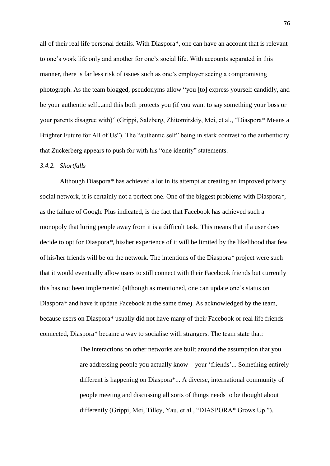all of their real life personal details. With Diaspora*\**, one can have an account that is relevant to one's work life only and another for one's social life. With accounts separated in this manner, there is far less risk of issues such as one's employer seeing a compromising photograph. As the team blogged, pseudonyms allow "you [to] express yourself candidly, and be your authentic self...and this both protects you (if you want to say something your boss or your parents disagree with)" (Grippi, Salzberg, Zhitomirskiy, Mei, et al., "Diaspora*\** Means a Brighter Future for All of Us"). The "authentic self" being in stark contrast to the authenticity that Zuckerberg appears to push for with his "one identity" statements.

#### *3.4.2. Shortfalls*

Although Diaspora*\** has achieved a lot in its attempt at creating an improved privacy social network, it is certainly not a perfect one. One of the biggest problems with Diaspora*\**, as the failure of Google Plus indicated, is the fact that Facebook has achieved such a monopoly that luring people away from it is a difficult task. This means that if a user does decide to opt for Diaspora*\**, his/her experience of it will be limited by the likelihood that few of his/her friends will be on the network. The intentions of the Diaspora*\** project were such that it would eventually allow users to still connect with their Facebook friends but currently this has not been implemented (although as mentioned, one can update one's status on Diaspora*\** and have it update Facebook at the same time). As acknowledged by the team, because users on Diaspora*\** usually did not have many of their Facebook or real life friends connected, Diaspora*\** became a way to socialise with strangers. The team state that:

> The interactions on other networks are built around the assumption that you are addressing people you actually know – your 'friends'... Something entirely different is happening on Diaspora\*... A diverse, international community of people meeting and discussing all sorts of things needs to be thought about differently (Grippi, Mei, Tilley, Yau, et al., "DIASPORA\* Grows Up.").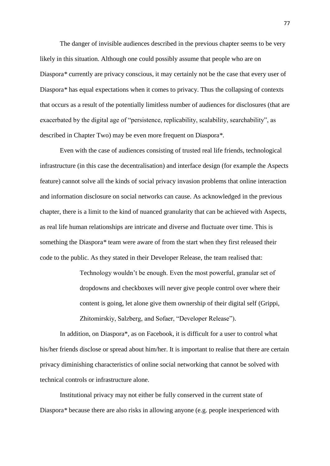The danger of invisible audiences described in the previous chapter seems to be very likely in this situation. Although one could possibly assume that people who are on Diaspora*\** currently are privacy conscious, it may certainly not be the case that every user of Diaspora*\** has equal expectations when it comes to privacy. Thus the collapsing of contexts that occurs as a result of the potentially limitless number of audiences for disclosures (that are exacerbated by the digital age of "persistence, replicability, scalability, searchability", as described in Chapter Two) may be even more frequent on Diaspora*\**.

Even with the case of audiences consisting of trusted real life friends, technological infrastructure (in this case the decentralisation) and interface design (for example the Aspects feature) cannot solve all the kinds of social privacy invasion problems that online interaction and information disclosure on social networks can cause. As acknowledged in the previous chapter, there is a limit to the kind of nuanced granularity that can be achieved with Aspects, as real life human relationships are intricate and diverse and fluctuate over time. This is something the Diaspora*\** team were aware of from the start when they first released their code to the public. As they stated in their Developer Release, the team realised that:

> Technology wouldn't be enough. Even the most powerful, granular set of dropdowns and checkboxes will never give people control over where their content is going, let alone give them ownership of their digital self (Grippi, Zhitomirskiy, Salzberg, and Sofaer, "Developer Release").

In addition, on Diaspora\*, as on Facebook, it is difficult for a user to control what his/her friends disclose or spread about him/her. It is important to realise that there are certain privacy diminishing characteristics of online social networking that cannot be solved with technical controls or infrastructure alone.

Institutional privacy may not either be fully conserved in the current state of Diaspora*\** because there are also risks in allowing anyone (e.g. people inexperienced with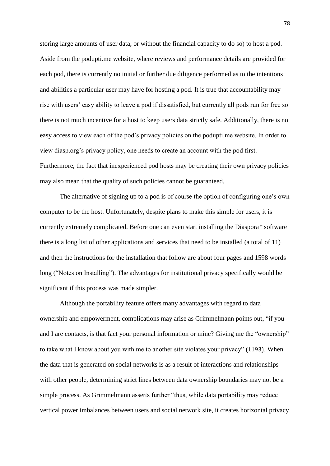storing large amounts of user data, or without the financial capacity to do so) to host a pod. Aside from the podupti.me website, where reviews and performance details are provided for each pod, there is currently no initial or further due diligence performed as to the intentions and abilities a particular user may have for hosting a pod. It is true that accountability may rise with users' easy ability to leave a pod if dissatisfied, but currently all pods run for free so there is not much incentive for a host to keep users data strictly safe. Additionally, there is no easy access to view each of the pod's privacy policies on the podupti.me website. In order to view diasp.org's privacy policy, one needs to create an account with the pod first. Furthermore, the fact that inexperienced pod hosts may be creating their own privacy policies may also mean that the quality of such policies cannot be guaranteed.

The alternative of signing up to a pod is of course the option of configuring one's own computer to be the host. Unfortunately, despite plans to make this simple for users, it is currently extremely complicated. Before one can even start installing the Diaspora*\** software there is a long list of other applications and services that need to be installed (a total of 11) and then the instructions for the installation that follow are about four pages and 1598 words long ("Notes on Installing"). The advantages for institutional privacy specifically would be significant if this process was made simpler.

Although the portability feature offers many advantages with regard to data ownership and empowerment, complications may arise as Grimmelmann points out, "if you and I are contacts, is that fact your personal information or mine? Giving me the "ownership" to take what I know about you with me to another site violates your privacy" (1193). When the data that is generated on social networks is as a result of interactions and relationships with other people, determining strict lines between data ownership boundaries may not be a simple process. As Grimmelmann asserts further "thus, while data portability may reduce vertical power imbalances between users and social network site, it creates horizontal privacy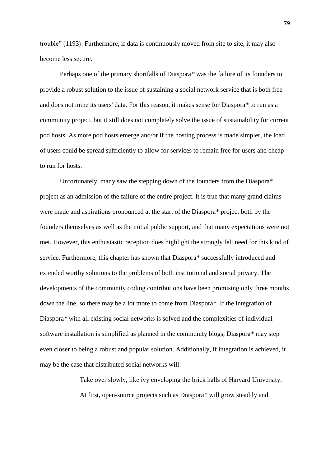trouble" (1193). Furthermore, if data is continuously moved from site to site, it may also become less secure.

Perhaps one of the primary shortfalls of Diaspora*\** was the failure of its founders to provide a robust solution to the issue of sustaining a social network service that is both free and does not mine its users' data. For this reason, it makes sense for Diaspora*\** to run as a community project, but it still does not completely solve the issue of sustainability for current pod hosts. As more pod hosts emerge and/or if the hosting process is made simpler, the load of users could be spread sufficiently to allow for services to remain free for users and cheap to run for hosts.

Unfortunately, many saw the stepping down of the founders from the Diaspora\* project as an admission of the failure of the entire project. It is true that many grand claims were made and aspirations pronounced at the start of the Diaspora*\** project both by the founders themselves as well as the initial public support, and that many expectations were not met. However, this enthusiastic reception does highlight the strongly felt need for this kind of service. Furthermore, this chapter has shown that Diaspora*\** successfully introduced and extended worthy solutions to the problems of both institutional and social privacy. The developments of the community coding contributions have been promising only three months down the line, so there may be a lot more to come from Diaspora*\**. If the integration of Diaspora*\** with all existing social networks is solved and the complexities of individual software installation is simplified as planned in the community blogs, Diaspora*\** may step even closer to being a robust and popular solution. Additionally, if integration is achieved, it may be the case that distributed social networks will:

> Take over slowly, like ivy enveloping the brick halls of Harvard University. At first, open-source projects such as Diaspora*\** will grow steadily and

79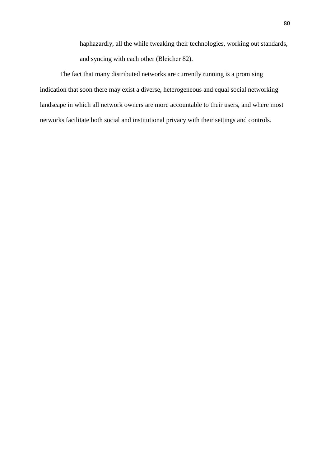haphazardly, all the while tweaking their technologies, working out standards, and syncing with each other (Bleicher 82).

The fact that many distributed networks are currently running is a promising indication that soon there may exist a diverse, heterogeneous and equal social networking landscape in which all network owners are more accountable to their users, and where most networks facilitate both social and institutional privacy with their settings and controls.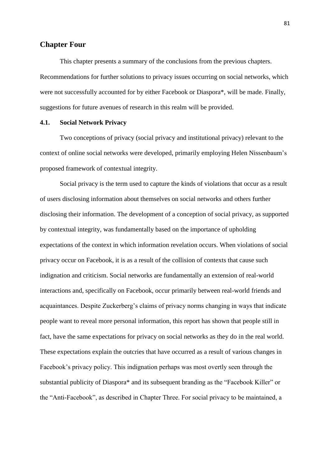### **Chapter Four**

This chapter presents a summary of the conclusions from the previous chapters. Recommendations for further solutions to privacy issues occurring on social networks, which were not successfully accounted for by either Facebook or Diaspora\*, will be made. Finally, suggestions for future avenues of research in this realm will be provided.

#### **4.1. Social Network Privacy**

Two conceptions of privacy (social privacy and institutional privacy) relevant to the context of online social networks were developed, primarily employing Helen Nissenbaum's proposed framework of contextual integrity.

Social privacy is the term used to capture the kinds of violations that occur as a result of users disclosing information about themselves on social networks and others further disclosing their information. The development of a conception of social privacy, as supported by contextual integrity, was fundamentally based on the importance of upholding expectations of the context in which information revelation occurs. When violations of social privacy occur on Facebook, it is as a result of the collision of contexts that cause such indignation and criticism. Social networks are fundamentally an extension of real-world interactions and, specifically on Facebook, occur primarily between real-world friends and acquaintances. Despite Zuckerberg's claims of privacy norms changing in ways that indicate people want to reveal more personal information, this report has shown that people still in fact, have the same expectations for privacy on social networks as they do in the real world. These expectations explain the outcries that have occurred as a result of various changes in Facebook's privacy policy. This indignation perhaps was most overtly seen through the substantial publicity of Diaspora\* and its subsequent branding as the "Facebook Killer" or the "Anti-Facebook", as described in Chapter Three. For social privacy to be maintained, a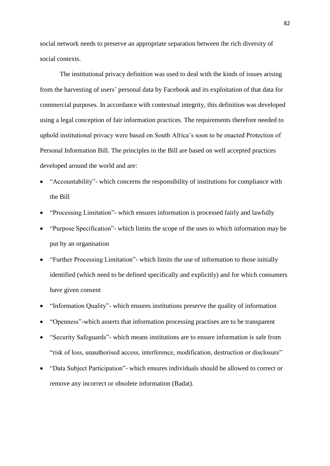social network needs to preserve an appropriate separation between the rich diversity of social contexts.

The institutional privacy definition was used to deal with the kinds of issues arising from the harvesting of users' personal data by Facebook and its exploitation of that data for commercial purposes. In accordance with contextual integrity, this definition was developed using a legal conception of fair information practices. The requirements therefore needed to uphold institutional privacy were based on South Africa's soon to be enacted Protection of Personal Information Bill. The principles in the Bill are based on well accepted practices developed around the world and are:

- "Accountability"- which concerns the responsibility of institutions for compliance with the Bill
- "Processing Limitation"- which ensures information is processed fairly and lawfully
- "Purpose Specification"- which limits the scope of the uses to which information may be put by an organisation
- "Further Processing Limitation"- which limits the use of information to those initially identified (which need to be defined specifically and explicitly) and for which consumers have given consent
- "Information Quality"- which ensures institutions preserve the quality of information
- "Openness"-which asserts that information processing practises are to be transparent
- "Security Safeguards"- which means institutions are to ensure information is safe from "risk of loss, unauthorised access, interference, modification, destruction or disclosure"
- "Data Subject Participation"- which ensures individuals should be allowed to correct or remove any incorrect or obsolete information (Badat).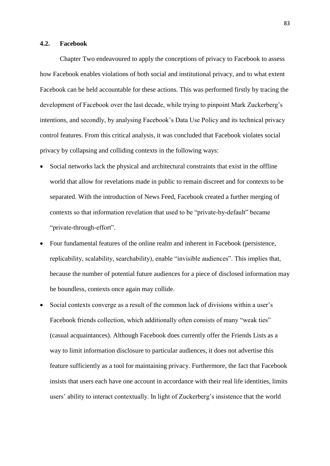#### **4.2. Facebook**

Chapter Two endeavoured to apply the conceptions of privacy to Facebook to assess how Facebook enables violations of both social and institutional privacy, and to what extent Facebook can be held accountable for these actions. This was performed firstly by tracing the development of Facebook over the last decade, while trying to pinpoint Mark Zuckerberg's intentions, and secondly, by analysing Facebook's Data Use Policy and its technical privacy control features. From this critical analysis, it was concluded that Facebook violates social privacy by collapsing and colliding contexts in the following ways:

- Social networks lack the physical and architectural constraints that exist in the offline world that allow for revelations made in public to remain discreet and for contexts to be separated. With the introduction of News Feed, Facebook created a further merging of contexts so that information revelation that used to be "private-by-default" became "private-through-effort".
- Four fundamental features of the online realm and inherent in Facebook (persistence, replicability, scalability, searchability), enable "invisible audiences". This implies that, because the number of potential future audiences for a piece of disclosed information may be boundless, contexts once again may collide.
- Social contexts converge as a result of the common lack of divisions within a user's Facebook friends collection, which additionally often consists of many "weak ties" (casual acquaintances). Although Facebook does currently offer the Friends Lists as a way to limit information disclosure to particular audiences, it does not advertise this feature sufficiently as a tool for maintaining privacy. Furthermore, the fact that Facebook insists that users each have one account in accordance with their real life identities, limits users' ability to interact contextually. In light of Zuckerberg's insistence that the world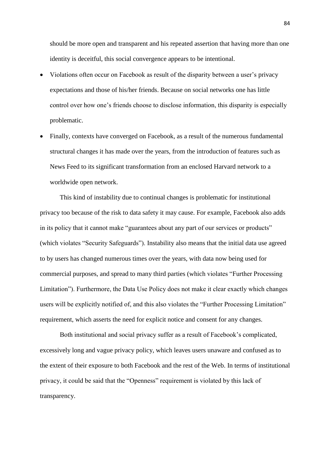should be more open and transparent and his repeated assertion that having more than one identity is deceitful, this social convergence appears to be intentional.

- Violations often occur on Facebook as result of the disparity between a user's privacy expectations and those of his/her friends. Because on social networks one has little control over how one's friends choose to disclose information, this disparity is especially problematic.
- Finally, contexts have converged on Facebook, as a result of the numerous fundamental structural changes it has made over the years, from the introduction of features such as News Feed to its significant transformation from an enclosed Harvard network to a worldwide open network.

This kind of instability due to continual changes is problematic for institutional privacy too because of the risk to data safety it may cause. For example, Facebook also adds in its policy that it cannot make "guarantees about any part of our services or products" (which violates "Security Safeguards"). Instability also means that the initial data use agreed to by users has changed numerous times over the years, with data now being used for commercial purposes, and spread to many third parties (which violates "Further Processing Limitation"). Furthermore, the Data Use Policy does not make it clear exactly which changes users will be explicitly notified of, and this also violates the "Further Processing Limitation" requirement, which asserts the need for explicit notice and consent for any changes.

Both institutional and social privacy suffer as a result of Facebook's complicated, excessively long and vague privacy policy, which leaves users unaware and confused as to the extent of their exposure to both Facebook and the rest of the Web. In terms of institutional privacy, it could be said that the "Openness" requirement is violated by this lack of transparency.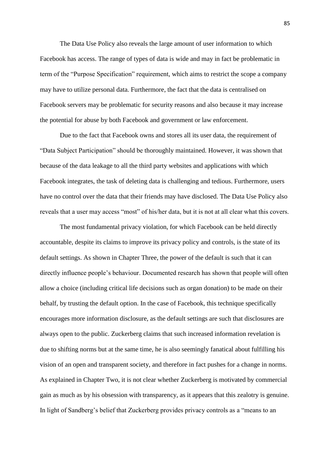The Data Use Policy also reveals the large amount of user information to which Facebook has access. The range of types of data is wide and may in fact be problematic in term of the "Purpose Specification" requirement, which aims to restrict the scope a company may have to utilize personal data. Furthermore, the fact that the data is centralised on Facebook servers may be problematic for security reasons and also because it may increase the potential for abuse by both Facebook and government or law enforcement.

Due to the fact that Facebook owns and stores all its user data, the requirement of "Data Subject Participation" should be thoroughly maintained. However, it was shown that because of the data leakage to all the third party websites and applications with which Facebook integrates, the task of deleting data is challenging and tedious. Furthermore, users have no control over the data that their friends may have disclosed. The Data Use Policy also reveals that a user may access "most" of his/her data, but it is not at all clear what this covers.

The most fundamental privacy violation, for which Facebook can be held directly accountable, despite its claims to improve its privacy policy and controls, is the state of its default settings. As shown in Chapter Three, the power of the default is such that it can directly influence people's behaviour. Documented research has shown that people will often allow a choice (including critical life decisions such as organ donation) to be made on their behalf, by trusting the default option. In the case of Facebook, this technique specifically encourages more information disclosure, as the default settings are such that disclosures are always open to the public. Zuckerberg claims that such increased information revelation is due to shifting norms but at the same time, he is also seemingly fanatical about fulfilling his vision of an open and transparent society, and therefore in fact pushes for a change in norms. As explained in Chapter Two, it is not clear whether Zuckerberg is motivated by commercial gain as much as by his obsession with transparency, as it appears that this zealotry is genuine. In light of Sandberg's belief that Zuckerberg provides privacy controls as a "means to an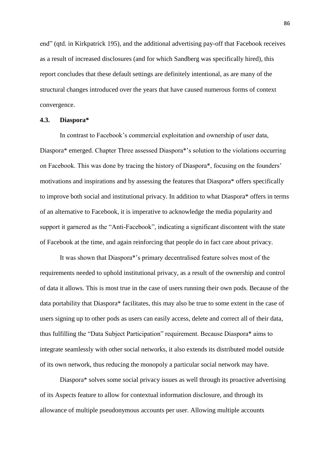end" (qtd. in Kirkpatrick 195), and the additional advertising pay-off that Facebook receives as a result of increased disclosures (and for which Sandberg was specifically hired), this report concludes that these default settings are definitely intentional, as are many of the structural changes introduced over the years that have caused numerous forms of context convergence.

### **4.3. Diaspora\***

In contrast to Facebook's commercial exploitation and ownership of user data, Diaspora\* emerged. Chapter Three assessed Diaspora\*'s solution to the violations occurring on Facebook. This was done by tracing the history of Diaspora\*, focusing on the founders' motivations and inspirations and by assessing the features that Diaspora\* offers specifically to improve both social and institutional privacy. In addition to what Diaspora\* offers in terms of an alternative to Facebook, it is imperative to acknowledge the media popularity and support it garnered as the "Anti-Facebook", indicating a significant discontent with the state of Facebook at the time, and again reinforcing that people do in fact care about privacy.

It was shown that Diaspora\*'s primary decentralised feature solves most of the requirements needed to uphold institutional privacy, as a result of the ownership and control of data it allows. This is most true in the case of users running their own pods. Because of the data portability that Diaspora\* facilitates, this may also be true to some extent in the case of users signing up to other pods as users can easily access, delete and correct all of their data, thus fulfilling the "Data Subject Participation" requirement. Because Diaspora\* aims to integrate seamlessly with other social networks, it also extends its distributed model outside of its own network, thus reducing the monopoly a particular social network may have.

Diaspora\* solves some social privacy issues as well through its proactive advertising of its Aspects feature to allow for contextual information disclosure, and through its allowance of multiple pseudonymous accounts per user. Allowing multiple accounts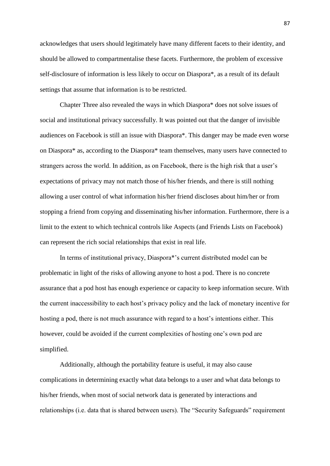acknowledges that users should legitimately have many different facets to their identity, and should be allowed to compartmentalise these facets. Furthermore, the problem of excessive self-disclosure of information is less likely to occur on Diaspora\*, as a result of its default settings that assume that information is to be restricted.

Chapter Three also revealed the ways in which Diaspora\* does not solve issues of social and institutional privacy successfully. It was pointed out that the danger of invisible audiences on Facebook is still an issue with Diaspora\*. This danger may be made even worse on Diaspora\* as, according to the Diaspora\* team themselves, many users have connected to strangers across the world. In addition, as on Facebook, there is the high risk that a user's expectations of privacy may not match those of his/her friends, and there is still nothing allowing a user control of what information his/her friend discloses about him/her or from stopping a friend from copying and disseminating his/her information. Furthermore, there is a limit to the extent to which technical controls like Aspects (and Friends Lists on Facebook) can represent the rich social relationships that exist in real life.

In terms of institutional privacy, Diaspora\*'s current distributed model can be problematic in light of the risks of allowing anyone to host a pod. There is no concrete assurance that a pod host has enough experience or capacity to keep information secure. With the current inaccessibility to each host's privacy policy and the lack of monetary incentive for hosting a pod, there is not much assurance with regard to a host's intentions either. This however, could be avoided if the current complexities of hosting one's own pod are simplified.

Additionally, although the portability feature is useful, it may also cause complications in determining exactly what data belongs to a user and what data belongs to his/her friends, when most of social network data is generated by interactions and relationships (i.e. data that is shared between users). The "Security Safeguards" requirement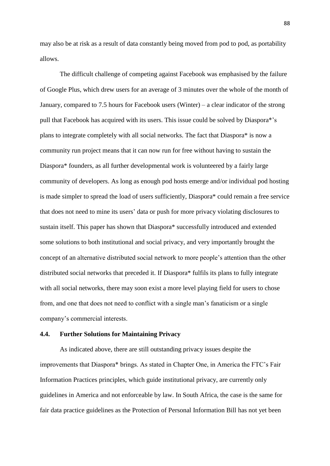may also be at risk as a result of data constantly being moved from pod to pod, as portability allows.

The difficult challenge of competing against Facebook was emphasised by the failure of Google Plus, which drew users for an average of 3 minutes over the whole of the month of January, compared to 7.5 hours for Facebook users (Winter) – a clear indicator of the strong pull that Facebook has acquired with its users. This issue could be solved by Diaspora\*'s plans to integrate completely with all social networks. The fact that Diaspora\* is now a community run project means that it can now run for free without having to sustain the Diaspora\* founders, as all further developmental work is volunteered by a fairly large community of developers. As long as enough pod hosts emerge and/or individual pod hosting is made simpler to spread the load of users sufficiently, Diaspora\* could remain a free service that does not need to mine its users' data or push for more privacy violating disclosures to sustain itself. This paper has shown that Diaspora\* successfully introduced and extended some solutions to both institutional and social privacy, and very importantly brought the concept of an alternative distributed social network to more people's attention than the other distributed social networks that preceded it. If Diaspora\* fulfils its plans to fully integrate with all social networks, there may soon exist a more level playing field for users to chose from, and one that does not need to conflict with a single man's fanaticism or a single company's commercial interests.

#### **4.4. Further Solutions for Maintaining Privacy**

As indicated above, there are still outstanding privacy issues despite the improvements that Diaspora\* brings. As stated in Chapter One, in America the FTC's Fair Information Practices principles, which guide institutional privacy, are currently only guidelines in America and not enforceable by law. In South Africa, the case is the same for fair data practice guidelines as the Protection of Personal Information Bill has not yet been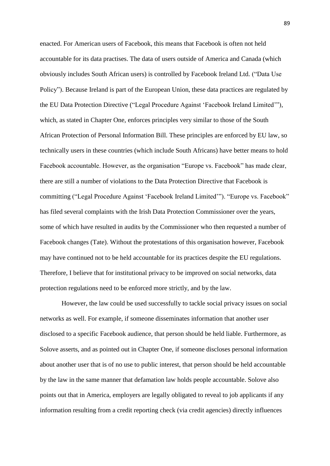enacted. For American users of Facebook, this means that Facebook is often not held accountable for its data practises. The data of users outside of America and Canada (which obviously includes South African users) is controlled by Facebook Ireland Ltd. ("Data Use Policy"). Because Ireland is part of the European Union, these data practices are regulated by the EU Data Protection Directive ("Legal Procedure Against 'Facebook Ireland Limited'"), which, as stated in Chapter One, enforces principles very similar to those of the South African Protection of Personal Information Bill. These principles are enforced by EU law, so technically users in these countries (which include South Africans) have better means to hold Facebook accountable. However, as the organisation "Europe vs. Facebook" has made clear, there are still a number of violations to the Data Protection Directive that Facebook is committing ("Legal Procedure Against 'Facebook Ireland Limited'"). "Europe vs. Facebook" has filed several complaints with the Irish Data Protection Commissioner over the years, some of which have resulted in audits by the Commissioner who then requested a number of Facebook changes (Tate). Without the protestations of this organisation however, Facebook may have continued not to be held accountable for its practices despite the EU regulations. Therefore, I believe that for institutional privacy to be improved on social networks, data protection regulations need to be enforced more strictly, and by the law.

However, the law could be used successfully to tackle social privacy issues on social networks as well. For example, if someone disseminates information that another user disclosed to a specific Facebook audience, that person should be held liable. Furthermore, as Solove asserts, and as pointed out in Chapter One, if someone discloses personal information about another user that is of no use to public interest, that person should be held accountable by the law in the same manner that defamation law holds people accountable. Solove also points out that in America, employers are legally obligated to reveal to job applicants if any information resulting from a credit reporting check (via credit agencies) directly influences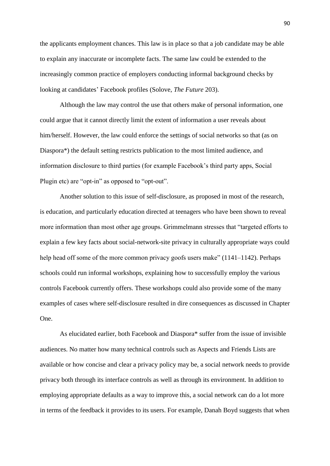the applicants employment chances. This law is in place so that a job candidate may be able to explain any inaccurate or incomplete facts. The same law could be extended to the increasingly common practice of employers conducting informal background checks by looking at candidates' Facebook profiles (Solove, *The Future* 203).

Although the law may control the use that others make of personal information, one could argue that it cannot directly limit the extent of information a user reveals about him/herself. However, the law could enforce the settings of social networks so that (as on Diaspora\*) the default setting restricts publication to the most limited audience, and information disclosure to third parties (for example Facebook's third party apps, Social Plugin etc) are "opt-in" as opposed to "opt-out".

Another solution to this issue of self-disclosure, as proposed in most of the research, is education, and particularly education directed at teenagers who have been shown to reveal more information than most other age groups. Grimmelmann stresses that "targeted efforts to explain a few key facts about social-network-site privacy in culturally appropriate ways could help head off some of the more common privacy goofs users make" (1141–1142). Perhaps schools could run informal workshops, explaining how to successfully employ the various controls Facebook currently offers. These workshops could also provide some of the many examples of cases where self-disclosure resulted in dire consequences as discussed in Chapter One.

As elucidated earlier, both Facebook and Diaspora\* suffer from the issue of invisible audiences. No matter how many technical controls such as Aspects and Friends Lists are available or how concise and clear a privacy policy may be, a social network needs to provide privacy both through its interface controls as well as through its environment. In addition to employing appropriate defaults as a way to improve this, a social network can do a lot more in terms of the feedback it provides to its users. For example, Danah Boyd suggests that when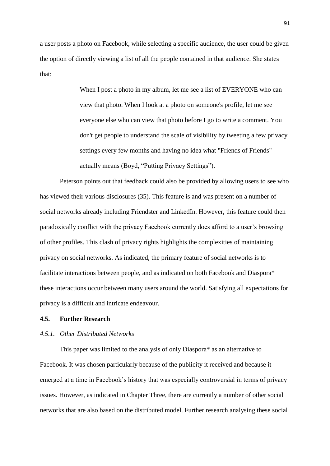a user posts a photo on Facebook, while selecting a specific audience, the user could be given the option of directly viewing a list of all the people contained in that audience. She states that:

> When I post a photo in my album, let me see a list of EVERYONE who can view that photo. When I look at a photo on someone's profile, let me see everyone else who can view that photo before I go to write a comment. You don't get people to understand the scale of visibility by tweeting a few privacy settings every few months and having no idea what "Friends of Friends" actually means (Boyd, "Putting Privacy Settings").

Peterson points out that feedback could also be provided by allowing users to see who has viewed their various disclosures (35). This feature is and was present on a number of social networks already including Friendster and LinkedIn. However, this feature could then paradoxically conflict with the privacy Facebook currently does afford to a user's browsing of other profiles. This clash of privacy rights highlights the complexities of maintaining privacy on social networks. As indicated, the primary feature of social networks is to facilitate interactions between people, and as indicated on both Facebook and Diaspora\* these interactions occur between many users around the world. Satisfying all expectations for privacy is a difficult and intricate endeavour.

### **4.5. Further Research**

## *4.5.1. Other Distributed Networks*

This paper was limited to the analysis of only Diaspora\* as an alternative to Facebook. It was chosen particularly because of the publicity it received and because it emerged at a time in Facebook's history that was especially controversial in terms of privacy issues. However, as indicated in Chapter Three, there are currently a number of other social networks that are also based on the distributed model. Further research analysing these social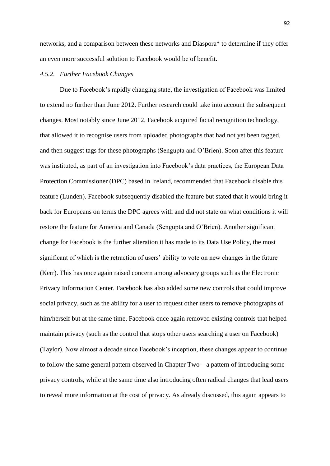networks, and a comparison between these networks and Diaspora\* to determine if they offer an even more successful solution to Facebook would be of benefit.

#### *4.5.2. Further Facebook Changes*

Due to Facebook's rapidly changing state, the investigation of Facebook was limited to extend no further than June 2012. Further research could take into account the subsequent changes. Most notably since June 2012, Facebook acquired facial recognition technology, that allowed it to recognise users from uploaded photographs that had not yet been tagged, and then suggest tags for these photographs (Sengupta and O'Brien). Soon after this feature was instituted, as part of an investigation into Facebook's data practices, the European Data Protection Commissioner (DPC) based in Ireland, recommended that Facebook disable this feature (Lunden). Facebook subsequently disabled the feature but stated that it would bring it back for Europeans on terms the DPC agrees with and did not state on what conditions it will restore the feature for America and Canada (Sengupta and O'Brien). Another significant change for Facebook is the further alteration it has made to its Data Use Policy, the most significant of which is the retraction of users' ability to vote on new changes in the future (Kerr). This has once again raised concern among advocacy groups such as the Electronic Privacy Information Center. Facebook has also added some new controls that could improve social privacy, such as the ability for a user to request other users to remove photographs of him/herself but at the same time, Facebook once again removed existing controls that helped maintain privacy (such as the control that stops other users searching a user on Facebook) (Taylor). Now almost a decade since Facebook's inception, these changes appear to continue to follow the same general pattern observed in Chapter Two – a pattern of introducing some privacy controls, while at the same time also introducing often radical changes that lead users to reveal more information at the cost of privacy. As already discussed, this again appears to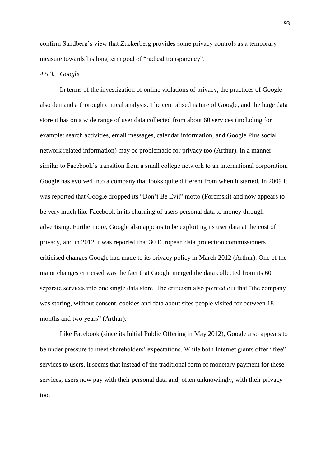confirm Sandberg's view that Zuckerberg provides some privacy controls as a temporary measure towards his long term goal of "radical transparency".

### *4.5.3. Google*

In terms of the investigation of online violations of privacy, the practices of Google also demand a thorough critical analysis. The centralised nature of Google, and the huge data store it has on a wide range of user data collected from about 60 services (including for example: search activities, email messages, calendar information, and Google Plus social network related information) may be problematic for privacy too (Arthur). In a manner similar to Facebook's transition from a small college network to an international corporation, Google has evolved into a company that looks quite different from when it started. In 2009 it was reported that Google dropped its "Don't Be Evil" motto (Foremski) and now appears to be very much like Facebook in its churning of users personal data to money through advertising. Furthermore, Google also appears to be exploiting its user data at the cost of privacy, and in 2012 it was reported that 30 European data protection commissioners criticised changes Google had made to its privacy policy in March 2012 (Arthur). One of the major changes criticised was the fact that Google merged the data collected from its 60 separate services into one single data store. The criticism also pointed out that "the company was storing, without consent, cookies and data about sites people visited for between 18 months and two years" (Arthur).

Like Facebook (since its Initial Public Offering in May 2012), Google also appears to be under pressure to meet shareholders' expectations. While both Internet giants offer "free" services to users, it seems that instead of the traditional form of monetary payment for these services, users now pay with their personal data and, often unknowingly, with their privacy too.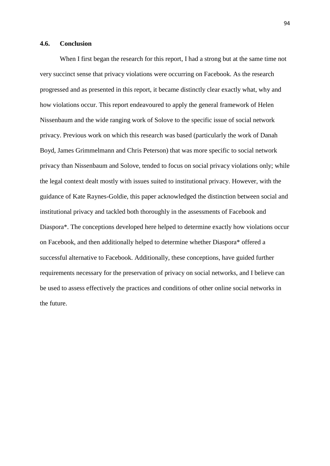#### **4.6. Conclusion**

When I first began the research for this report, I had a strong but at the same time not very succinct sense that privacy violations were occurring on Facebook. As the research progressed and as presented in this report, it became distinctly clear exactly what, why and how violations occur. This report endeavoured to apply the general framework of Helen Nissenbaum and the wide ranging work of Solove to the specific issue of social network privacy. Previous work on which this research was based (particularly the work of Danah Boyd, James Grimmelmann and Chris Peterson) that was more specific to social network privacy than Nissenbaum and Solove, tended to focus on social privacy violations only; while the legal context dealt mostly with issues suited to institutional privacy. However, with the guidance of Kate Raynes-Goldie, this paper acknowledged the distinction between social and institutional privacy and tackled both thoroughly in the assessments of Facebook and Diaspora\*. The conceptions developed here helped to determine exactly how violations occur on Facebook, and then additionally helped to determine whether Diaspora\* offered a successful alternative to Facebook. Additionally, these conceptions, have guided further requirements necessary for the preservation of privacy on social networks, and I believe can be used to assess effectively the practices and conditions of other online social networks in the future.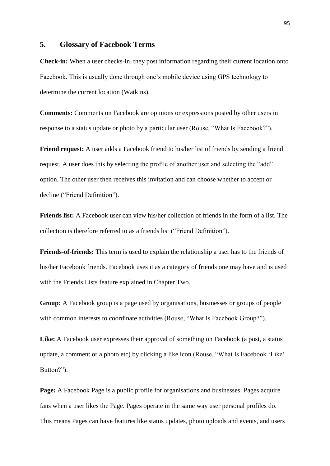## **5. Glossary of Facebook Terms**

**Check-in:** When a user checks-in, they post information regarding their current location onto Facebook. This is usually done through one's mobile device using GPS technology to determine the current location (Watkins).

**Comments:** Comments on Facebook are opinions or expressions posted by other users in response to a status update or photo by a particular user (Rouse, "What Is Facebook?").

**Friend request:** A user adds a Facebook friend to his/her list of friends by sending a friend request. A user does this by selecting the profile of another user and selecting the "add" option. The other user then receives this invitation and can choose whether to accept or decline ("Friend Definition").

**Friends list:** A Facebook user can view his/her collection of friends in the form of a list. The collection is therefore referred to as a friends list ("Friend Definition").

**Friends-of-friends:** This term is used to explain the relationship a user has to the friends of his/her Facebook friends. Facebook uses it as a category of friends one may have and is used with the Friends Lists feature explained in Chapter Two.

**Group:** A Facebook group is a page used by organisations, businesses or groups of people with common interests to coordinate activities (Rouse, "What Is Facebook Group?").

Like: A Facebook user expresses their approval of something on Facebook (a post, a status update, a comment or a photo etc) by clicking a like icon (Rouse, "What Is Facebook 'Like' Button?").

**Page:** A Facebook Page is a public profile for organisations and businesses. Pages acquire fans when a user likes the Page. Pages operate in the same way user personal profiles do. This means Pages can have features like status updates, photo uploads and events, and users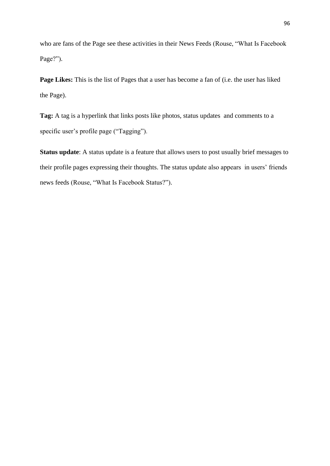who are fans of the Page see these activities in their News Feeds (Rouse, "What Is Facebook Page?").

**Page Likes:** This is the list of Pages that a user has become a fan of (i.e. the user has liked the Page).

**Tag:** A tag is a hyperlink that links posts like photos, status updates and comments to a specific user's profile page ("Tagging").

**Status update**: A status update is a feature that allows users to post usually brief messages to their profile pages expressing their thoughts. The status update also appears in users' friends news feeds (Rouse, "What Is Facebook Status?").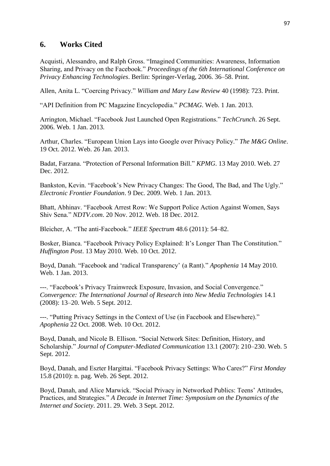# **6. Works Cited**

Acquisti, Alessandro, and Ralph Gross. "Imagined Communities: Awareness, Information Sharing, and Privacy on the Facebook." *Proceedings of the 6th International Conference on Privacy Enhancing Technologies*. Berlin: Springer-Verlag, 2006. 36–58. Print.

Allen, Anita L. "Coercing Privacy." *William and Mary Law Review* 40 (1998): 723. Print.

"API Definition from PC Magazine Encyclopedia." *PCMAG*. Web. 1 Jan. 2013.

Arrington, Michael. "Facebook Just Launched Open Registrations." *TechCrunch*. 26 Sept. 2006. Web. 1 Jan. 2013.

Arthur, Charles. "European Union Lays into Google over Privacy Policy." *The M&G Online*. 19 Oct. 2012. Web. 26 Jan. 2013.

Badat, Farzana. "Protection of Personal Information Bill." *KPMG*. 13 May 2010. Web. 27 Dec. 2012.

Bankston, Kevin. "Facebook's New Privacy Changes: The Good, The Bad, and The Ugly." *Electronic Frontier Foundation*. 9 Dec. 2009. Web. 1 Jan. 2013.

Bhatt, Abhinav. "Facebook Arrest Row: We Support Police Action Against Women, Says Shiv Sena." *NDTV.com*. 20 Nov. 2012. Web. 18 Dec. 2012.

Bleicher, A. "The anti-Facebook." *IEEE Spectrum* 48.6 (2011): 54–82.

Bosker, Bianca. "Facebook Privacy Policy Explained: It's Longer Than The Constitution." *Huffington Post*. 13 May 2010. Web. 10 Oct. 2012.

Boyd, Danah. "Facebook and 'radical Transparency' (a Rant)." *Apophenia* 14 May 2010. Web. 1 Jan. 2013.

---. "Facebook's Privacy Trainwreck Exposure, Invasion, and Social Convergence." *Convergence: The International Journal of Research into New Media Technologies* 14.1 (2008): 13–20. Web. 5 Sept. 2012.

---. "Putting Privacy Settings in the Context of Use (in Facebook and Elsewhere)." *Apophenia* 22 Oct. 2008. Web. 10 Oct. 2012.

Boyd, Danah, and Nicole B. Ellison. "Social Network Sites: Definition, History, and Scholarship." *Journal of Computer-Mediated Communication* 13.1 (2007): 210–230. Web. 5 Sept. 2012.

Boyd, Danah, and Eszter Hargittai. "Facebook Privacy Settings: Who Cares?" *First Monday* 15.8 (2010): n. pag. Web. 26 Sept. 2012.

Boyd, Danah, and Alice Marwick. "Social Privacy in Networked Publics: Teens' Attitudes, Practices, and Strategies." *A Decade in Internet Time: Symposium on the Dynamics of the Internet and Society*. 2011. 29. Web. 3 Sept. 2012.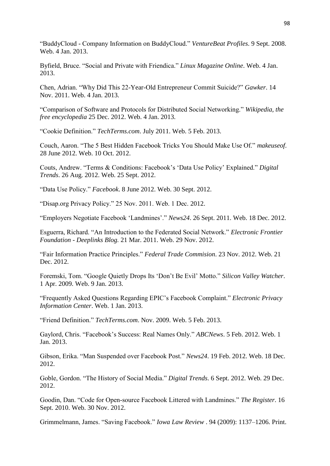"BuddyCloud - Company Information on BuddyCloud." *VentureBeat Profiles*. 9 Sept. 2008. Web. 4 Jan. 2013.

Byfield, Bruce. "Social and Private with Friendica." *Linux Magazine Online*. Web. 4 Jan. 2013.

Chen, Adrian. "Why Did This 22-Year-Old Entrepreneur Commit Suicide?" *Gawker*. 14 Nov. 2011. Web. 4 Jan. 2013.

"Comparison of Software and Protocols for Distributed Social Networking." *Wikipedia, the free encyclopedia* 25 Dec. 2012. Web. 4 Jan. 2013.

"Cookie Definition." *TechTerms.com*. July 2011. Web. 5 Feb. 2013.

Couch, Aaron. "The 5 Best Hidden Facebook Tricks You Should Make Use Of." *makeuseof*. 28 June 2012. Web. 10 Oct. 2012.

Couts, Andrew. "Terms & Conditions: Facebook's 'Data Use Policy' Explained." *Digital Trends*. 26 Aug. 2012. Web. 25 Sept. 2012.

"Data Use Policy." *Facebook*. 8 June 2012. Web. 30 Sept. 2012.

"Disap.org Privacy Policy." 25 Nov. 2011. Web. 1 Dec. 2012.

"Employers Negotiate Facebook 'Landmines'." *News24*. 26 Sept. 2011. Web. 18 Dec. 2012.

Esguerra, Richard. "An Introduction to the Federated Social Network." *Electronic Frontier Foundation - Deeplinks Blog.* 21 Mar. 2011. Web. 29 Nov. 2012.

"Fair Information Practice Principles." *Federal Trade Commision*. 23 Nov. 2012. Web. 21 Dec. 2012.

Foremski, Tom. "Google Quietly Drops Its 'Don't Be Evil' Motto." *Silicon Valley Watcher*. 1 Apr. 2009. Web. 9 Jan. 2013.

"Frequently Asked Questions Regarding EPIC's Facebook Complaint." *Electronic Privacy Information Center*. Web. 1 Jan. 2013.

"Friend Definition." *TechTerms.com*. Nov. 2009. Web. 5 Feb. 2013.

Gaylord, Chris. "Facebook's Success: Real Names Only." *ABCNews*. 5 Feb. 2012. Web. 1 Jan. 2013.

Gibson, Erika. "Man Suspended over Facebook Post." *News24*. 19 Feb. 2012. Web. 18 Dec. 2012.

Goble, Gordon. "The History of Social Media." *Digital Trends*. 6 Sept. 2012. Web. 29 Dec. 2012.

Goodin, Dan. "Code for Open-source Facebook Littered with Landmines." *The Register*. 16 Sept. 2010. Web. 30 Nov. 2012.

Grimmelmann, James. "Saving Facebook." *Iowa Law Review* . 94 (2009): 1137–1206. Print.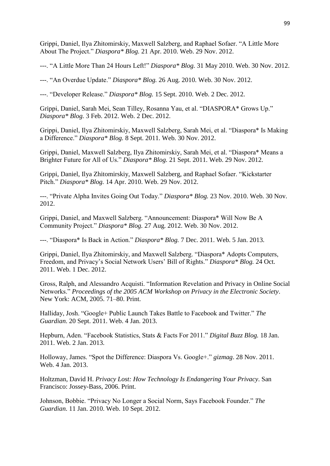Grippi, Daniel, Ilya Zhitomirskiy, Maxwell Salzberg, and Raphael Sofaer. "A Little More About The Project." *Diaspora\* Blog.* 21 Apr. 2010. Web. 29 Nov. 2012.

---. "A Little More Than 24 Hours Left!" *Diaspora\* Blog.* 31 May 2010. Web. 30 Nov. 2012.

---. "An Overdue Update." *Diaspora\* Blog.* 26 Aug. 2010. Web. 30 Nov. 2012.

---. "Developer Release." *Diaspora\* Blog.* 15 Sept. 2010. Web. 2 Dec. 2012.

Grippi, Daniel, Sarah Mei, Sean Tilley, Rosanna Yau, et al. "DIASPORA\* Grows Up." *Diaspora\* Blog.* 3 Feb. 2012. Web. 2 Dec. 2012.

Grippi, Daniel, Ilya Zhitomirskiy, Maxwell Salzberg, Sarah Mei, et al. "Diaspora\* Is Making a Difference." *Diaspora\* Blog.* 8 Sept. 2011. Web. 30 Nov. 2012.

Grippi, Daniel, Maxwell Salzberg, Ilya Zhitomirskiy, Sarah Mei, et al. "Diaspora\* Means a Brighter Future for All of Us." *Diaspora\* Blog.* 21 Sept. 2011. Web. 29 Nov. 2012.

Grippi, Daniel, Ilya Zhitomirskiy, Maxwell Salzberg, and Raphael Sofaer. "Kickstarter Pitch." *Diaspora\* Blog.* 14 Apr. 2010. Web. 29 Nov. 2012.

---. "Private Alpha Invites Going Out Today." *Diaspora\* Blog.* 23 Nov. 2010. Web. 30 Nov. 2012.

Grippi, Daniel, and Maxwell Salzberg. "Announcement: Diaspora\* Will Now Be A Community Project." *Diaspora\* Blog.* 27 Aug. 2012. Web. 30 Nov. 2012.

---. "Diaspora\* Is Back in Action." *Diaspora\* Blog.* 7 Dec. 2011. Web. 5 Jan. 2013.

Grippi, Daniel, Ilya Zhitomirskiy, and Maxwell Salzberg. "Diaspora\* Adopts Computers, Freedom, and Privacy's Social Network Users' Bill of Rights." *Diaspora\* Blog.* 24 Oct. 2011. Web. 1 Dec. 2012.

Gross, Ralph, and Alessandro Acquisti. "Information Revelation and Privacy in Online Social Networks." *Proceedings of the 2005 ACM Workshop on Privacy in the Electronic Society*. New York: ACM, 2005. 71–80. Print.

Halliday, Josh. "Google+ Public Launch Takes Battle to Facebook and Twitter." *The Guardian*. 20 Sept. 2011. Web. 4 Jan. 2013.

Hepburn, Aden. "Facebook Statistics, Stats & Facts For 2011." *Digital Buzz Blog.* 18 Jan. 2011. Web. 2 Jan. 2013.

Holloway, James. "Spot the Difference: Diaspora Vs. Google+." *gizmag*. 28 Nov. 2011. Web. 4 Jan. 2013.

Holtzman, David H. *Privacy Lost: How Technology Is Endangering Your Privacy*. San Francisco: Jossey-Bass, 2006. Print.

Johnson, Bobbie. "Privacy No Longer a Social Norm, Says Facebook Founder." *The Guardian*. 11 Jan. 2010. Web. 10 Sept. 2012.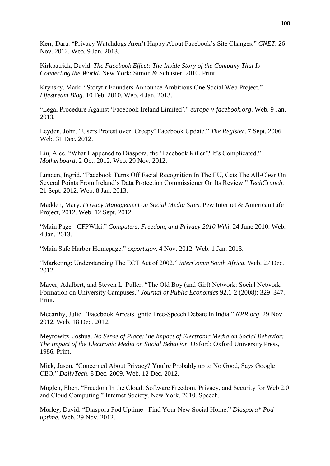Kerr, Dara. "Privacy Watchdogs Aren't Happy About Facebook's Site Changes." *CNET*. 26 Nov. 2012. Web. 9 Jan. 2013.

Kirkpatrick, David. *The Facebook Effect: The Inside Story of the Company That Is Connecting the World*. New York: Simon & Schuster, 2010. Print.

Krynsky, Mark. "Storytlr Founders Announce Ambitious One Social Web Project." *Lifestream Blog.* 10 Feb. 2010. Web. 4 Jan. 2013.

"Legal Procedure Against 'Facebook Ireland Limited'." *europe-v-facebook.org*. Web. 9 Jan. 2013.

Leyden, John. "Users Protest over 'Creepy' Facebook Update." *The Register*. 7 Sept. 2006. Web. 31 Dec. 2012.

Liu, Alec. "What Happened to Diaspora, the 'Facebook Killer'? It's Complicated." *Motherboard*. 2 Oct. 2012. Web. 29 Nov. 2012.

Lunden, Ingrid. "Facebook Turns Off Facial Recognition In The EU, Gets The All-Clear On Several Points From Ireland's Data Protection Commissioner On Its Review." *TechCrunch*. 21 Sept. 2012. Web. 8 Jan. 2013.

Madden, Mary. *Privacy Management on Social Media Sites*. Pew Internet & American Life Project, 2012. Web. 12 Sept. 2012.

"Main Page - CFPWiki." *Computers, Freedom, and Privacy 2010 Wiki*. 24 June 2010. Web. 4 Jan. 2013.

"Main Safe Harbor Homepage." *export.gov*. 4 Nov. 2012. Web. 1 Jan. 2013.

"Marketing: Understanding The ECT Act of 2002." *interComm South Africa*. Web. 27 Dec. 2012.

Mayer, Adalbert, and Steven L. Puller. "The Old Boy (and Girl) Network: Social Network Formation on University Campuses." *Journal of Public Economics* 92.1-2 (2008): 329–347. Print.

Mccarthy, Julie. "Facebook Arrests Ignite Free-Speech Debate In India." *NPR.org*. 29 Nov. 2012. Web. 18 Dec. 2012.

Meyrowitz, Joshua. *No Sense of Place:The Impact of Electronic Media on Social Behavior: The Impact of the Electronic Media on Social Behavior*. Oxford: Oxford University Press, 1986. Print.

Mick, Jason. "Concerned About Privacy? You're Probably up to No Good, Says Google CEO." *DailyTech*. 8 Dec. 2009. Web. 12 Dec. 2012.

Moglen, Eben. "Freedom In the Cloud: Software Freedom, Privacy, and Security for Web 2.0 and Cloud Computing." Internet Society. New York. 2010. Speech.

Morley, David. "Diaspora Pod Uptime - Find Your New Social Home." *Diaspora\* Pod uptime*. Web. 29 Nov. 2012.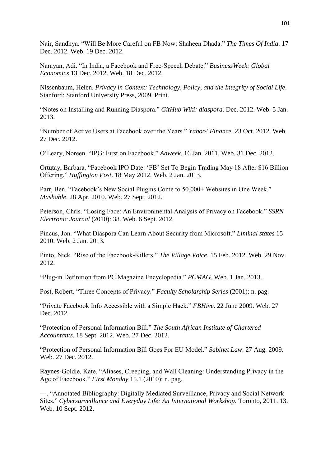Nair, Sandhya. "Will Be More Careful on FB Now: Shaheen Dhada." *The Times Of India*. 17 Dec. 2012. Web. 19 Dec. 2012.

Narayan, Adi. "In India, a Facebook and Free-Speech Debate." *BusinessWeek: Global Economics* 13 Dec. 2012. Web. 18 Dec. 2012.

Nissenbaum, Helen. *Privacy in Context: Technology, Policy, and the Integrity of Social Life*. Stanford: Stanford University Press, 2009. Print.

"Notes on Installing and Running Diaspora." *GitHub Wiki: diaspora*. Dec. 2012. Web. 5 Jan. 2013.

"Number of Active Users at Facebook over the Years." *Yahoo! Finance*. 23 Oct. 2012. Web. 27 Dec. 2012.

O'Leary, Noreen. "IPG: First on Facebook." *Adweek*. 16 Jan. 2011. Web. 31 Dec. 2012.

Ortutay, Barbara. "Facebook IPO Date: 'FB' Set To Begin Trading May 18 After \$16 Billion Offering." *Huffington Post*. 18 May 2012. Web. 2 Jan. 2013.

Parr, Ben. "Facebook's New Social Plugins Come to 50,000+ Websites in One Week." *Mashable*. 28 Apr. 2010. Web. 27 Sept. 2012.

Peterson, Chris. "Losing Face: An Environmental Analysis of Privacy on Facebook." *SSRN Electronic Journal* (2010): 38. Web. 6 Sept. 2012.

Pincus, Jon. "What Diaspora Can Learn About Security from Microsoft." *Liminal states* 15 2010. Web. 2 Jan. 2013.

Pinto, Nick. "Rise of the Facebook-Killers." *The Village Voice*. 15 Feb. 2012. Web. 29 Nov. 2012.

"Plug-in Definition from PC Magazine Encyclopedia." *PCMAG*. Web. 1 Jan. 2013.

Post, Robert. "Three Concepts of Privacy." *Faculty Scholarship Series* (2001): n. pag.

"Private Facebook Info Accessible with a Simple Hack." *FBHive*. 22 June 2009. Web. 27 Dec. 2012.

"Protection of Personal Information Bill." *The South African Institute of Chartered Accountants*. 18 Sept. 2012. Web. 27 Dec. 2012.

"Protection of Personal Information Bill Goes For EU Model." *Sabinet Law*. 27 Aug. 2009. Web. 27 Dec. 2012.

Raynes-Goldie, Kate. "Aliases, Creeping, and Wall Cleaning: Understanding Privacy in the Age of Facebook." *First Monday* 15.1 (2010): n. pag.

---. "Annotated Bibliography: Digitally Mediated Surveillance, Privacy and Social Network Sites." *Cybersurveillance and Everyday Life: An International Workshop*. Toronto, 2011. 13. Web. 10 Sept. 2012.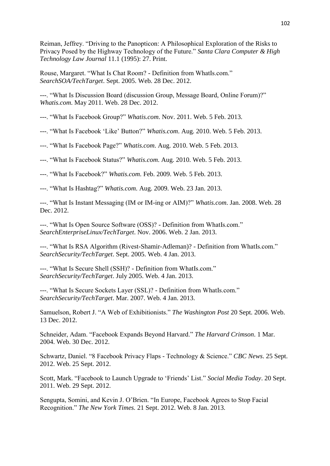Reiman, Jeffrey. "Driving to the Panopticon: A Philosophical Exploration of the Risks to Privacy Posed by the Highway Technology of the Future." *Santa Clara Computer & High Technology Law Journal* 11.1 (1995): 27. Print.

Rouse, Margaret. "What Is Chat Room? - Definition from WhatIs.com." *SearchSOA/TechTarget*. Sept. 2005. Web. 28 Dec. 2012.

---. "What Is Discussion Board (discussion Group, Message Board, Online Forum)?" *Whatis.com*. May 2011. Web. 28 Dec. 2012.

---. "What Is Facebook Group?" *Whatis.com*. Nov. 2011. Web. 5 Feb. 2013.

---. "What Is Facebook 'Like' Button?" *Whatis.com*. Aug. 2010. Web. 5 Feb. 2013.

---. "What Is Facebook Page?" *Whatis.com*. Aug. 2010. Web. 5 Feb. 2013.

---. "What Is Facebook Status?" *Whatis.com*. Aug. 2010. Web. 5 Feb. 2013.

---. "What Is Facebook?" *Whatis.com*. Feb. 2009. Web. 5 Feb. 2013.

---. "What Is Hashtag?" *Whatis.com*. Aug. 2009. Web. 23 Jan. 2013.

---. "What Is Instant Messaging (IM or IM-ing or AIM)?" *Whatis.com*. Jan. 2008. Web. 28 Dec. 2012.

---. "What Is Open Source Software (OSS)? - Definition from WhatIs.com." *SearchEnterpriseLinux/TechTarget*. Nov. 2006. Web. 2 Jan. 2013.

---. "What Is RSA Algorithm (Rivest-Shamir-Adleman)? - Definition from WhatIs.com." *SearchSecurity/TechTarget*. Sept. 2005. Web. 4 Jan. 2013.

---. "What Is Secure Shell (SSH)? - Definition from WhatIs.com." *SearchSecurity/TechTarget*. July 2005. Web. 4 Jan. 2013.

---. "What Is Secure Sockets Layer (SSL)? - Definition from WhatIs.com." *SearchSecurity/TechTarget*. Mar. 2007. Web. 4 Jan. 2013.

Samuelson, Robert J. "A Web of Exhibitionists." *The Washington Post* 20 Sept. 2006. Web. 13 Dec. 2012.

Schneider, Adam. "Facebook Expands Beyond Harvard." *The Harvard Crimson*. 1 Mar. 2004. Web. 30 Dec. 2012.

Schwartz, Daniel. "8 Facebook Privacy Flaps - Technology & Science." *CBC News*. 25 Sept. 2012. Web. 25 Sept. 2012.

Scott, Mark. "Facebook to Launch Upgrade to 'Friends' List." *Social Media Today*. 20 Sept. 2011. Web. 29 Sept. 2012.

Sengupta, Somini, and Kevin J. O'Brien. "In Europe, Facebook Agrees to Stop Facial Recognition." *The New York Times.* 21 Sept. 2012. Web. 8 Jan. 2013.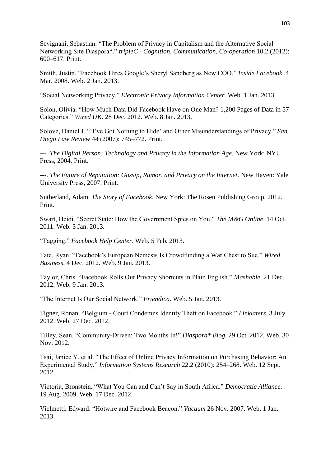Sevignani, Sebastian. "The Problem of Privacy in Capitalism and the Alternative Social Networking Site Diaspora\*." *tripleC - Cognition, Communication, Co-operation* 10.2 (2012): 600–617. Print.

Smith, Justin. "Facebook Hires Google's Sheryl Sandberg as New COO." *Inside Facebook*. 4 Mar. 2008. Web. 2 Jan. 2013.

"Social Networking Privacy." *Electronic Privacy Information Center*. Web. 1 Jan. 2013.

Solon, Olivia. "How Much Data Did Facebook Have on One Man? 1,200 Pages of Data in 57 Categories." *Wired UK*. 28 Dec. 2012. Web. 8 Jan. 2013.

Solove, Daniel J. "'I've Got Nothing to Hide' and Other Misunderstandings of Privacy." *San Diego Law Review* 44 (2007): 745–772. Print.

---. *The Digital Person: Technology and Privacy in the Information Age*. New York: NYU Press, 2004. Print.

---. *The Future of Reputation: Gossip, Rumor, and Privacy on the Internet*. New Haven: Yale University Press, 2007. Print.

Sutherland, Adam. *The Story of Facebook*. New York: The Rosen Publishing Group, 2012. Print.

Swart, Heidi. "Secret State: How the Government Spies on You." *The M&G Online*. 14 Oct. 2011. Web. 3 Jan. 2013.

"Tagging." *Facebook Help Center*. Web. 5 Feb. 2013.

Tate, Ryan. "Facebook's European Nemesis Is Crowdfunding a War Chest to Sue." *Wired Business*. 4 Dec. 2012. Web. 9 Jan. 2013.

Taylor, Chris. "Facebook Rolls Out Privacy Shortcuts in Plain English." *Mashable*. 21 Dec. 2012. Web. 9 Jan. 2013.

"The Internet Is Our Social Network." *Friendica*. Web. 5 Jan. 2013.

Tigner, Ronan. "Belgium - Court Condemns Identity Theft on Facebook." *Linklaters*. 3 July 2012. Web. 27 Dec. 2012.

Tilley, Sean. "Community-Driven: Two Months In!" *Diaspora\* Blog.* 29 Oct. 2012. Web. 30 Nov. 2012.

Tsai, Janice Y. et al. "The Effect of Online Privacy Information on Purchasing Behavior: An Experimental Study." *Information Systems Research* 22.2 (2010): 254–268. Web. 12 Sept. 2012.

Victoria, Bronstein. "What You Can and Can't Say in South Africa." *Democratic Alliance*. 19 Aug. 2009. Web. 17 Dec. 2012.

Vielmetti, Edward. "Hotwire and Facebook Beacon." *Vacuum* 26 Nov. 2007. Web. 1 Jan. 2013.